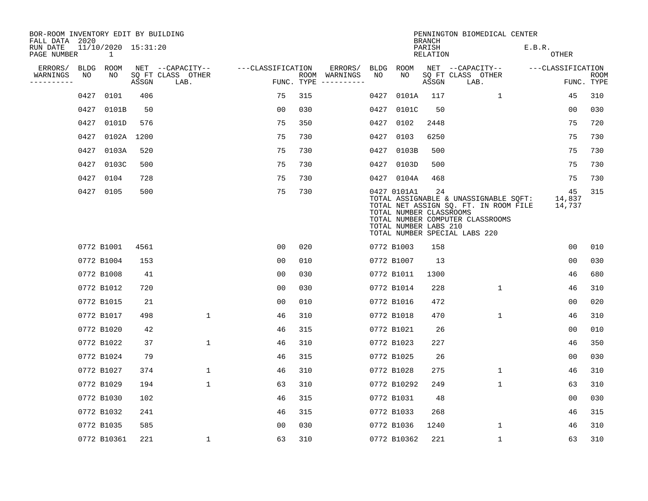| BOR-ROOM INVENTORY EDIT BY BUILDING<br>FALL DATA 2020 |             |                                     |       |                           |                   |     |                                      |             |                                                                 | <b>BRANCH</b>             | PENNINGTON BIOMEDICAL CENTER                                                                                                                        |                        |                           |
|-------------------------------------------------------|-------------|-------------------------------------|-------|---------------------------|-------------------|-----|--------------------------------------|-------------|-----------------------------------------------------------------|---------------------------|-----------------------------------------------------------------------------------------------------------------------------------------------------|------------------------|---------------------------|
| RUN DATE<br>PAGE NUMBER                               |             | 11/10/2020 15:31:20<br>$\mathbf{1}$ |       |                           |                   |     |                                      |             |                                                                 | PARISH<br><b>RELATION</b> |                                                                                                                                                     | E.B.R.<br><b>OTHER</b> |                           |
| ERRORS/                                               | <b>BLDG</b> | ROOM                                |       | NET --CAPACITY--          | ---CLASSIFICATION |     | ERRORS/                              | <b>BLDG</b> | <b>ROOM</b>                                                     |                           | NET --CAPACITY--                                                                                                                                    | ---CLASSIFICATION      |                           |
| WARNINGS<br>---------                                 | NO          | NO                                  | ASSGN | SQ FT CLASS OTHER<br>LAB. |                   |     | ROOM WARNINGS<br>FUNC. TYPE $------$ | NO          | NO                                                              | ASSGN                     | SQ FT CLASS OTHER<br>LAB.                                                                                                                           |                        | <b>ROOM</b><br>FUNC. TYPE |
|                                                       | 0427        | 0101                                | 406   |                           | 75                | 315 |                                      | 0427        | 0101A                                                           | 117                       | 1                                                                                                                                                   | 45                     | 310                       |
|                                                       | 0427        | 0101B                               | 50    |                           | 0 <sub>0</sub>    | 030 |                                      | 0427        | 0101C                                                           | 50                        |                                                                                                                                                     | 0 <sub>0</sub>         | 030                       |
|                                                       | 0427        | 0101D                               | 576   |                           | 75                | 350 |                                      | 0427        | 0102                                                            | 2448                      |                                                                                                                                                     | 75                     | 720                       |
|                                                       | 0427        | 0102A 1200                          |       |                           | 75                | 730 |                                      | 0427        | 0103                                                            | 6250                      |                                                                                                                                                     | 75                     | 730                       |
|                                                       | 0427        | 0103A                               | 520   |                           | 75                | 730 |                                      | 0427        | 0103B                                                           | 500                       |                                                                                                                                                     | 75                     | 730                       |
|                                                       |             | 0427 0103C                          | 500   |                           | 75                | 730 |                                      |             | 0427 0103D                                                      | 500                       |                                                                                                                                                     | 75                     | 730                       |
|                                                       |             | 0427 0104                           | 728   |                           | 75                | 730 |                                      |             | 0427 0104A                                                      | 468                       |                                                                                                                                                     | 75                     | 730                       |
|                                                       |             | 0427 0105                           | 500   |                           | 75                | 730 |                                      |             | 0427 0101A1<br>TOTAL NUMBER CLASSROOMS<br>TOTAL NUMBER LABS 210 | 24                        | TOTAL ASSIGNABLE & UNASSIGNABLE SQFT:<br>TOTAL NET ASSIGN SQ. FT. IN ROOM FILE<br>TOTAL NUMBER COMPUTER CLASSROOMS<br>TOTAL NUMBER SPECIAL LABS 220 | 45<br>14,837<br>14,737 | 315                       |
|                                                       |             | 0772 B1001                          | 4561  |                           | 0 <sub>0</sub>    | 020 |                                      |             | 0772 B1003                                                      | 158                       |                                                                                                                                                     | 0 <sub>0</sub>         | 010                       |
|                                                       |             | 0772 B1004                          | 153   |                           | 0 <sub>0</sub>    | 010 |                                      |             | 0772 B1007                                                      | 13                        |                                                                                                                                                     | 0 <sub>0</sub>         | 030                       |
|                                                       |             | 0772 B1008                          | 41    |                           | 00                | 030 |                                      |             | 0772 B1011                                                      | 1300                      |                                                                                                                                                     | 46                     | 680                       |
|                                                       |             | 0772 B1012                          | 720   |                           | 00                | 030 |                                      |             | 0772 B1014                                                      | 228                       | 1                                                                                                                                                   | 46                     | 310                       |
|                                                       |             | 0772 B1015                          | 21    |                           | 0 <sub>0</sub>    | 010 |                                      |             | 0772 B1016                                                      | 472                       |                                                                                                                                                     | 00                     | 020                       |
|                                                       |             | 0772 B1017                          | 498   | $\mathbf{1}$              | 46                | 310 |                                      |             | 0772 B1018                                                      | 470                       | $\mathbf 1$                                                                                                                                         | 46                     | 310                       |
|                                                       |             | 0772 B1020                          | 42    |                           | 46                | 315 |                                      |             | 0772 B1021                                                      | 26                        |                                                                                                                                                     | 0 <sub>0</sub>         | 010                       |
|                                                       |             | 0772 B1022                          | 37    | $\mathbf{1}$              | 46                | 310 |                                      |             | 0772 B1023                                                      | 227                       |                                                                                                                                                     | 46                     | 350                       |
|                                                       |             | 0772 B1024                          | 79    |                           | 46                | 315 |                                      |             | 0772 B1025                                                      | 26                        |                                                                                                                                                     | 0 <sub>0</sub>         | 030                       |
|                                                       |             | 0772 B1027                          | 374   | 1                         | 46                | 310 |                                      |             | 0772 B1028                                                      | 275                       | $\mathbf 1$                                                                                                                                         | 46                     | 310                       |
|                                                       |             | 0772 B1029                          | 194   | $\mathbf 1$               | 63                | 310 |                                      |             | 0772 B10292                                                     | 249                       | $\mathbf 1$                                                                                                                                         | 63                     | 310                       |
|                                                       |             | 0772 B1030                          | 102   |                           | 46                | 315 |                                      |             | 0772 B1031                                                      | 48                        |                                                                                                                                                     | 0 <sub>0</sub>         | 030                       |
|                                                       |             | 0772 B1032                          | 241   |                           | 46                | 315 |                                      |             | 0772 B1033                                                      | 268                       |                                                                                                                                                     | 46                     | 315                       |
|                                                       |             | 0772 B1035                          | 585   |                           | 0 <sub>0</sub>    | 030 |                                      |             | 0772 B1036                                                      | 1240                      | $\mathbf 1$                                                                                                                                         | 46                     | 310                       |
|                                                       |             | 0772 B10361                         | 221   | 1                         | 63                | 310 |                                      |             | 0772 B10362                                                     | 221                       | 1                                                                                                                                                   | 63                     | 310                       |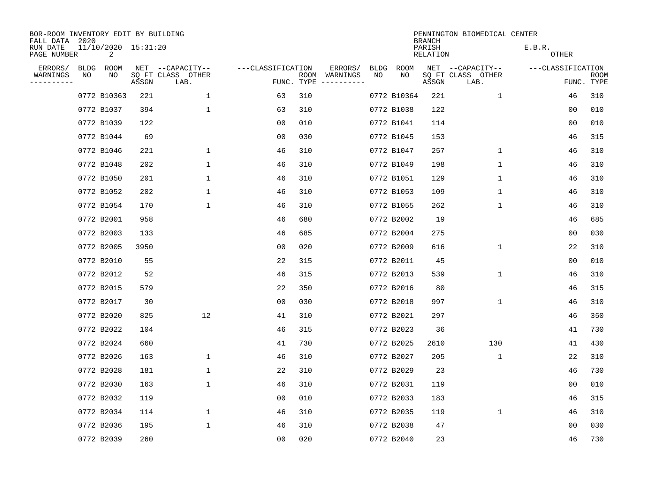| BOR-ROOM INVENTORY EDIT BY BUILDING<br>FALL DATA 2020 |    |                          |       |                           |                   |      |                                 |             |             | <b>BRANCH</b>      | PENNINGTON BIOMEDICAL CENTER |                        |                           |
|-------------------------------------------------------|----|--------------------------|-------|---------------------------|-------------------|------|---------------------------------|-------------|-------------|--------------------|------------------------------|------------------------|---------------------------|
| RUN DATE<br>PAGE NUMBER                               |    | 11/10/2020 15:31:20<br>2 |       |                           |                   |      |                                 |             |             | PARISH<br>RELATION |                              | E.B.R.<br><b>OTHER</b> |                           |
| ERRORS/                                               |    | BLDG ROOM                |       | NET --CAPACITY--          | ---CLASSIFICATION |      | ERRORS/                         | <b>BLDG</b> | <b>ROOM</b> |                    | NET --CAPACITY--             | ---CLASSIFICATION      |                           |
| WARNINGS<br>--------                                  | NO | NO                       | ASSGN | SQ FT CLASS OTHER<br>LAB. |                   | ROOM | WARNINGS<br>FUNC. TYPE $------$ | NO          | NO          | ASSGN              | SQ FT CLASS OTHER<br>LAB.    |                        | <b>ROOM</b><br>FUNC. TYPE |
|                                                       |    | 0772 B10363              | 221   | 1                         | 63                | 310  |                                 |             | 0772 B10364 | 221                | $\mathbf 1$                  | 46                     | 310                       |
|                                                       |    | 0772 B1037               | 394   | $\mathbf 1$               | 63                | 310  |                                 |             | 0772 B1038  | 122                |                              | 0 <sub>0</sub>         | 010                       |
|                                                       |    | 0772 B1039               | 122   |                           | 00                | 010  |                                 |             | 0772 B1041  | 114                |                              | 0 <sub>0</sub>         | 010                       |
|                                                       |    | 0772 B1044               | 69    |                           | 0 <sub>0</sub>    | 030  |                                 |             | 0772 B1045  | 153                |                              | 46                     | 315                       |
|                                                       |    | 0772 B1046               | 221   | $\mathbf 1$               | 46                | 310  |                                 |             | 0772 B1047  | 257                | $\mathbf{1}$                 | 46                     | 310                       |
|                                                       |    | 0772 B1048               | 202   | $\mathbf 1$               | 46                | 310  |                                 |             | 0772 B1049  | 198                | $\mathbf{1}$                 | 46                     | 310                       |
|                                                       |    | 0772 B1050               | 201   | $\mathbf 1$               | 46                | 310  |                                 |             | 0772 B1051  | 129                | $\mathbf{1}$                 | 46                     | 310                       |
|                                                       |    | 0772 B1052               | 202   | $\mathbf 1$               | 46                | 310  |                                 |             | 0772 B1053  | 109                | 1                            | 46                     | 310                       |
|                                                       |    | 0772 B1054               | 170   | $\mathbf 1$               | 46                | 310  |                                 |             | 0772 B1055  | 262                | $\mathbf 1$                  | 46                     | 310                       |
|                                                       |    | 0772 B2001               | 958   |                           | 46                | 680  |                                 |             | 0772 B2002  | 19                 |                              | 46                     | 685                       |
|                                                       |    | 0772 B2003               | 133   |                           | 46                | 685  |                                 |             | 0772 B2004  | 275                |                              | 0 <sub>0</sub>         | 030                       |
|                                                       |    | 0772 B2005               | 3950  |                           | 0 <sub>0</sub>    | 020  |                                 |             | 0772 B2009  | 616                | $\mathbf{1}$                 | 22                     | 310                       |
|                                                       |    | 0772 B2010               | 55    |                           | 22                | 315  |                                 |             | 0772 B2011  | 45                 |                              | 0 <sub>0</sub>         | 010                       |
|                                                       |    | 0772 B2012               | 52    |                           | 46                | 315  |                                 |             | 0772 B2013  | 539                | 1                            | 46                     | 310                       |
|                                                       |    | 0772 B2015               | 579   |                           | 22                | 350  |                                 |             | 0772 B2016  | 80                 |                              | 46                     | 315                       |
|                                                       |    | 0772 B2017               | 30    |                           | 0 <sub>0</sub>    | 030  |                                 |             | 0772 B2018  | 997                | 1                            | 46                     | 310                       |
|                                                       |    | 0772 B2020               | 825   | 12                        | 41                | 310  |                                 |             | 0772 B2021  | 297                |                              | 46                     | 350                       |
|                                                       |    | 0772 B2022               | 104   |                           | 46                | 315  |                                 |             | 0772 B2023  | 36                 |                              | 41                     | 730                       |
|                                                       |    | 0772 B2024               | 660   |                           | 41                | 730  |                                 |             | 0772 B2025  | 2610               | 130                          | 41                     | 430                       |
|                                                       |    | 0772 B2026               | 163   | 1                         | 46                | 310  |                                 |             | 0772 B2027  | 205                | 1                            | 22                     | 310                       |
|                                                       |    | 0772 B2028               | 181   | $\mathbf 1$               | 22                | 310  |                                 |             | 0772 B2029  | 23                 |                              | 46                     | 730                       |
|                                                       |    | 0772 B2030               | 163   | $\mathbf 1$               | 46                | 310  |                                 |             | 0772 B2031  | 119                |                              | 0 <sub>0</sub>         | 010                       |
|                                                       |    | 0772 B2032               | 119   |                           | 00                | 010  |                                 |             | 0772 B2033  | 183                |                              | 46                     | 315                       |
|                                                       |    | 0772 B2034               | 114   | $\mathbf 1$               | 46                | 310  |                                 |             | 0772 B2035  | 119                | $\mathbf 1$                  | 46                     | 310                       |
|                                                       |    | 0772 B2036               | 195   | $\mathbf{1}$              | 46                | 310  |                                 |             | 0772 B2038  | 47                 |                              | 0 <sub>0</sub>         | 030                       |
|                                                       |    | 0772 B2039               | 260   |                           | 0 <sub>0</sub>    | 020  |                                 |             | 0772 B2040  | 23                 |                              | 46                     | 730                       |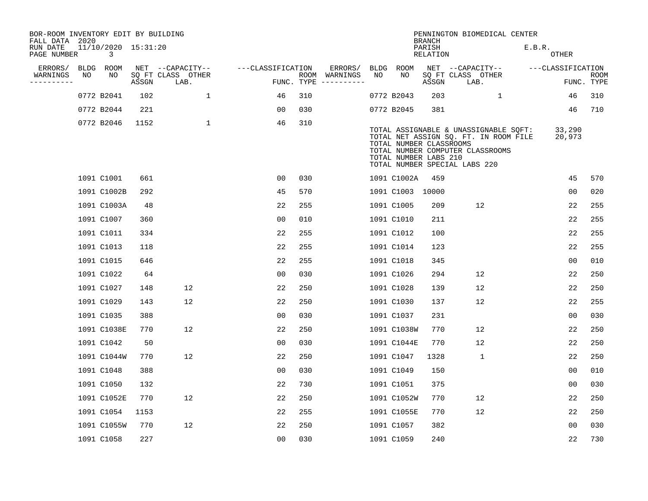| BOR-ROOM INVENTORY EDIT BY BUILDING<br>FALL DATA 2020 |    |                          |       |                           |                   |                    |                         |             |                                                  | <b>BRANCH</b>             | PENNINGTON BIOMEDICAL CENTER                                                                                                                        |                        |                           |
|-------------------------------------------------------|----|--------------------------|-------|---------------------------|-------------------|--------------------|-------------------------|-------------|--------------------------------------------------|---------------------------|-----------------------------------------------------------------------------------------------------------------------------------------------------|------------------------|---------------------------|
| RUN DATE<br>PAGE NUMBER                               |    | 11/10/2020 15:31:20<br>3 |       |                           |                   |                    |                         |             |                                                  | PARISH<br><b>RELATION</b> |                                                                                                                                                     | E.B.R.<br><b>OTHER</b> |                           |
| ERRORS/                                               |    | BLDG ROOM                |       | NET --CAPACITY--          | ---CLASSIFICATION |                    | ERRORS/                 | <b>BLDG</b> | ROOM                                             |                           | NET --CAPACITY--                                                                                                                                    | ---CLASSIFICATION      |                           |
| WARNINGS<br>--------                                  | NO | NO                       | ASSGN | SQ FT CLASS OTHER<br>LAB. |                   | ROOM<br>FUNC. TYPE | WARNINGS<br>----------- | NO          | NO                                               | ASSGN                     | SQ FT CLASS OTHER<br>LAB.                                                                                                                           |                        | <b>ROOM</b><br>FUNC. TYPE |
|                                                       |    | 0772 B2041               | 102   | $\mathbf{1}$              | 46                | 310                |                         |             | 0772 B2043                                       | 203                       | $\mathbf{1}$                                                                                                                                        | 46                     | 310                       |
|                                                       |    | 0772 B2044               | 221   |                           | 0 <sub>0</sub>    | 030                |                         |             | 0772 B2045                                       | 381                       |                                                                                                                                                     | 46                     | 710                       |
|                                                       |    | 0772 B2046               | 1152  | $\mathbf{1}$              | 46                | 310                |                         |             | TOTAL NUMBER CLASSROOMS<br>TOTAL NUMBER LABS 210 |                           | TOTAL ASSIGNABLE & UNASSIGNABLE SQFT:<br>TOTAL NET ASSIGN SQ. FT. IN ROOM FILE<br>TOTAL NUMBER COMPUTER CLASSROOMS<br>TOTAL NUMBER SPECIAL LABS 220 | 33,290<br>20,973       |                           |
|                                                       |    | 1091 C1001               | 661   |                           | 0 <sub>0</sub>    | 030                |                         |             | 1091 C1002A                                      | 459                       |                                                                                                                                                     | 45                     | 570                       |
|                                                       |    | 1091 C1002B              | 292   |                           | 45                | 570                |                         |             | 1091 C1003 10000                                 |                           |                                                                                                                                                     | 0 <sub>0</sub>         | 020                       |
|                                                       |    | 1091 C1003A              | 48    |                           | 22                | 255                |                         |             | 1091 C1005                                       | 209                       | 12                                                                                                                                                  | 22                     | 255                       |
|                                                       |    | 1091 C1007               | 360   |                           | 0 <sub>0</sub>    | 010                |                         |             | 1091 C1010                                       | 211                       |                                                                                                                                                     | 22                     | 255                       |
|                                                       |    | 1091 C1011               | 334   |                           | 22                | 255                |                         |             | 1091 C1012                                       | 100                       |                                                                                                                                                     | 22                     | 255                       |
|                                                       |    | 1091 C1013               | 118   |                           | 22                | 255                |                         |             | 1091 C1014                                       | 123                       |                                                                                                                                                     | 22                     | 255                       |
|                                                       |    | 1091 C1015               | 646   |                           | 22                | 255                |                         |             | 1091 C1018                                       | 345                       |                                                                                                                                                     | 0 <sub>0</sub>         | 010                       |
|                                                       |    | 1091 C1022               | 64    |                           | 00                | 030                |                         |             | 1091 C1026                                       | 294                       | 12                                                                                                                                                  | 22                     | 250                       |
|                                                       |    | 1091 C1027               | 148   | 12                        | 22                | 250                |                         |             | 1091 C1028                                       | 139                       | 12                                                                                                                                                  | 22                     | 250                       |
|                                                       |    | 1091 C1029               | 143   | 12                        | 22                | 250                |                         |             | 1091 C1030                                       | 137                       | 12                                                                                                                                                  | 22                     | 255                       |
|                                                       |    | 1091 C1035               | 388   |                           | 0 <sub>0</sub>    | 030                |                         |             | 1091 C1037                                       | 231                       |                                                                                                                                                     | 0 <sub>0</sub>         | 030                       |
|                                                       |    | 1091 C1038E              | 770   | 12                        | 22                | 250                |                         |             | 1091 C1038W                                      | 770                       | 12                                                                                                                                                  | 22                     | 250                       |
|                                                       |    | 1091 C1042               | 50    |                           | 0 <sub>0</sub>    | 030                |                         |             | 1091 C1044E                                      | 770                       | 12                                                                                                                                                  | 22                     | 250                       |
|                                                       |    | 1091 C1044W              | 770   | 12                        | 22                | 250                |                         |             | 1091 C1047                                       | 1328                      | $\mathbf{1}$                                                                                                                                        | 22                     | 250                       |
|                                                       |    | 1091 C1048               | 388   |                           | 0 <sub>0</sub>    | 030                |                         |             | 1091 C1049                                       | 150                       |                                                                                                                                                     | 0 <sub>0</sub>         | 010                       |
|                                                       |    | 1091 C1050               | 132   |                           | 22                | 730                |                         |             | 1091 C1051                                       | 375                       |                                                                                                                                                     | 0 <sub>0</sub>         | 030                       |
|                                                       |    | 1091 C1052E              | 770   | 12                        | 22                | 250                |                         |             | 1091 C1052W                                      | 770                       | 12                                                                                                                                                  | 22                     | 250                       |
|                                                       |    | 1091 C1054               | 1153  |                           | 22                | 255                |                         |             | 1091 C1055E                                      | 770                       | 12                                                                                                                                                  | 22                     | 250                       |
|                                                       |    | 1091 C1055W              | 770   | 12                        | 22                | 250                |                         |             | 1091 C1057                                       | 382                       |                                                                                                                                                     | 00                     | 030                       |
|                                                       |    | 1091 C1058               | 227   |                           | 00                | 030                |                         |             | 1091 C1059                                       | 240                       |                                                                                                                                                     | 22                     | 730                       |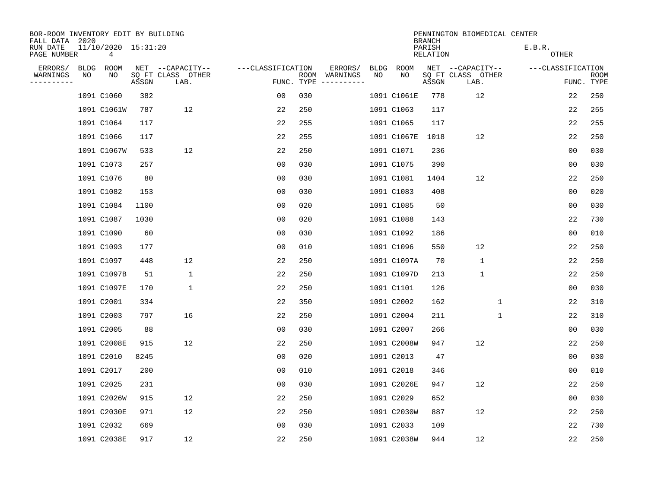| BOR-ROOM INVENTORY EDIT BY BUILDING<br>FALL DATA 2020 |             |                          |       |                           |                   |            |                              |             |             | <b>BRANCH</b>             | PENNINGTON BIOMEDICAL CENTER |                        |                |                           |
|-------------------------------------------------------|-------------|--------------------------|-------|---------------------------|-------------------|------------|------------------------------|-------------|-------------|---------------------------|------------------------------|------------------------|----------------|---------------------------|
| RUN DATE<br>PAGE NUMBER                               |             | 11/10/2020 15:31:20<br>4 |       |                           |                   |            |                              |             |             | PARISH<br><b>RELATION</b> |                              | E.B.R.<br><b>OTHER</b> |                |                           |
| ERRORS/                                               | <b>BLDG</b> | ROOM                     |       | NET --CAPACITY--          | ---CLASSIFICATION |            | ERRORS/                      | <b>BLDG</b> | <b>ROOM</b> |                           | NET --CAPACITY--             | ---CLASSIFICATION      |                |                           |
| WARNINGS<br>--------                                  | NO          | NO                       | ASSGN | SQ FT CLASS OTHER<br>LAB. |                   | FUNC. TYPE | ROOM WARNINGS<br>----------- | NO          | NO          | ASSGN                     | SQ FT CLASS OTHER<br>LAB.    |                        |                | <b>ROOM</b><br>FUNC. TYPE |
|                                                       |             | 1091 C1060               | 382   |                           | 00                | 030        |                              |             | 1091 C1061E | 778                       | 12                           |                        | 22             | 250                       |
|                                                       |             | 1091 C1061W              | 787   | 12                        | 22                | 250        |                              |             | 1091 C1063  | 117                       |                              |                        | 22             | 255                       |
|                                                       |             | 1091 C1064               | 117   |                           | 22                | 255        |                              |             | 1091 C1065  | 117                       |                              |                        | 22             | 255                       |
|                                                       |             | 1091 C1066               | 117   |                           | 22                | 255        |                              |             | 1091 C1067E | 1018                      | 12                           |                        | 22             | 250                       |
|                                                       |             | 1091 C1067W              | 533   | 12                        | 22                | 250        |                              |             | 1091 C1071  | 236                       |                              |                        | 0 <sub>0</sub> | 030                       |
|                                                       |             | 1091 C1073               | 257   |                           | 0 <sub>0</sub>    | 030        |                              |             | 1091 C1075  | 390                       |                              |                        | 0 <sub>0</sub> | 030                       |
|                                                       |             | 1091 C1076               | 80    |                           | 0 <sub>0</sub>    | 030        |                              |             | 1091 C1081  | 1404                      | 12                           |                        | 22             | 250                       |
|                                                       |             | 1091 C1082               | 153   |                           | 0 <sub>0</sub>    | 030        |                              |             | 1091 C1083  | 408                       |                              |                        | 0 <sub>0</sub> | 020                       |
|                                                       |             | 1091 C1084               | 1100  |                           | 0 <sub>0</sub>    | 020        |                              |             | 1091 C1085  | 50                        |                              |                        | 0 <sub>0</sub> | 030                       |
|                                                       |             | 1091 C1087               | 1030  |                           | 0 <sub>0</sub>    | 020        |                              |             | 1091 C1088  | 143                       |                              |                        | 22             | 730                       |
|                                                       |             | 1091 C1090               | 60    |                           | 0 <sub>0</sub>    | 030        |                              |             | 1091 C1092  | 186                       |                              |                        | 0 <sub>0</sub> | 010                       |
|                                                       |             | 1091 C1093               | 177   |                           | 0 <sub>0</sub>    | 010        |                              |             | 1091 C1096  | 550                       | 12                           |                        | 22             | 250                       |
|                                                       |             | 1091 C1097               | 448   | 12                        | 22                | 250        |                              |             | 1091 C1097A | 70                        | $\mathbf{1}$                 |                        | 22             | 250                       |
|                                                       |             | 1091 C1097B              | 51    | $\mathbf 1$               | 22                | 250        |                              |             | 1091 C1097D | 213                       | 1                            |                        | 22             | 250                       |
|                                                       |             | 1091 C1097E              | 170   | $\mathbf 1$               | 22                | 250        |                              |             | 1091 C1101  | 126                       |                              |                        | 0 <sub>0</sub> | 030                       |
|                                                       |             | 1091 C2001               | 334   |                           | 22                | 350        |                              |             | 1091 C2002  | 162                       | 1                            |                        | 22             | 310                       |
|                                                       |             | 1091 C2003               | 797   | 16                        | 22                | 250        |                              |             | 1091 C2004  | 211                       | $\mathbf 1$                  |                        | 22             | 310                       |
|                                                       |             | 1091 C2005               | 88    |                           | 0 <sub>0</sub>    | 030        |                              |             | 1091 C2007  | 266                       |                              |                        | 0 <sub>0</sub> | 030                       |
|                                                       |             | 1091 C2008E              | 915   | 12                        | 22                | 250        |                              |             | 1091 C2008W | 947                       | 12                           |                        | 22             | 250                       |
|                                                       |             | 1091 C2010               | 8245  |                           | 00                | 020        |                              |             | 1091 C2013  | 47                        |                              |                        | 0 <sub>0</sub> | 030                       |
|                                                       |             | 1091 C2017               | 200   |                           | 0 <sub>0</sub>    | 010        |                              |             | 1091 C2018  | 346                       |                              |                        | 0 <sub>0</sub> | 010                       |
|                                                       |             | 1091 C2025               | 231   |                           | 0 <sub>0</sub>    | 030        |                              |             | 1091 C2026E | 947                       | 12                           |                        | 22             | 250                       |
|                                                       |             | 1091 C2026W              | 915   | 12                        | 22                | 250        |                              |             | 1091 C2029  | 652                       |                              |                        | 0 <sub>0</sub> | 030                       |
|                                                       |             | 1091 C2030E              | 971   | 12                        | 22                | 250        |                              |             | 1091 C2030W | 887                       | 12                           |                        | 22             | 250                       |
|                                                       |             | 1091 C2032               | 669   |                           | 0 <sub>0</sub>    | 030        |                              |             | 1091 C2033  | 109                       |                              |                        | 22             | 730                       |
|                                                       |             | 1091 C2038E              | 917   | 12                        | 22                | 250        |                              |             | 1091 C2038W | 944                       | 12                           |                        | 22             | 250                       |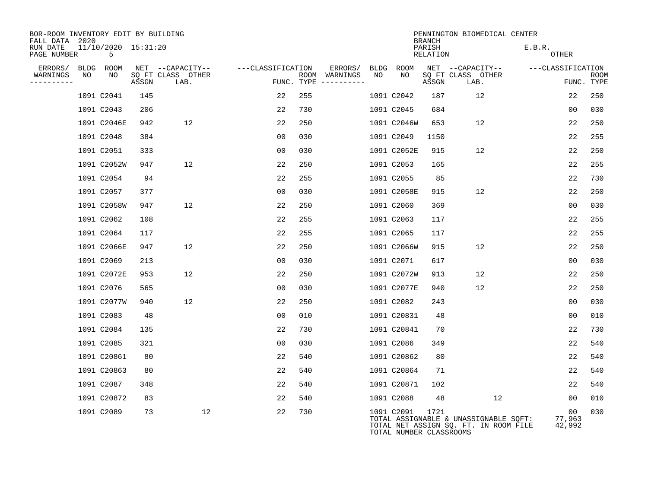| BOR-ROOM INVENTORY EDIT BY BUILDING<br>FALL DATA 2020 |                          |       |                           |                   |                             |             |      |                                       | <b>BRANCH</b>      | PENNINGTON BIOMEDICAL CENTER                                                   |                   |                |                           |
|-------------------------------------------------------|--------------------------|-------|---------------------------|-------------------|-----------------------------|-------------|------|---------------------------------------|--------------------|--------------------------------------------------------------------------------|-------------------|----------------|---------------------------|
| RUN DATE<br>PAGE NUMBER                               | 11/10/2020 15:31:20<br>5 |       |                           |                   |                             |             |      |                                       | PARISH<br>RELATION |                                                                                | E.B.R.<br>OTHER   |                |                           |
| ERRORS/                                               | BLDG ROOM                |       | NET --CAPACITY--          | ---CLASSIFICATION |                             | ERRORS/     | BLDG | ROOM                                  |                    | NET --CAPACITY--                                                               | ---CLASSIFICATION |                |                           |
| WARNINGS<br>NO<br>---------                           | NO                       | ASSGN | SQ FT CLASS OTHER<br>LAB. |                   | ROOM WARNINGS<br>FUNC. TYPE | ----------- | NO   | NO                                    | ASSGN              | SQ FT CLASS OTHER<br>LAB.                                                      |                   |                | <b>ROOM</b><br>FUNC. TYPE |
|                                                       | 1091 C2041               | 145   |                           | 22                | 255                         |             |      | 1091 C2042                            | 187                | 12                                                                             |                   | 22             | 250                       |
|                                                       | 1091 C2043               | 206   |                           | 22                | 730                         |             |      | 1091 C2045                            | 684                |                                                                                |                   | 00             | 030                       |
|                                                       | 1091 C2046E              | 942   | 12                        | 22                | 250                         |             |      | 1091 C2046W                           | 653                | 12                                                                             |                   | 22             | 250                       |
|                                                       | 1091 C2048               | 384   |                           | 00                | 030                         |             |      | 1091 C2049                            | 1150               |                                                                                |                   | 22             | 255                       |
|                                                       | 1091 C2051               | 333   |                           | 0 <sub>0</sub>    | 030                         |             |      | 1091 C2052E                           | 915                | 12                                                                             |                   | 22             | 250                       |
|                                                       | 1091 C2052W              | 947   | 12                        | 22                | 250                         |             |      | 1091 C2053                            | 165                |                                                                                |                   | 22             | 255                       |
|                                                       | 1091 C2054               | 94    |                           | 22                | 255                         |             |      | 1091 C2055                            | 85                 |                                                                                |                   | 22             | 730                       |
|                                                       | 1091 C2057               | 377   |                           | 0 <sub>0</sub>    | 030                         |             |      | 1091 C2058E                           | 915                | 12                                                                             |                   | 22             | 250                       |
|                                                       | 1091 C2058W              | 947   | 12                        | 22                | 250                         |             |      | 1091 C2060                            | 369                |                                                                                |                   | 0 <sub>0</sub> | 030                       |
|                                                       | 1091 C2062               | 108   |                           | 22                | 255                         |             |      | 1091 C2063                            | 117                |                                                                                |                   | 22             | 255                       |
|                                                       | 1091 C2064               | 117   |                           | 22                | 255                         |             |      | 1091 C2065                            | 117                |                                                                                |                   | 22             | 255                       |
|                                                       | 1091 C2066E              | 947   | 12                        | 22                | 250                         |             |      | 1091 C2066W                           | 915                | 12                                                                             |                   | 22             | 250                       |
|                                                       | 1091 C2069               | 213   |                           | 00                | 030                         |             |      | 1091 C2071                            | 617                |                                                                                |                   | 00             | 030                       |
|                                                       | 1091 C2072E              | 953   | 12                        | 22                | 250                         |             |      | 1091 C2072W                           | 913                | 12                                                                             |                   | 22             | 250                       |
|                                                       | 1091 C2076               | 565   |                           | 0 <sub>0</sub>    | 030                         |             |      | 1091 C2077E                           | 940                | 12                                                                             |                   | 22             | 250                       |
|                                                       | 1091 C2077W              | 940   | 12                        | 22                | 250                         |             |      | 1091 C2082                            | 243                |                                                                                |                   | 00             | 030                       |
|                                                       | 1091 C2083               | 48    |                           | 00                | 010                         |             |      | 1091 C20831                           | 48                 |                                                                                |                   | 0 <sub>0</sub> | 010                       |
|                                                       | 1091 C2084               | 135   |                           | 22                | 730                         |             |      | 1091 C20841                           | 70                 |                                                                                |                   | 22             | 730                       |
|                                                       | 1091 C2085               | 321   |                           | 00                | 030                         |             |      | 1091 C2086                            | 349                |                                                                                |                   | 22             | 540                       |
|                                                       | 1091 C20861              | 80    |                           | 22                | 540                         |             |      | 1091 C20862                           | 80                 |                                                                                |                   | 22             | 540                       |
|                                                       | 1091 C20863              | 80    |                           | 22                | 540                         |             |      | 1091 C20864                           | 71                 |                                                                                |                   | 22             | 540                       |
|                                                       | 1091 C2087               | 348   |                           | 22                | 540                         |             |      | 1091 C20871                           | 102                |                                                                                |                   | 22             | 540                       |
|                                                       | 1091 C20872              | 83    |                           | 22                | 540                         |             |      | 1091 C2088                            | 48                 | 12                                                                             |                   | 00             | 010                       |
|                                                       | 1091 C2089               | 73    | 12                        | 22                | 730                         |             |      | 1091 C2091<br>TOTAL NUMBER CLASSROOMS | 1721               | TOTAL ASSIGNABLE & UNASSIGNABLE SQFT:<br>TOTAL NET ASSIGN SQ. FT. IN ROOM FILE | 77,963            | 00<br>42,992   | 030                       |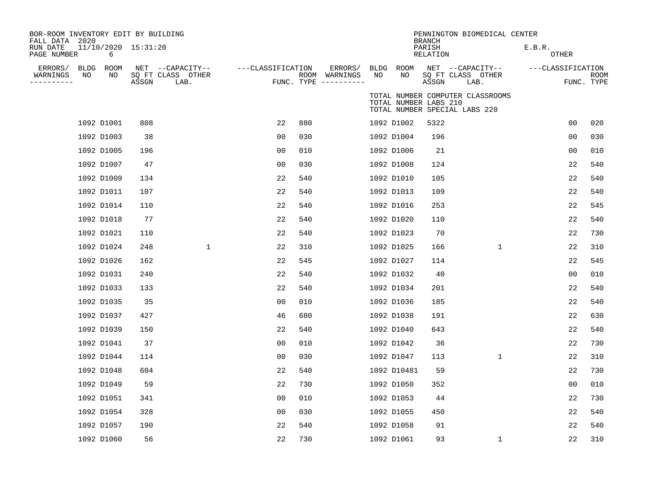| BOR-ROOM INVENTORY EDIT BY BUILDING       |            |                          |       |                                               |                   |     |                                                 |                   |                       |                                     | PENNINGTON BIOMEDICAL CENTER                                      |                        |                           |
|-------------------------------------------|------------|--------------------------|-------|-----------------------------------------------|-------------------|-----|-------------------------------------------------|-------------------|-----------------------|-------------------------------------|-------------------------------------------------------------------|------------------------|---------------------------|
| FALL DATA 2020<br>RUN DATE<br>PAGE NUMBER |            | 11/10/2020 15:31:20<br>6 |       |                                               |                   |     |                                                 |                   |                       | <b>BRANCH</b><br>PARISH<br>RELATION |                                                                   | E.B.R.<br><b>OTHER</b> |                           |
| ERRORS/<br>WARNINGS<br>----------         | BLDG<br>NO | ROOM<br>NO               | ASSGN | NET --CAPACITY--<br>SQ FT CLASS OTHER<br>LAB. | ---CLASSIFICATION |     | ERRORS/<br>ROOM WARNINGS<br>FUNC. TYPE $------$ | <b>BLDG</b><br>NO | ROOM<br>NO            | ASSGN                               | NET --CAPACITY--<br>SQ FT CLASS OTHER<br>LAB.                     | ---CLASSIFICATION      | <b>ROOM</b><br>FUNC. TYPE |
|                                           |            |                          |       |                                               |                   |     |                                                 |                   | TOTAL NUMBER LABS 210 |                                     | TOTAL NUMBER COMPUTER CLASSROOMS<br>TOTAL NUMBER SPECIAL LABS 220 |                        |                           |
|                                           |            | 1092 D1001               | 808   |                                               | 22                | 880 |                                                 |                   | 1092 D1002            | 5322                                |                                                                   | 0 <sub>0</sub>         | 020                       |
|                                           |            | 1092 D1003               | 38    |                                               | 0 <sub>0</sub>    | 030 |                                                 |                   | 1092 D1004            | 196                                 |                                                                   | 0 <sub>0</sub>         | 030                       |
|                                           |            | 1092 D1005               | 196   |                                               | 0 <sub>0</sub>    | 010 |                                                 |                   | 1092 D1006            | 21                                  |                                                                   | 0 <sub>0</sub>         | 010                       |
|                                           |            | 1092 D1007               | 47    |                                               | 0 <sub>0</sub>    | 030 |                                                 |                   | 1092 D1008            | 124                                 |                                                                   | 22                     | 540                       |
|                                           |            | 1092 D1009               | 134   |                                               | 22                | 540 |                                                 |                   | 1092 D1010            | 105                                 |                                                                   | 22                     | 540                       |
|                                           |            | 1092 D1011               | 107   |                                               | 22                | 540 |                                                 |                   | 1092 D1013            | 109                                 |                                                                   | 22                     | 540                       |
|                                           |            | 1092 D1014               | 110   |                                               | 22                | 540 |                                                 |                   | 1092 D1016            | 253                                 |                                                                   | 22                     | 545                       |
|                                           |            | 1092 D1018               | 77    |                                               | 22                | 540 |                                                 |                   | 1092 D1020            | 110                                 |                                                                   | 22                     | 540                       |
|                                           |            | 1092 D1021               | 110   |                                               | 22                | 540 |                                                 |                   | 1092 D1023            | 70                                  |                                                                   | 22                     | 730                       |
|                                           |            | 1092 D1024               | 248   | $\mathbf{1}$                                  | 22                | 310 |                                                 |                   | 1092 D1025            | 166                                 | $\mathbf{1}$                                                      | 22                     | 310                       |
|                                           |            | 1092 D1026               | 162   |                                               | 22                | 545 |                                                 |                   | 1092 D1027            | 114                                 |                                                                   | 22                     | 545                       |
|                                           |            | 1092 D1031               | 240   |                                               | 22                | 540 |                                                 |                   | 1092 D1032            | 40                                  |                                                                   | 00                     | 010                       |
|                                           |            | 1092 D1033               | 133   |                                               | 22                | 540 |                                                 |                   | 1092 D1034            | 201                                 |                                                                   | 22                     | 540                       |
|                                           |            | 1092 D1035               | 35    |                                               | 00                | 010 |                                                 |                   | 1092 D1036            | 185                                 |                                                                   | 22                     | 540                       |
|                                           |            | 1092 D1037               | 427   |                                               | 46                | 680 |                                                 |                   | 1092 D1038            | 191                                 |                                                                   | 22                     | 630                       |
|                                           |            | 1092 D1039               | 150   |                                               | 22                | 540 |                                                 |                   | 1092 D1040            | 643                                 |                                                                   | 22                     | 540                       |
|                                           |            | 1092 D1041               | 37    |                                               | 0 <sub>0</sub>    | 010 |                                                 |                   | 1092 D1042            | 36                                  |                                                                   | 22                     | 730                       |
|                                           |            | 1092 D1044               | 114   |                                               | 00                | 030 |                                                 |                   | 1092 D1047            | 113                                 | 1                                                                 | 22                     | 310                       |
|                                           |            | 1092 D1048               | 604   |                                               | 22                | 540 |                                                 |                   | 1092 D10481           | 59                                  |                                                                   | 22                     | 730                       |
|                                           |            | 1092 D1049               | 59    |                                               | 22                | 730 |                                                 |                   | 1092 D1050            | 352                                 |                                                                   | 0 <sub>0</sub>         | 010                       |
|                                           |            | 1092 D1051               | 341   |                                               | 00                | 010 |                                                 |                   | 1092 D1053            | 44                                  |                                                                   | 22                     | 730                       |
|                                           |            | 1092 D1054               | 328   |                                               | 00                | 030 |                                                 |                   | 1092 D1055            | 450                                 |                                                                   | 22                     | 540                       |
|                                           |            | 1092 D1057               | 190   |                                               | 22                | 540 |                                                 |                   | 1092 D1058            | 91                                  |                                                                   | 22                     | 540                       |
|                                           |            | 1092 D1060               | 56    |                                               | 22                | 730 |                                                 |                   | 1092 D1061            | 93                                  | $\mathbf 1$                                                       | 22                     | 310                       |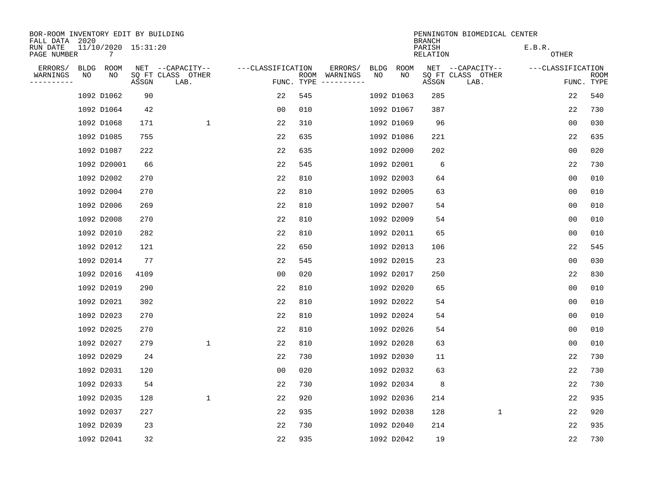| BOR-ROOM INVENTORY EDIT BY BUILDING<br>FALL DATA 2020 |      |                          |       |                           |                   |            |                              |             |             | <b>BRANCH</b>             | PENNINGTON BIOMEDICAL CENTER |                        |                           |
|-------------------------------------------------------|------|--------------------------|-------|---------------------------|-------------------|------------|------------------------------|-------------|-------------|---------------------------|------------------------------|------------------------|---------------------------|
| RUN DATE<br>PAGE NUMBER                               |      | 11/10/2020 15:31:20<br>7 |       |                           |                   |            |                              |             |             | PARISH<br><b>RELATION</b> |                              | E.B.R.<br><b>OTHER</b> |                           |
| ERRORS/                                               | BLDG | ROOM                     |       | NET --CAPACITY--          | ---CLASSIFICATION |            | ERRORS/                      | <b>BLDG</b> | <b>ROOM</b> |                           | NET --CAPACITY--             | ---CLASSIFICATION      |                           |
| WARNINGS<br>----------                                | NO   | NO                       | ASSGN | SQ FT CLASS OTHER<br>LAB. |                   | FUNC. TYPE | ROOM WARNINGS<br>----------- | NO          | NO          | ASSGN                     | SQ FT CLASS OTHER<br>LAB.    |                        | <b>ROOM</b><br>FUNC. TYPE |
|                                                       |      | 1092 D1062               | 90    |                           | 22                | 545        |                              |             | 1092 D1063  | 285                       |                              | 22                     | 540                       |
|                                                       |      | 1092 D1064               | 42    |                           | 0 <sub>0</sub>    | 010        |                              |             | 1092 D1067  | 387                       |                              | 22                     | 730                       |
|                                                       |      | 1092 D1068               | 171   | $\mathbf{1}$              | 22                | 310        |                              |             | 1092 D1069  | 96                        |                              | 0 <sub>0</sub>         | 030                       |
|                                                       |      | 1092 D1085               | 755   |                           | 22                | 635        |                              |             | 1092 D1086  | 221                       |                              | 22                     | 635                       |
|                                                       |      | 1092 D1087               | 222   |                           | 22                | 635        |                              |             | 1092 D2000  | 202                       |                              | 0 <sub>0</sub>         | 020                       |
|                                                       |      | 1092 D20001              | 66    |                           | 22                | 545        |                              |             | 1092 D2001  | 6                         |                              | 22                     | 730                       |
|                                                       |      | 1092 D2002               | 270   |                           | 22                | 810        |                              |             | 1092 D2003  | 64                        |                              | 0 <sub>0</sub>         | 010                       |
|                                                       |      | 1092 D2004               | 270   |                           | 22                | 810        |                              |             | 1092 D2005  | 63                        |                              | 0 <sub>0</sub>         | 010                       |
|                                                       |      | 1092 D2006               | 269   |                           | 22                | 810        |                              |             | 1092 D2007  | 54                        |                              | 0 <sub>0</sub>         | 010                       |
|                                                       |      | 1092 D2008               | 270   |                           | 22                | 810        |                              |             | 1092 D2009  | 54                        |                              | 0 <sub>0</sub>         | 010                       |
|                                                       |      | 1092 D2010               | 282   |                           | 22                | 810        |                              |             | 1092 D2011  | 65                        |                              | 0 <sub>0</sub>         | 010                       |
|                                                       |      | 1092 D2012               | 121   |                           | 22                | 650        |                              |             | 1092 D2013  | 106                       |                              | 22                     | 545                       |
|                                                       |      | 1092 D2014               | 77    |                           | 22                | 545        |                              |             | 1092 D2015  | 23                        |                              | 0 <sub>0</sub>         | 030                       |
|                                                       |      | 1092 D2016               | 4109  |                           | 0 <sub>0</sub>    | 020        |                              |             | 1092 D2017  | 250                       |                              | 22                     | 830                       |
|                                                       |      | 1092 D2019               | 290   |                           | 22                | 810        |                              |             | 1092 D2020  | 65                        |                              | 0 <sub>0</sub>         | 010                       |
|                                                       |      | 1092 D2021               | 302   |                           | 22                | 810        |                              |             | 1092 D2022  | 54                        |                              | 0 <sub>0</sub>         | 010                       |
|                                                       |      | 1092 D2023               | 270   |                           | 22                | 810        |                              |             | 1092 D2024  | 54                        |                              | 0 <sub>0</sub>         | 010                       |
|                                                       |      | 1092 D2025               | 270   |                           | 22                | 810        |                              |             | 1092 D2026  | 54                        |                              | 0 <sub>0</sub>         | 010                       |
|                                                       |      | 1092 D2027               | 279   | $\mathbf{1}$              | 22                | 810        |                              |             | 1092 D2028  | 63                        |                              | 0 <sub>0</sub>         | 010                       |
|                                                       |      | 1092 D2029               | 24    |                           | 22                | 730        |                              |             | 1092 D2030  | 11                        |                              | 22                     | 730                       |
|                                                       |      | 1092 D2031               | 120   |                           | 0 <sub>0</sub>    | 020        |                              |             | 1092 D2032  | 63                        |                              | 22                     | 730                       |
|                                                       |      | 1092 D2033               | 54    |                           | 22                | 730        |                              |             | 1092 D2034  | 8                         |                              | 22                     | 730                       |
|                                                       |      | 1092 D2035               | 128   | $\mathbf{1}$              | 22                | 920        |                              |             | 1092 D2036  | 214                       |                              | 22                     | 935                       |
|                                                       |      | 1092 D2037               | 227   |                           | 22                | 935        |                              |             | 1092 D2038  | 128                       | $\mathbf 1$                  | 22                     | 920                       |
|                                                       |      | 1092 D2039               | 23    |                           | 22                | 730        |                              |             | 1092 D2040  | 214                       |                              | 22                     | 935                       |
|                                                       |      | 1092 D2041               | 32    |                           | 22                | 935        |                              |             | 1092 D2042  | 19                        |                              | 22                     | 730                       |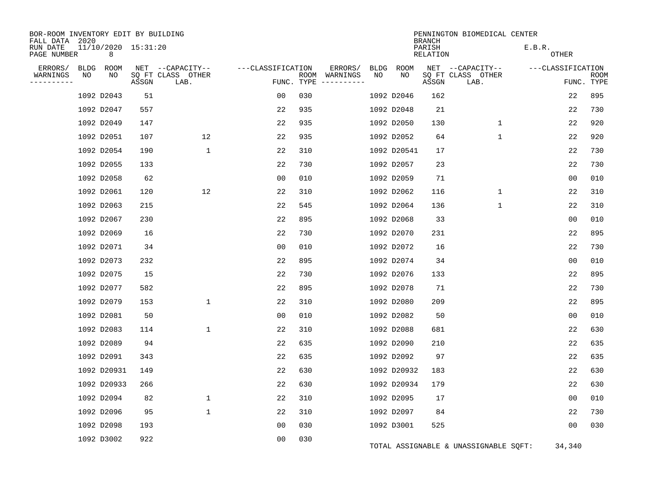| BOR-ROOM INVENTORY EDIT BY BUILDING<br>FALL DATA 2020 |      |                          |       |                           |                   |     |                              |             |             | <b>BRANCH</b>      | PENNINGTON BIOMEDICAL CENTER          |                   |                           |
|-------------------------------------------------------|------|--------------------------|-------|---------------------------|-------------------|-----|------------------------------|-------------|-------------|--------------------|---------------------------------------|-------------------|---------------------------|
| RUN DATE<br>PAGE NUMBER                               |      | 11/10/2020 15:31:20<br>8 |       |                           |                   |     |                              |             |             | PARISH<br>RELATION |                                       | E.B.R.<br>OTHER   |                           |
| ERRORS/                                               | BLDG | ROOM                     |       | NET --CAPACITY--          | ---CLASSIFICATION |     | ERRORS/                      | <b>BLDG</b> | ROOM        |                    | NET --CAPACITY--                      | ---CLASSIFICATION |                           |
| WARNINGS<br>----------                                | ΝO   | NO                       | ASSGN | SQ FT CLASS OTHER<br>LAB. | FUNC. TYPE        |     | ROOM WARNINGS<br>----------- | NO          | NO          | ASSGN              | SQ FT CLASS OTHER<br>LAB.             |                   | <b>ROOM</b><br>FUNC. TYPE |
|                                                       |      | 1092 D2043               | 51    |                           | 00                | 030 |                              |             | 1092 D2046  | 162                |                                       | 22                | 895                       |
|                                                       |      | 1092 D2047               | 557   |                           | 22                | 935 |                              |             | 1092 D2048  | 21                 |                                       | 22                | 730                       |
|                                                       |      | 1092 D2049               | 147   |                           | 22                | 935 |                              |             | 1092 D2050  | 130                | 1                                     | 22                | 920                       |
|                                                       |      | 1092 D2051               | 107   | 12                        | 22                | 935 |                              |             | 1092 D2052  | 64                 | $\mathbf{1}$                          | 22                | 920                       |
|                                                       |      | 1092 D2054               | 190   | $\mathbf 1$               | 22                | 310 |                              |             | 1092 D20541 | 17                 |                                       | 22                | 730                       |
|                                                       |      | 1092 D2055               | 133   |                           | 22                | 730 |                              |             | 1092 D2057  | 23                 |                                       | 22                | 730                       |
|                                                       |      | 1092 D2058               | 62    |                           | 0 <sub>0</sub>    | 010 |                              |             | 1092 D2059  | 71                 |                                       | 0 <sub>0</sub>    | 010                       |
|                                                       |      | 1092 D2061               | 120   | 12                        | 22                | 310 |                              |             | 1092 D2062  | 116                | $\mathbf{1}$                          | 22                | 310                       |
|                                                       |      | 1092 D2063               | 215   |                           | 22                | 545 |                              |             | 1092 D2064  | 136                | $\mathbf 1$                           | 22                | 310                       |
|                                                       |      | 1092 D2067               | 230   |                           | 22                | 895 |                              |             | 1092 D2068  | 33                 |                                       | 0 <sub>0</sub>    | 010                       |
|                                                       |      | 1092 D2069               | 16    |                           | 22                | 730 |                              |             | 1092 D2070  | 231                |                                       | 22                | 895                       |
|                                                       |      | 1092 D2071               | 34    |                           | 00                | 010 |                              |             | 1092 D2072  | 16                 |                                       | 22                | 730                       |
|                                                       |      | 1092 D2073               | 232   |                           | 22                | 895 |                              |             | 1092 D2074  | 34                 |                                       | 0 <sub>0</sub>    | 010                       |
|                                                       |      | 1092 D2075               | 15    |                           | 22                | 730 |                              |             | 1092 D2076  | 133                |                                       | 22                | 895                       |
|                                                       |      | 1092 D2077               | 582   |                           | 22                | 895 |                              |             | 1092 D2078  | 71                 |                                       | 22                | 730                       |
|                                                       |      | 1092 D2079               | 153   | 1                         | 22                | 310 |                              |             | 1092 D2080  | 209                |                                       | 22                | 895                       |
|                                                       |      | 1092 D2081               | 50    |                           | 0 <sub>0</sub>    | 010 |                              |             | 1092 D2082  | 50                 |                                       | 0 <sub>0</sub>    | 010                       |
|                                                       |      | 1092 D2083               | 114   | $\mathbf 1$               | 22                | 310 |                              |             | 1092 D2088  | 681                |                                       | 22                | 630                       |
|                                                       |      | 1092 D2089               | 94    |                           | 22                | 635 |                              |             | 1092 D2090  | 210                |                                       | 22                | 635                       |
|                                                       |      | 1092 D2091               | 343   |                           | 22                | 635 |                              |             | 1092 D2092  | 97                 |                                       | 22                | 635                       |
|                                                       |      | 1092 D20931              | 149   |                           | 22                | 630 |                              |             | 1092 D20932 | 183                |                                       | 22                | 630                       |
|                                                       |      | 1092 D20933              | 266   |                           | 22                | 630 |                              |             | 1092 D20934 | 179                |                                       | 22                | 630                       |
|                                                       |      | 1092 D2094               | 82    | 1                         | 22                | 310 |                              |             | 1092 D2095  | 17                 |                                       | 0 <sub>0</sub>    | 010                       |
|                                                       |      | 1092 D2096               | 95    | 1                         | 22                | 310 |                              |             | 1092 D2097  | 84                 |                                       | 22                | 730                       |
|                                                       |      | 1092 D2098               | 193   |                           | 00                | 030 |                              |             | 1092 D3001  | 525                |                                       | 00                | 030                       |
|                                                       |      | 1092 D3002               | 922   |                           | 0 <sub>0</sub>    | 030 |                              |             |             |                    | TOTAL ASSIGNABLE & UNASSIGNABLE SQFT: | 34,340            |                           |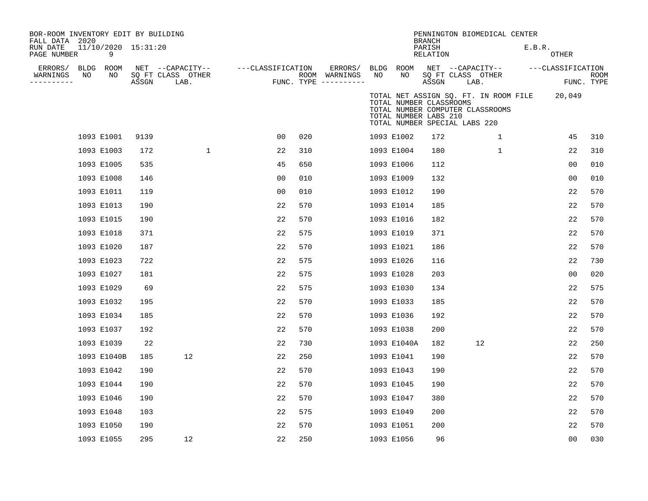| BOR-ROOM INVENTORY EDIT BY BUILDING<br>FALL DATA 2020<br>RUN DATE<br>PAGE NUMBER |    | 11/10/2020 15:31:20<br>9 |       |                                               |                   |     |                                                             |    |                                                                                   | <b>BRANCH</b><br>PARISH<br><b>RELATION</b> |                           | PENNINGTON BIOMEDICAL CENTER     | E.B.R.                                | <b>OTHER</b>      |                           |
|----------------------------------------------------------------------------------|----|--------------------------|-------|-----------------------------------------------|-------------------|-----|-------------------------------------------------------------|----|-----------------------------------------------------------------------------------|--------------------------------------------|---------------------------|----------------------------------|---------------------------------------|-------------------|---------------------------|
| ERRORS/<br>WARNINGS<br>---------                                                 | NO | BLDG ROOM<br>NO          | ASSGN | NET --CAPACITY--<br>SQ FT CLASS OTHER<br>LAB. | ---CLASSIFICATION |     | ERRORS/ BLDG ROOM<br>ROOM WARNINGS<br>FUNC. TYPE ---------- | NO | NO                                                                                | ASSGN                                      | SQ FT CLASS OTHER<br>LAB. | NET --CAPACITY--                 |                                       | ---CLASSIFICATION | <b>ROOM</b><br>FUNC. TYPE |
|                                                                                  |    |                          |       |                                               |                   |     |                                                             |    | TOTAL NUMBER CLASSROOMS<br>TOTAL NUMBER LABS 210<br>TOTAL NUMBER SPECIAL LABS 220 |                                            |                           | TOTAL NUMBER COMPUTER CLASSROOMS | TOTAL NET ASSIGN SQ. FT. IN ROOM FILE | 20,049            |                           |
|                                                                                  |    | 1093 E1001               | 9139  |                                               | 0 <sub>0</sub>    | 020 |                                                             |    | 1093 E1002                                                                        | 172                                        |                           | 1                                |                                       | 45                | 310                       |
|                                                                                  |    | 1093 E1003               | 172   | $\mathbf{1}$                                  | 22                | 310 |                                                             |    | 1093 E1004                                                                        | 180                                        |                           | $\mathbf{1}$                     |                                       | 22                | 310                       |
|                                                                                  |    | 1093 E1005               | 535   |                                               | 45                | 650 |                                                             |    | 1093 E1006                                                                        | 112                                        |                           |                                  |                                       | 0 <sub>0</sub>    | 010                       |
|                                                                                  |    | 1093 E1008               | 146   |                                               | 00                | 010 |                                                             |    | 1093 E1009                                                                        | 132                                        |                           |                                  |                                       | 0 <sub>0</sub>    | 010                       |
|                                                                                  |    | 1093 E1011               | 119   |                                               | 0 <sub>0</sub>    | 010 |                                                             |    | 1093 E1012                                                                        | 190                                        |                           |                                  |                                       | 22                | 570                       |
|                                                                                  |    | 1093 E1013               | 190   |                                               | 22                | 570 |                                                             |    | 1093 E1014                                                                        | 185                                        |                           |                                  |                                       | 22                | 570                       |
|                                                                                  |    | 1093 E1015               | 190   |                                               | 22                | 570 |                                                             |    | 1093 E1016                                                                        | 182                                        |                           |                                  |                                       | 22                | 570                       |
|                                                                                  |    | 1093 E1018               | 371   |                                               | 22                | 575 |                                                             |    | 1093 E1019                                                                        | 371                                        |                           |                                  |                                       | 22                | 570                       |
|                                                                                  |    | 1093 E1020               | 187   |                                               | 22                | 570 |                                                             |    | 1093 E1021                                                                        | 186                                        |                           |                                  |                                       | 22                | 570                       |
|                                                                                  |    | 1093 E1023               | 722   |                                               | 22                | 575 |                                                             |    | 1093 E1026                                                                        | 116                                        |                           |                                  |                                       | 22                | 730                       |
|                                                                                  |    | 1093 E1027               | 181   |                                               | 22                | 575 |                                                             |    | 1093 E1028                                                                        | 203                                        |                           |                                  |                                       | 00                | 020                       |
|                                                                                  |    | 1093 E1029               | 69    |                                               | 22                | 575 |                                                             |    | 1093 E1030                                                                        | 134                                        |                           |                                  |                                       | 22                | 575                       |
|                                                                                  |    | 1093 E1032               | 195   |                                               | 22                | 570 |                                                             |    | 1093 E1033                                                                        | 185                                        |                           |                                  |                                       | 22                | 570                       |
|                                                                                  |    | 1093 E1034               | 185   |                                               | 22                | 570 |                                                             |    | 1093 E1036                                                                        | 192                                        |                           |                                  |                                       | 22                | 570                       |
|                                                                                  |    | 1093 E1037               | 192   |                                               | 22                | 570 |                                                             |    | 1093 E1038                                                                        | 200                                        |                           |                                  |                                       | 22                | 570                       |
|                                                                                  |    | 1093 E1039               | 22    |                                               | 22                | 730 |                                                             |    | 1093 E1040A                                                                       | 182                                        |                           | 12                               |                                       | 22                | 250                       |
|                                                                                  |    | 1093 E1040B              | 185   | 12                                            | 22                | 250 |                                                             |    | 1093 E1041                                                                        | 190                                        |                           |                                  |                                       | 22                | 570                       |
|                                                                                  |    | 1093 E1042               | 190   |                                               | 22                | 570 |                                                             |    | 1093 E1043                                                                        | 190                                        |                           |                                  |                                       | 22                | 570                       |
|                                                                                  |    | 1093 E1044               | 190   |                                               | 22                | 570 |                                                             |    | 1093 E1045                                                                        | 190                                        |                           |                                  |                                       | 22                | 570                       |
|                                                                                  |    | 1093 E1046               | 190   |                                               | 22                | 570 |                                                             |    | 1093 E1047                                                                        | 380                                        |                           |                                  |                                       | 22                | 570                       |
|                                                                                  |    | 1093 E1048               | 103   |                                               | 22                | 575 |                                                             |    | 1093 E1049                                                                        | 200                                        |                           |                                  |                                       | 22                | 570                       |
|                                                                                  |    | 1093 E1050               | 190   |                                               | 22                | 570 |                                                             |    | 1093 E1051                                                                        | 200                                        |                           |                                  |                                       | 22                | 570                       |
|                                                                                  |    | 1093 E1055               | 295   | 12                                            | 22                | 250 |                                                             |    | 1093 E1056                                                                        | 96                                         |                           |                                  |                                       | 00                | 030                       |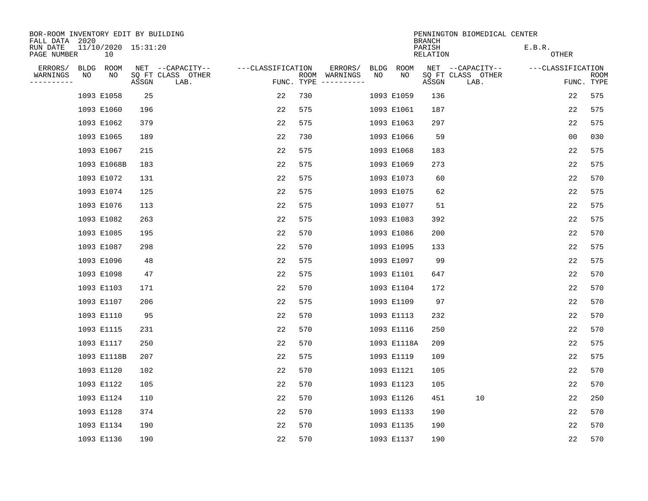| BOR-ROOM INVENTORY EDIT BY BUILDING<br>FALL DATA 2020 |       |                           |                   |     |                                      |             |             | <b>BRANCH</b>             | PENNINGTON BIOMEDICAL CENTER |                        |                           |
|-------------------------------------------------------|-------|---------------------------|-------------------|-----|--------------------------------------|-------------|-------------|---------------------------|------------------------------|------------------------|---------------------------|
| 11/10/2020 15:31:20<br>RUN DATE<br>PAGE NUMBER<br>10  |       |                           |                   |     |                                      |             |             | PARISH<br><b>RELATION</b> |                              | E.B.R.<br><b>OTHER</b> |                           |
| ERRORS/<br><b>BLDG</b><br>ROOM                        |       | NET --CAPACITY--          | ---CLASSIFICATION |     | ERRORS/                              | <b>BLDG</b> | <b>ROOM</b> |                           | NET --CAPACITY--             | ---CLASSIFICATION      |                           |
| WARNINGS<br>NO<br>NO<br>----------                    | ASSGN | SQ FT CLASS OTHER<br>LAB. |                   |     | ROOM WARNINGS<br>FUNC. TYPE $------$ | NO          | NO          | ASSGN                     | SQ FT CLASS OTHER<br>LAB.    |                        | <b>ROOM</b><br>FUNC. TYPE |
| 1093 E1058                                            | 25    |                           | 22                | 730 |                                      |             | 1093 E1059  | 136                       |                              | 22                     | 575                       |
| 1093 E1060                                            | 196   |                           | 22                | 575 |                                      |             | 1093 E1061  | 187                       |                              | 22                     | 575                       |
| 1093 E1062                                            | 379   |                           | 22                | 575 |                                      |             | 1093 E1063  | 297                       |                              | 22                     | 575                       |
| 1093 E1065                                            | 189   |                           | 22                | 730 |                                      |             | 1093 E1066  | 59                        |                              | 0 <sub>0</sub>         | 030                       |
| 1093 E1067                                            | 215   |                           | 22                | 575 |                                      |             | 1093 E1068  | 183                       |                              | 22                     | 575                       |
| 1093 E1068B                                           | 183   |                           | 22                | 575 |                                      |             | 1093 E1069  | 273                       |                              | 22                     | 575                       |
| 1093 E1072                                            | 131   |                           | 22                | 575 |                                      |             | 1093 E1073  | 60                        |                              | 22                     | 570                       |
| 1093 E1074                                            | 125   |                           | 22                | 575 |                                      |             | 1093 E1075  | 62                        |                              | 22                     | 575                       |
| 1093 E1076                                            | 113   |                           | 22                | 575 |                                      |             | 1093 E1077  | 51                        |                              | 22                     | 575                       |
| 1093 E1082                                            | 263   |                           | 22                | 575 |                                      |             | 1093 E1083  | 392                       |                              | 22                     | 575                       |
| 1093 E1085                                            | 195   |                           | 22                | 570 |                                      |             | 1093 E1086  | 200                       |                              | 22                     | 570                       |
| 1093 E1087                                            | 298   |                           | 22                | 570 |                                      |             | 1093 E1095  | 133                       |                              | 22                     | 575                       |
| 1093 E1096                                            | 48    |                           | 22                | 575 |                                      |             | 1093 E1097  | 99                        |                              | 22                     | 575                       |
| 1093 E1098                                            | 47    |                           | 22                | 575 |                                      |             | 1093 E1101  | 647                       |                              | 22                     | 570                       |
| 1093 E1103                                            | 171   |                           | 22                | 570 |                                      |             | 1093 E1104  | 172                       |                              | 22                     | 570                       |
| 1093 E1107                                            | 206   |                           | 22                | 575 |                                      |             | 1093 E1109  | 97                        |                              | 22                     | 570                       |
| 1093 E1110                                            | 95    |                           | 22                | 570 |                                      |             | 1093 E1113  | 232                       |                              | 22                     | 570                       |
| 1093 E1115                                            | 231   |                           | 22                | 570 |                                      |             | 1093 E1116  | 250                       |                              | 22                     | 570                       |
| 1093 E1117                                            | 250   |                           | 22                | 570 |                                      |             | 1093 E1118A | 209                       |                              | 22                     | 575                       |
| 1093 E1118B                                           | 207   |                           | 22                | 575 |                                      |             | 1093 E1119  | 109                       |                              | 22                     | 575                       |
| 1093 E1120                                            | 102   |                           | 22                | 570 |                                      |             | 1093 E1121  | 105                       |                              | 22                     | 570                       |
| 1093 E1122                                            | 105   |                           | 22                | 570 |                                      |             | 1093 E1123  | 105                       |                              | 22                     | 570                       |
| 1093 E1124                                            | 110   |                           | 22                | 570 |                                      |             | 1093 E1126  | 451                       | 10                           | 22                     | 250                       |
| 1093 E1128                                            | 374   |                           | 22                | 570 |                                      |             | 1093 E1133  | 190                       |                              | 22                     | 570                       |
| 1093 E1134                                            | 190   |                           | 22                | 570 |                                      |             | 1093 E1135  | 190                       |                              | 22                     | 570                       |
| 1093 E1136                                            | 190   |                           | 22                | 570 |                                      |             | 1093 E1137  | 190                       |                              | 22                     | 570                       |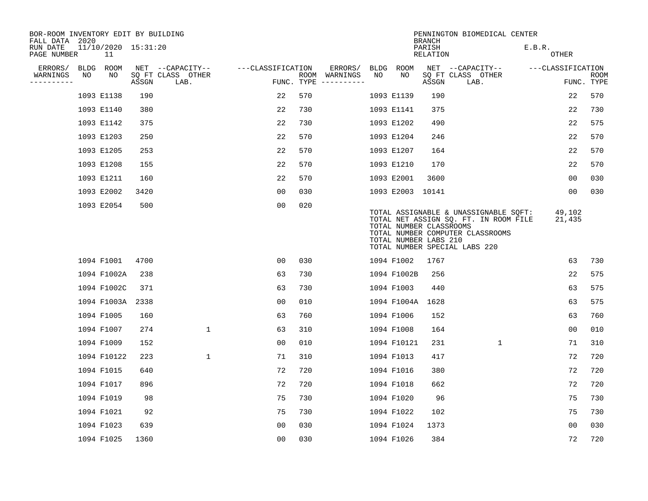| BOR-ROOM INVENTORY EDIT BY BUILDING<br>FALL DATA 2020 |      |                           |       |                           |                   |            |                              |    |                                                  | <b>BRANCH</b>             | PENNINGTON BIOMEDICAL CENTER                                                                                                                        |                        |                           |
|-------------------------------------------------------|------|---------------------------|-------|---------------------------|-------------------|------------|------------------------------|----|--------------------------------------------------|---------------------------|-----------------------------------------------------------------------------------------------------------------------------------------------------|------------------------|---------------------------|
| RUN DATE<br>PAGE NUMBER                               |      | 11/10/2020 15:31:20<br>11 |       |                           |                   |            |                              |    |                                                  | PARISH<br><b>RELATION</b> |                                                                                                                                                     | E.B.R.<br><b>OTHER</b> |                           |
| ERRORS/                                               | BLDG | ROOM                      |       | NET --CAPACITY--          | ---CLASSIFICATION |            | ERRORS/                      |    | BLDG ROOM                                        |                           | NET --CAPACITY--                                                                                                                                    | ---CLASSIFICATION      |                           |
| WARNINGS<br>----------                                | NO   | NO                        | ASSGN | SQ FT CLASS OTHER<br>LAB. |                   | FUNC. TYPE | ROOM WARNINGS<br>----------- | NO | NO                                               | ASSGN                     | SQ FT CLASS OTHER<br>LAB.                                                                                                                           |                        | <b>ROOM</b><br>FUNC. TYPE |
|                                                       |      | 1093 E1138                | 190   |                           | 22                | 570        |                              |    | 1093 E1139                                       | 190                       |                                                                                                                                                     | 22                     | 570                       |
|                                                       |      | 1093 E1140                | 380   |                           | 22                | 730        |                              |    | 1093 E1141                                       | 375                       |                                                                                                                                                     | 22                     | 730                       |
|                                                       |      | 1093 E1142                | 375   |                           | 22                | 730        |                              |    | 1093 E1202                                       | 490                       |                                                                                                                                                     | 22                     | 575                       |
|                                                       |      | 1093 E1203                | 250   |                           | 22                | 570        |                              |    | 1093 E1204                                       | 246                       |                                                                                                                                                     | 22                     | 570                       |
|                                                       |      | 1093 E1205                | 253   |                           | 22                | 570        |                              |    | 1093 E1207                                       | 164                       |                                                                                                                                                     | 22                     | 570                       |
|                                                       |      | 1093 E1208                | 155   |                           | 22                | 570        |                              |    | 1093 E1210                                       | 170                       |                                                                                                                                                     | 22                     | 570                       |
|                                                       |      | 1093 E1211                | 160   |                           | 22                | 570        |                              |    | 1093 E2001                                       | 3600                      |                                                                                                                                                     | 0 <sub>0</sub>         | 030                       |
|                                                       |      | 1093 E2002                | 3420  |                           | 0 <sub>0</sub>    | 030        |                              |    | 1093 E2003 10141                                 |                           |                                                                                                                                                     | 0 <sub>0</sub>         | 030                       |
|                                                       |      | 1093 E2054                | 500   |                           | 0 <sub>0</sub>    | 020        |                              |    | TOTAL NUMBER CLASSROOMS<br>TOTAL NUMBER LABS 210 |                           | TOTAL ASSIGNABLE & UNASSIGNABLE SQFT:<br>TOTAL NET ASSIGN SQ. FT. IN ROOM FILE<br>TOTAL NUMBER COMPUTER CLASSROOMS<br>TOTAL NUMBER SPECIAL LABS 220 | 49,102<br>21,435       |                           |
|                                                       |      | 1094 F1001                | 4700  |                           | 00                | 030        |                              |    | 1094 F1002                                       | 1767                      |                                                                                                                                                     | 63                     | 730                       |
|                                                       |      | 1094 F1002A               | 238   |                           | 63                | 730        |                              |    | 1094 F1002B                                      | 256                       |                                                                                                                                                     | 22                     | 575                       |
|                                                       |      | 1094 F1002C               | 371   |                           | 63                | 730        |                              |    | 1094 F1003                                       | 440                       |                                                                                                                                                     | 63                     | 575                       |
|                                                       |      | 1094 F1003A               | 2338  |                           | 0 <sub>0</sub>    | 010        |                              |    | 1094 F1004A                                      | 1628                      |                                                                                                                                                     | 63                     | 575                       |
|                                                       |      | 1094 F1005                | 160   |                           | 63                | 760        |                              |    | 1094 F1006                                       | 152                       |                                                                                                                                                     | 63                     | 760                       |
|                                                       |      | 1094 F1007                | 274   | 1                         | 63                | 310        |                              |    | 1094 F1008                                       | 164                       |                                                                                                                                                     | 0 <sub>0</sub>         | 010                       |
|                                                       |      | 1094 F1009                | 152   |                           | 0 <sub>0</sub>    | 010        |                              |    | 1094 F10121                                      | 231                       | $\mathbf 1$                                                                                                                                         | 71                     | 310                       |
|                                                       |      | 1094 F10122               | 223   | $\mathbf{1}$              | 71                | 310        |                              |    | 1094 F1013                                       | 417                       |                                                                                                                                                     | 72                     | 720                       |
|                                                       |      | 1094 F1015                | 640   |                           | 72                | 720        |                              |    | 1094 F1016                                       | 380                       |                                                                                                                                                     | 72                     | 720                       |
|                                                       |      | 1094 F1017                | 896   |                           | 72                | 720        |                              |    | 1094 F1018                                       | 662                       |                                                                                                                                                     | 72                     | 720                       |
|                                                       |      | 1094 F1019                | 98    |                           | 75                | 730        |                              |    | 1094 F1020                                       | 96                        |                                                                                                                                                     | 75                     | 730                       |
|                                                       |      | 1094 F1021                | 92    |                           | 75                | 730        |                              |    | 1094 F1022                                       | 102                       |                                                                                                                                                     | 75                     | 730                       |
|                                                       |      | 1094 F1023                | 639   |                           | 0 <sub>0</sub>    | 030        |                              |    | 1094 F1024                                       | 1373                      |                                                                                                                                                     | 0 <sub>0</sub>         | 030                       |
|                                                       |      | 1094 F1025                | 1360  |                           | 0 <sub>0</sub>    | 030        |                              |    | 1094 F1026                                       | 384                       |                                                                                                                                                     | 72                     | 720                       |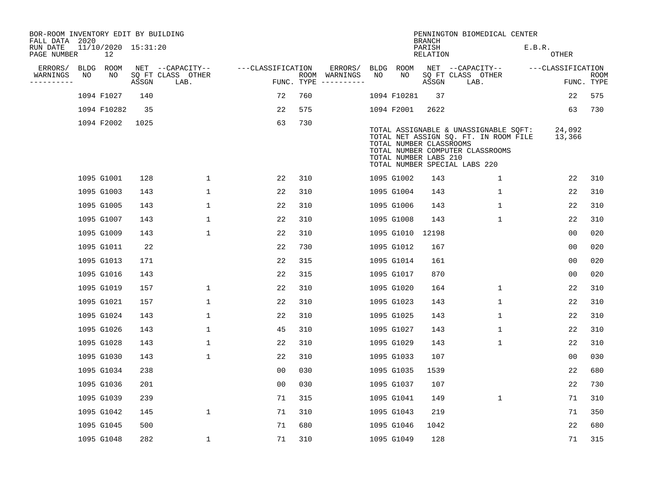| BOR-ROOM INVENTORY EDIT BY BUILDING<br>FALL DATA 2020 |    |                           |       |                           |                   |     |                                      |      |             | <b>BRANCH</b>                                    | PENNINGTON BIOMEDICAL CENTER                                                                                                                        |                   |                           |
|-------------------------------------------------------|----|---------------------------|-------|---------------------------|-------------------|-----|--------------------------------------|------|-------------|--------------------------------------------------|-----------------------------------------------------------------------------------------------------------------------------------------------------|-------------------|---------------------------|
| RUN DATE<br>PAGE NUMBER                               |    | 11/10/2020 15:31:20<br>12 |       |                           |                   |     |                                      |      |             | PARISH<br>RELATION                               |                                                                                                                                                     | E.B.R.<br>OTHER   |                           |
| ERRORS/                                               |    | BLDG ROOM                 |       | NET --CAPACITY--          | ---CLASSIFICATION |     | ERRORS/                              | BLDG | <b>ROOM</b> |                                                  | NET --CAPACITY--                                                                                                                                    | ---CLASSIFICATION |                           |
| WARNINGS<br>----------                                | NO | NO                        | ASSGN | SQ FT CLASS OTHER<br>LAB. |                   |     | ROOM WARNINGS<br>FUNC. TYPE $------$ | NO.  | NO.         | ASSGN                                            | SQ FT CLASS OTHER<br>LAB.                                                                                                                           |                   | <b>ROOM</b><br>FUNC. TYPE |
|                                                       |    | 1094 F1027                | 140   |                           | 72                | 760 |                                      |      | 1094 F10281 | 37                                               |                                                                                                                                                     | 22                | 575                       |
|                                                       |    | 1094 F10282               | 35    |                           | 22                | 575 |                                      |      | 1094 F2001  | 2622                                             |                                                                                                                                                     | 63                | 730                       |
|                                                       |    | 1094 F2002                | 1025  |                           | 63                | 730 |                                      |      |             |                                                  |                                                                                                                                                     |                   |                           |
|                                                       |    |                           |       |                           |                   |     |                                      |      |             | TOTAL NUMBER CLASSROOMS<br>TOTAL NUMBER LABS 210 | TOTAL ASSIGNABLE & UNASSIGNABLE SQFT:<br>TOTAL NET ASSIGN SQ. FT. IN ROOM FILE<br>TOTAL NUMBER COMPUTER CLASSROOMS<br>TOTAL NUMBER SPECIAL LABS 220 | 24,092<br>13,366  |                           |
|                                                       |    | 1095 G1001                | 128   | $\mathbf{1}$              | 22                | 310 |                                      |      | 1095 G1002  | 143                                              | $\mathbf 1$                                                                                                                                         | 22                | 310                       |
|                                                       |    | 1095 G1003                | 143   | $\mathbf 1$               | 22                | 310 |                                      |      | 1095 G1004  | 143                                              | 1                                                                                                                                                   | 22                | 310                       |
|                                                       |    | 1095 G1005                | 143   | $\mathbf 1$               | 22                | 310 |                                      |      | 1095 G1006  | 143                                              | $\mathbf 1$                                                                                                                                         | 22                | 310                       |
|                                                       |    | 1095 G1007                | 143   | 1                         | 22                | 310 |                                      |      | 1095 G1008  | 143                                              | $\mathbf 1$                                                                                                                                         | 22                | 310                       |
|                                                       |    | 1095 G1009                | 143   | $\mathbf{1}$              | 22                | 310 |                                      |      | 1095 G1010  | 12198                                            |                                                                                                                                                     | 0 <sub>0</sub>    | 020                       |
|                                                       |    | 1095 G1011                | 22    |                           | 22                | 730 |                                      |      | 1095 G1012  | 167                                              |                                                                                                                                                     | 0 <sub>0</sub>    | 020                       |
|                                                       |    | 1095 G1013                | 171   |                           | 22                | 315 |                                      |      | 1095 G1014  | 161                                              |                                                                                                                                                     | 0 <sub>0</sub>    | 020                       |
|                                                       |    | 1095 G1016                | 143   |                           | 22                | 315 |                                      |      | 1095 G1017  | 870                                              |                                                                                                                                                     | 00                | 020                       |
|                                                       |    | 1095 G1019                | 157   | 1                         | 22                | 310 |                                      |      | 1095 G1020  | 164                                              | 1                                                                                                                                                   | 22                | 310                       |
|                                                       |    | 1095 G1021                | 157   | $\mathbf{1}$              | 22                | 310 |                                      |      | 1095 G1023  | 143                                              | $\mathbf 1$                                                                                                                                         | 22                | 310                       |
|                                                       |    | 1095 G1024                | 143   | 1                         | 22                | 310 |                                      |      | 1095 G1025  | 143                                              | 1                                                                                                                                                   | 22                | 310                       |
|                                                       |    | 1095 G1026                | 143   | $\mathbf{1}$              | 45                | 310 |                                      |      | 1095 G1027  | 143                                              | 1                                                                                                                                                   | 22                | 310                       |
|                                                       |    | 1095 G1028                | 143   | $\mathbf{1}$              | 22                | 310 |                                      |      | 1095 G1029  | 143                                              | 1                                                                                                                                                   | 22                | 310                       |
|                                                       |    | 1095 G1030                | 143   | $\mathbf{1}$              | 22                | 310 |                                      |      | 1095 G1033  | 107                                              |                                                                                                                                                     | 0 <sub>0</sub>    | 030                       |
|                                                       |    | 1095 G1034                | 238   |                           | 0 <sub>0</sub>    | 030 |                                      |      | 1095 G1035  | 1539                                             |                                                                                                                                                     | 22                | 680                       |
|                                                       |    | 1095 G1036                | 201   |                           | 0 <sub>0</sub>    | 030 |                                      |      | 1095 G1037  | 107                                              |                                                                                                                                                     | 22                | 730                       |
|                                                       |    | 1095 G1039                | 239   |                           | 71                | 315 |                                      |      | 1095 G1041  | 149                                              | $\mathbf 1$                                                                                                                                         | 71                | 310                       |
|                                                       |    | 1095 G1042                | 145   | $\mathbf 1$               | 71                | 310 |                                      |      | 1095 G1043  | 219                                              |                                                                                                                                                     | 71                | 350                       |
|                                                       |    | 1095 G1045                | 500   |                           | 71                | 680 |                                      |      | 1095 G1046  | 1042                                             |                                                                                                                                                     | 22                | 680                       |
|                                                       |    | 1095 G1048                | 282   | $\mathbf 1$               | 71                | 310 |                                      |      | 1095 G1049  | 128                                              |                                                                                                                                                     | 71                | 315                       |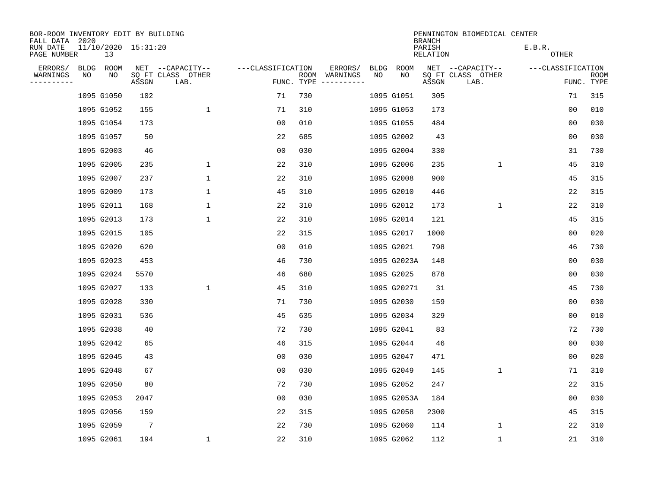| BOR-ROOM INVENTORY EDIT BY BUILDING<br>FALL DATA 2020 |    |            |                     |                           |                   |      |                                 |             |             | <b>BRANCH</b>      | PENNINGTON BIOMEDICAL CENTER |                        |                           |
|-------------------------------------------------------|----|------------|---------------------|---------------------------|-------------------|------|---------------------------------|-------------|-------------|--------------------|------------------------------|------------------------|---------------------------|
| RUN DATE<br>PAGE NUMBER                               |    | 13         | 11/10/2020 15:31:20 |                           |                   |      |                                 |             |             | PARISH<br>RELATION |                              | E.B.R.<br><b>OTHER</b> |                           |
| ERRORS/                                               |    | BLDG ROOM  |                     | NET --CAPACITY--          | ---CLASSIFICATION |      | ERRORS/                         | <b>BLDG</b> | <b>ROOM</b> |                    | NET --CAPACITY--             | ---CLASSIFICATION      |                           |
| WARNINGS<br>-----------                               | NO | NO         | ASSGN               | SQ FT CLASS OTHER<br>LAB. |                   | ROOM | WARNINGS<br>FUNC. TYPE $------$ | NO          | NO          | ASSGN              | SQ FT CLASS OTHER<br>LAB.    |                        | <b>ROOM</b><br>FUNC. TYPE |
|                                                       |    | 1095 G1050 | 102                 |                           | 71                | 730  |                                 |             | 1095 G1051  | 305                |                              | 71                     | 315                       |
|                                                       |    | 1095 G1052 | 155                 | $\mathbf{1}$              | 71                | 310  |                                 |             | 1095 G1053  | 173                |                              | 0 <sub>0</sub>         | 010                       |
|                                                       |    | 1095 G1054 | 173                 |                           | 0 <sub>0</sub>    | 010  |                                 |             | 1095 G1055  | 484                |                              | 0 <sub>0</sub>         | 030                       |
|                                                       |    | 1095 G1057 | 50                  |                           | 22                | 685  |                                 |             | 1095 G2002  | 43                 |                              | 0 <sub>0</sub>         | 030                       |
|                                                       |    | 1095 G2003 | 46                  |                           | 0 <sub>0</sub>    | 030  |                                 |             | 1095 G2004  | 330                |                              | 31                     | 730                       |
|                                                       |    | 1095 G2005 | 235                 | $\mathbf 1$               | 22                | 310  |                                 |             | 1095 G2006  | 235                | $\mathbf 1$                  | 45                     | 310                       |
|                                                       |    | 1095 G2007 | 237                 | $\mathbf 1$               | 22                | 310  |                                 |             | 1095 G2008  | 900                |                              | 45                     | 315                       |
|                                                       |    | 1095 G2009 | 173                 | $\mathbf 1$               | 45                | 310  |                                 |             | 1095 G2010  | 446                |                              | 22                     | 315                       |
|                                                       |    | 1095 G2011 | 168                 | $\mathbf{1}$              | 22                | 310  |                                 |             | 1095 G2012  | 173                | $\mathbf 1$                  | 22                     | 310                       |
|                                                       |    | 1095 G2013 | 173                 | $\mathbf 1$               | 22                | 310  |                                 |             | 1095 G2014  | 121                |                              | 45                     | 315                       |
|                                                       |    | 1095 G2015 | 105                 |                           | 22                | 315  |                                 |             | 1095 G2017  | 1000               |                              | 0 <sub>0</sub>         | 020                       |
|                                                       |    | 1095 G2020 | 620                 |                           | 0 <sub>0</sub>    | 010  |                                 |             | 1095 G2021  | 798                |                              | 46                     | 730                       |
|                                                       |    | 1095 G2023 | 453                 |                           | 46                | 730  |                                 |             | 1095 G2023A | 148                |                              | 0 <sub>0</sub>         | 030                       |
|                                                       |    | 1095 G2024 | 5570                |                           | 46                | 680  |                                 |             | 1095 G2025  | 878                |                              | 0 <sub>0</sub>         | 030                       |
|                                                       |    | 1095 G2027 | 133                 | $\mathbf 1$               | 45                | 310  |                                 |             | 1095 G20271 | 31                 |                              | 45                     | 730                       |
|                                                       |    | 1095 G2028 | 330                 |                           | 71                | 730  |                                 |             | 1095 G2030  | 159                |                              | 0 <sub>0</sub>         | 030                       |
|                                                       |    | 1095 G2031 | 536                 |                           | 45                | 635  |                                 |             | 1095 G2034  | 329                |                              | 0 <sub>0</sub>         | 010                       |
|                                                       |    | 1095 G2038 | 40                  |                           | 72                | 730  |                                 |             | 1095 G2041  | 83                 |                              | 72                     | 730                       |
|                                                       |    | 1095 G2042 | 65                  |                           | 46                | 315  |                                 |             | 1095 G2044  | 46                 |                              | 0 <sub>0</sub>         | 030                       |
|                                                       |    | 1095 G2045 | 43                  |                           | 0 <sub>0</sub>    | 030  |                                 |             | 1095 G2047  | 471                |                              | 0 <sub>0</sub>         | 020                       |
|                                                       |    | 1095 G2048 | 67                  |                           | 0 <sub>0</sub>    | 030  |                                 |             | 1095 G2049  | 145                | $\mathbf 1$                  | 71                     | 310                       |
|                                                       |    | 1095 G2050 | 80                  |                           | 72                | 730  |                                 |             | 1095 G2052  | 247                |                              | 22                     | 315                       |
|                                                       |    | 1095 G2053 | 2047                |                           | 0 <sub>0</sub>    | 030  |                                 |             | 1095 G2053A | 184                |                              | 00                     | 030                       |
|                                                       |    | 1095 G2056 | 159                 |                           | 22                | 315  |                                 |             | 1095 G2058  | 2300               |                              | 45                     | 315                       |
|                                                       |    | 1095 G2059 | $7\phantom{.0}$     |                           | 22                | 730  |                                 |             | 1095 G2060  | 114                | 1                            | 22                     | 310                       |
|                                                       |    | 1095 G2061 | 194                 | $\mathbf 1$               | 22                | 310  |                                 |             | 1095 G2062  | 112                | 1                            | 21                     | 310                       |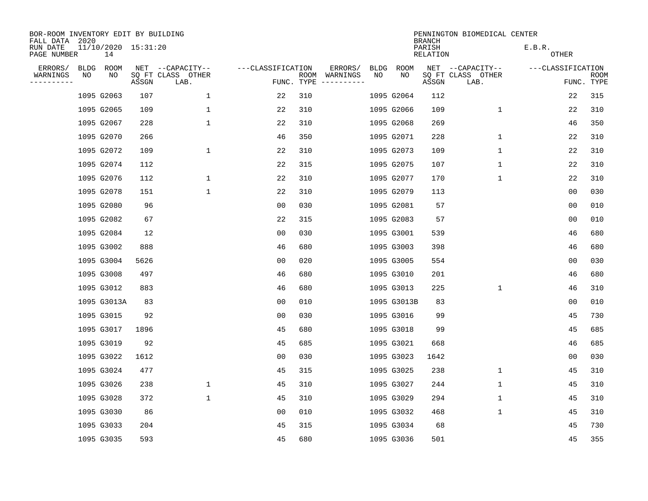| BOR-ROOM INVENTORY EDIT BY BUILDING<br>FALL DATA 2020 |    |                           |       |                           |                   |     |                                      |             |             | <b>BRANCH</b>      | PENNINGTON BIOMEDICAL CENTER |                        |                           |
|-------------------------------------------------------|----|---------------------------|-------|---------------------------|-------------------|-----|--------------------------------------|-------------|-------------|--------------------|------------------------------|------------------------|---------------------------|
| RUN DATE<br>PAGE NUMBER                               |    | 11/10/2020 15:31:20<br>14 |       |                           |                   |     |                                      |             |             | PARISH<br>RELATION |                              | E.B.R.<br><b>OTHER</b> |                           |
| ERRORS/                                               |    | BLDG ROOM                 |       | NET --CAPACITY--          | ---CLASSIFICATION |     | ERRORS/                              | <b>BLDG</b> | <b>ROOM</b> |                    | NET --CAPACITY--             | ---CLASSIFICATION      |                           |
| WARNINGS<br>----------                                | NO | NO                        | ASSGN | SQ FT CLASS OTHER<br>LAB. |                   |     | ROOM WARNINGS<br>FUNC. TYPE $------$ | NO          | NO          | ASSGN              | SQ FT CLASS OTHER<br>LAB.    |                        | <b>ROOM</b><br>FUNC. TYPE |
|                                                       |    | 1095 G2063                | 107   | 1                         | 22                | 310 |                                      |             | 1095 G2064  | 112                |                              | 22                     | 315                       |
|                                                       |    | 1095 G2065                | 109   | $\mathbf 1$               | 22                | 310 |                                      |             | 1095 G2066  | 109                | 1                            | 22                     | 310                       |
|                                                       |    | 1095 G2067                | 228   | $\mathbf 1$               | 22                | 310 |                                      |             | 1095 G2068  | 269                |                              | 46                     | 350                       |
|                                                       |    | 1095 G2070                | 266   |                           | 46                | 350 |                                      |             | 1095 G2071  | 228                | $\mathbf 1$                  | 22                     | 310                       |
|                                                       |    | 1095 G2072                | 109   | $\mathbf 1$               | 22                | 310 |                                      |             | 1095 G2073  | 109                | $\mathbf 1$                  | 22                     | 310                       |
|                                                       |    | 1095 G2074                | 112   |                           | 22                | 315 |                                      |             | 1095 G2075  | 107                | 1                            | 22                     | 310                       |
|                                                       |    | 1095 G2076                | 112   | $\mathbf 1$               | 22                | 310 |                                      |             | 1095 G2077  | 170                | $\mathbf 1$                  | 22                     | 310                       |
|                                                       |    | 1095 G2078                | 151   | $\mathbf{1}$              | 22                | 310 |                                      |             | 1095 G2079  | 113                |                              | 0 <sub>0</sub>         | 030                       |
|                                                       |    | 1095 G2080                | 96    |                           | 00                | 030 |                                      |             | 1095 G2081  | 57                 |                              | 0 <sub>0</sub>         | 010                       |
|                                                       |    | 1095 G2082                | 67    |                           | 22                | 315 |                                      |             | 1095 G2083  | 57                 |                              | 0 <sub>0</sub>         | 010                       |
|                                                       |    | 1095 G2084                | 12    |                           | 00                | 030 |                                      |             | 1095 G3001  | 539                |                              | 46                     | 680                       |
|                                                       |    | 1095 G3002                | 888   |                           | 46                | 680 |                                      |             | 1095 G3003  | 398                |                              | 46                     | 680                       |
|                                                       |    | 1095 G3004                | 5626  |                           | 0 <sub>0</sub>    | 020 |                                      |             | 1095 G3005  | 554                |                              | 0 <sub>0</sub>         | 030                       |
|                                                       |    | 1095 G3008                | 497   |                           | 46                | 680 |                                      |             | 1095 G3010  | 201                |                              | 46                     | 680                       |
|                                                       |    | 1095 G3012                | 883   |                           | 46                | 680 |                                      |             | 1095 G3013  | 225                | 1                            | 46                     | 310                       |
|                                                       |    | 1095 G3013A               | 83    |                           | 0 <sub>0</sub>    | 010 |                                      |             | 1095 G3013B | 83                 |                              | 0 <sub>0</sub>         | 010                       |
|                                                       |    | 1095 G3015                | 92    |                           | 0 <sub>0</sub>    | 030 |                                      |             | 1095 G3016  | 99                 |                              | 45                     | 730                       |
|                                                       |    | 1095 G3017                | 1896  |                           | 45                | 680 |                                      |             | 1095 G3018  | 99                 |                              | 45                     | 685                       |
|                                                       |    | 1095 G3019                | 92    |                           | 45                | 685 |                                      |             | 1095 G3021  | 668                |                              | 46                     | 685                       |
|                                                       |    | 1095 G3022                | 1612  |                           | 0 <sub>0</sub>    | 030 |                                      |             | 1095 G3023  | 1642               |                              | 0 <sub>0</sub>         | 030                       |
|                                                       |    | 1095 G3024                | 477   |                           | 45                | 315 |                                      |             | 1095 G3025  | 238                | 1                            | 45                     | 310                       |
|                                                       |    | 1095 G3026                | 238   | $\mathbf 1$               | 45                | 310 |                                      |             | 1095 G3027  | 244                | $\mathbf 1$                  | 45                     | 310                       |
|                                                       |    | 1095 G3028                | 372   | $\mathbf{1}$              | 45                | 310 |                                      |             | 1095 G3029  | 294                | 1                            | 45                     | 310                       |
|                                                       |    | 1095 G3030                | 86    |                           | 0 <sub>0</sub>    | 010 |                                      |             | 1095 G3032  | 468                | $\mathbf 1$                  | 45                     | 310                       |
|                                                       |    | 1095 G3033                | 204   |                           | 45                | 315 |                                      |             | 1095 G3034  | 68                 |                              | 45                     | 730                       |
|                                                       |    | 1095 G3035                | 593   |                           | 45                | 680 |                                      |             | 1095 G3036  | 501                |                              | 45                     | 355                       |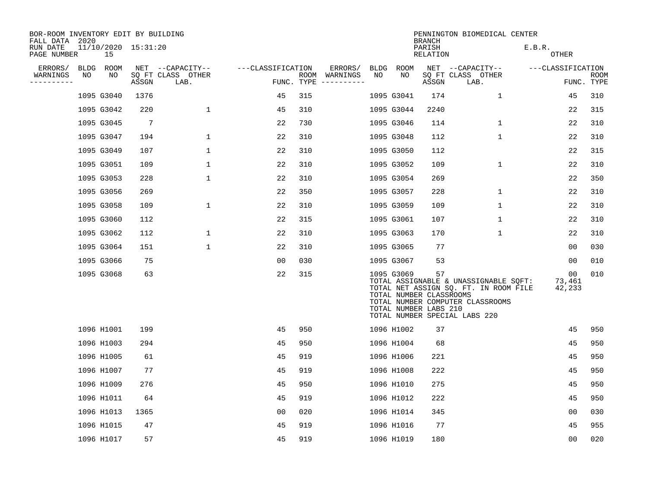| BOR-ROOM INVENTORY EDIT BY BUILDING<br>FALL DATA 2020 |    |            |                     |                           |                   |     |                                      |      |                                                                | <b>BRANCH</b>      | PENNINGTON BIOMEDICAL CENTER                                                                                                                        |                        |                    |
|-------------------------------------------------------|----|------------|---------------------|---------------------------|-------------------|-----|--------------------------------------|------|----------------------------------------------------------------|--------------------|-----------------------------------------------------------------------------------------------------------------------------------------------------|------------------------|--------------------|
| RUN DATE<br>PAGE NUMBER                               |    | 15         | 11/10/2020 15:31:20 |                           |                   |     |                                      |      |                                                                | PARISH<br>RELATION |                                                                                                                                                     | E.B.R.<br>OTHER        |                    |
| ERRORS/                                               |    | BLDG ROOM  |                     | NET --CAPACITY--          | ---CLASSIFICATION |     | ERRORS/                              | BLDG | ROOM                                                           |                    | NET --CAPACITY--                                                                                                                                    | ---CLASSIFICATION      |                    |
| WARNINGS<br>----------                                | NO | NO         | ASSGN               | SO FT CLASS OTHER<br>LAB. |                   |     | ROOM WARNINGS<br>FUNC. TYPE $------$ | NO   | NO                                                             | ASSGN              | SQ FT CLASS OTHER<br>LAB.                                                                                                                           |                        | ROOM<br>FUNC. TYPE |
|                                                       |    | 1095 G3040 | 1376                |                           | 45                | 315 |                                      |      | 1095 G3041                                                     | 174                | $\mathbf 1$                                                                                                                                         | 45                     | 310                |
|                                                       |    | 1095 G3042 | 220                 | 1                         | 45                | 310 |                                      |      | 1095 G3044                                                     | 2240               |                                                                                                                                                     | 22                     | 315                |
|                                                       |    | 1095 G3045 | -7                  |                           | 22                | 730 |                                      |      | 1095 G3046                                                     | 114                | 1                                                                                                                                                   | 22                     | 310                |
|                                                       |    | 1095 G3047 | 194                 | $\mathbf 1$               | 22                | 310 |                                      |      | 1095 G3048                                                     | 112                | $\mathbf 1$                                                                                                                                         | 22                     | 310                |
|                                                       |    | 1095 G3049 | 107                 | $\mathbf{1}$              | 22                | 310 |                                      |      | 1095 G3050                                                     | 112                |                                                                                                                                                     | 22                     | 315                |
|                                                       |    | 1095 G3051 | 109                 | $\mathbf 1$               | 22                | 310 |                                      |      | 1095 G3052                                                     | 109                | $\mathbf 1$                                                                                                                                         | 22                     | 310                |
|                                                       |    | 1095 G3053 | 228                 | $\mathbf 1$               | 22                | 310 |                                      |      | 1095 G3054                                                     | 269                |                                                                                                                                                     | 22                     | 350                |
|                                                       |    | 1095 G3056 | 269                 |                           | 22                | 350 |                                      |      | 1095 G3057                                                     | 228                | $\mathbf 1$                                                                                                                                         | 22                     | 310                |
|                                                       |    | 1095 G3058 | 109                 | $\mathbf 1$               | 22                | 310 |                                      |      | 1095 G3059                                                     | 109                | $\mathbf 1$                                                                                                                                         | 22                     | 310                |
|                                                       |    | 1095 G3060 | 112                 |                           | 22                | 315 |                                      |      | 1095 G3061                                                     | 107                | 1                                                                                                                                                   | 22                     | 310                |
|                                                       |    | 1095 G3062 | 112                 | 1                         | 22                | 310 |                                      |      | 1095 G3063                                                     | 170                | 1                                                                                                                                                   | 22                     | 310                |
|                                                       |    | 1095 G3064 | 151                 | $\mathbf{1}$              | 22                | 310 |                                      |      | 1095 G3065                                                     | 77                 |                                                                                                                                                     | 00                     | 030                |
|                                                       |    | 1095 G3066 | 75                  |                           | 0 <sub>0</sub>    | 030 |                                      |      | 1095 G3067                                                     | 53                 |                                                                                                                                                     | 00                     | 010                |
|                                                       |    | 1095 G3068 | 63                  |                           | 22                | 315 |                                      |      | 1095 G3069<br>TOTAL NUMBER CLASSROOMS<br>TOTAL NUMBER LABS 210 | 57                 | TOTAL ASSIGNABLE & UNASSIGNABLE SQFT:<br>TOTAL NET ASSIGN SQ. FT. IN ROOM FILE<br>TOTAL NUMBER COMPUTER CLASSROOMS<br>TOTAL NUMBER SPECIAL LABS 220 | 00<br>73,461<br>42,233 | 010                |
|                                                       |    | 1096 H1001 | 199                 |                           | 45                | 950 |                                      |      | 1096 H1002                                                     | 37                 |                                                                                                                                                     | 45                     | 950                |
|                                                       |    | 1096 H1003 | 294                 |                           | 45                | 950 |                                      |      | 1096 H1004                                                     | 68                 |                                                                                                                                                     | 45                     | 950                |
|                                                       |    | 1096 H1005 | 61                  |                           | 45                | 919 |                                      |      | 1096 H1006                                                     | 221                |                                                                                                                                                     | 45                     | 950                |
|                                                       |    | 1096 H1007 | 77                  |                           | 45                | 919 |                                      |      | 1096 H1008                                                     | 222                |                                                                                                                                                     | 45                     | 950                |
|                                                       |    | 1096 H1009 | 276                 |                           | 45                | 950 |                                      |      | 1096 H1010                                                     | 275                |                                                                                                                                                     | 45                     | 950                |
|                                                       |    | 1096 H1011 | 64                  |                           | 45                | 919 |                                      |      | 1096 H1012                                                     | 222                |                                                                                                                                                     | 45                     | 950                |
|                                                       |    | 1096 H1013 | 1365                |                           | 00                | 020 |                                      |      | 1096 H1014                                                     | 345                |                                                                                                                                                     | 00                     | 030                |
|                                                       |    | 1096 H1015 | 47                  |                           | 45                | 919 |                                      |      | 1096 H1016                                                     | 77                 |                                                                                                                                                     | 45                     | 955                |
|                                                       |    | 1096 H1017 | 57                  |                           | 45                | 919 |                                      |      | 1096 H1019                                                     | 180                |                                                                                                                                                     | 0 <sub>0</sub>         | 020                |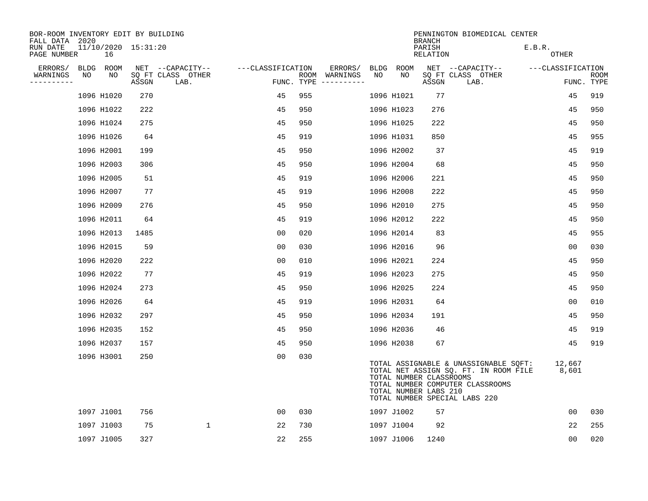| BOR-ROOM INVENTORY EDIT BY BUILDING<br>FALL DATA 2020 |    |                           |       |                           |                   |     |                                      |      |                                                  | <b>BRANCH</b>      | PENNINGTON BIOMEDICAL CENTER                                                                                                                        |                   |                    |
|-------------------------------------------------------|----|---------------------------|-------|---------------------------|-------------------|-----|--------------------------------------|------|--------------------------------------------------|--------------------|-----------------------------------------------------------------------------------------------------------------------------------------------------|-------------------|--------------------|
| RUN DATE<br>PAGE NUMBER                               |    | 11/10/2020 15:31:20<br>16 |       |                           |                   |     |                                      |      |                                                  | PARISH<br>RELATION |                                                                                                                                                     | E.B.R.<br>OTHER   |                    |
| ERRORS/                                               |    | BLDG ROOM                 |       | NET --CAPACITY--          | ---CLASSIFICATION |     | ERRORS/                              | BLDG | ROOM                                             |                    | NET --CAPACITY--                                                                                                                                    | ---CLASSIFICATION |                    |
| WARNINGS<br>----------                                | NO | NO                        | ASSGN | SQ FT CLASS OTHER<br>LAB. |                   |     | ROOM WARNINGS<br>FUNC. TYPE $------$ | NO   | NO                                               | ASSGN              | SQ FT CLASS OTHER<br>LAB.                                                                                                                           |                   | ROOM<br>FUNC. TYPE |
|                                                       |    | 1096 H1020                | 270   |                           | 45                | 955 |                                      |      | 1096 H1021                                       | 77                 |                                                                                                                                                     | 45                | 919                |
|                                                       |    | 1096 H1022                | 222   |                           | 45                | 950 |                                      |      | 1096 H1023                                       | 276                |                                                                                                                                                     | 45                | 950                |
|                                                       |    | 1096 H1024                | 275   |                           | 45                | 950 |                                      |      | 1096 H1025                                       | 222                |                                                                                                                                                     | 45                | 950                |
|                                                       |    | 1096 H1026                | 64    |                           | 45                | 919 |                                      |      | 1096 H1031                                       | 850                |                                                                                                                                                     | 45                | 955                |
|                                                       |    | 1096 H2001                | 199   |                           | 45                | 950 |                                      |      | 1096 H2002                                       | 37                 |                                                                                                                                                     | 45                | 919                |
|                                                       |    | 1096 H2003                | 306   |                           | 45                | 950 |                                      |      | 1096 H2004                                       | 68                 |                                                                                                                                                     | 45                | 950                |
|                                                       |    | 1096 H2005                | 51    |                           | 45                | 919 |                                      |      | 1096 H2006                                       | 221                |                                                                                                                                                     | 45                | 950                |
|                                                       |    | 1096 H2007                | 77    |                           | 45                | 919 |                                      |      | 1096 H2008                                       | 222                |                                                                                                                                                     | 45                | 950                |
|                                                       |    | 1096 H2009                | 276   |                           | 45                | 950 |                                      |      | 1096 H2010                                       | 275                |                                                                                                                                                     | 45                | 950                |
|                                                       |    | 1096 H2011                | 64    |                           | 45                | 919 |                                      |      | 1096 H2012                                       | 222                |                                                                                                                                                     | 45                | 950                |
|                                                       |    | 1096 H2013                | 1485  |                           | 0 <sub>0</sub>    | 020 |                                      |      | 1096 H2014                                       | 83                 |                                                                                                                                                     | 45                | 955                |
|                                                       |    | 1096 H2015                | 59    |                           | 0 <sub>0</sub>    | 030 |                                      |      | 1096 H2016                                       | 96                 |                                                                                                                                                     | 0 <sub>0</sub>    | 030                |
|                                                       |    | 1096 H2020                | 222   |                           | 0 <sub>0</sub>    | 010 |                                      |      | 1096 H2021                                       | 224                |                                                                                                                                                     | 45                | 950                |
|                                                       |    | 1096 H2022                | 77    |                           | 45                | 919 |                                      |      | 1096 H2023                                       | 275                |                                                                                                                                                     | 45                | 950                |
|                                                       |    | 1096 H2024                | 273   |                           | 45                | 950 |                                      |      | 1096 H2025                                       | 224                |                                                                                                                                                     | 45                | 950                |
|                                                       |    | 1096 H2026                | 64    |                           | 45                | 919 |                                      |      | 1096 H2031                                       | 64                 |                                                                                                                                                     | 0 <sub>0</sub>    | 010                |
|                                                       |    | 1096 H2032                | 297   |                           | 45                | 950 |                                      |      | 1096 H2034                                       | 191                |                                                                                                                                                     | 45                | 950                |
|                                                       |    | 1096 H2035                | 152   |                           | 45                | 950 |                                      |      | 1096 H2036                                       | 46                 |                                                                                                                                                     | 45                | 919                |
|                                                       |    | 1096 H2037                | 157   |                           | 45                | 950 |                                      |      | 1096 H2038                                       | 67                 |                                                                                                                                                     | 45                | 919                |
|                                                       |    | 1096 H3001                | 250   |                           | 0 <sub>0</sub>    | 030 |                                      |      | TOTAL NUMBER CLASSROOMS<br>TOTAL NUMBER LABS 210 |                    | TOTAL ASSIGNABLE & UNASSIGNABLE SQFT:<br>TOTAL NET ASSIGN SQ. FT. IN ROOM FILE<br>TOTAL NUMBER COMPUTER CLASSROOMS<br>TOTAL NUMBER SPECIAL LABS 220 | 12,667<br>8,601   |                    |
|                                                       |    | 1097 J1001                | 756   |                           | 0 <sub>0</sub>    | 030 |                                      |      | 1097 J1002                                       | 57                 |                                                                                                                                                     | 0 <sub>0</sub>    | 030                |
|                                                       |    | 1097 J1003                | 75    | $\mathbf 1$               | 22                | 730 |                                      |      | 1097 J1004                                       | 92                 |                                                                                                                                                     | 22                | 255                |
|                                                       |    | 1097 J1005                | 327   |                           | 22                | 255 |                                      |      | 1097 J1006                                       | 1240               |                                                                                                                                                     | 0 <sub>0</sub>    | 020                |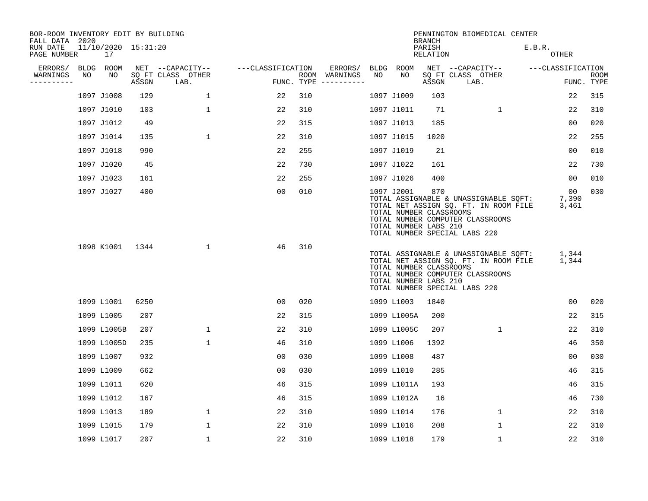| BOR-ROOM INVENTORY EDIT BY BUILDING<br>FALL DATA 2020 |    |                           |                                 |                           |                   |     |                                      |    |                                                                | <b>BRANCH</b>      | PENNINGTON BIOMEDICAL CENTER                                                                                                                        |        |                      |                    |
|-------------------------------------------------------|----|---------------------------|---------------------------------|---------------------------|-------------------|-----|--------------------------------------|----|----------------------------------------------------------------|--------------------|-----------------------------------------------------------------------------------------------------------------------------------------------------|--------|----------------------|--------------------|
| RUN DATE<br>PAGE NUMBER                               |    | 11/10/2020 15:31:20<br>17 |                                 |                           |                   |     |                                      |    |                                                                | PARISH<br>RELATION |                                                                                                                                                     | E.B.R. | OTHER                |                    |
| ERRORS/                                               |    | BLDG ROOM                 |                                 | NET --CAPACITY--          | ---CLASSIFICATION |     | ERRORS/                              |    | BLDG ROOM                                                      |                    | NET --CAPACITY--                                                                                                                                    |        | ---CLASSIFICATION    |                    |
| WARNINGS<br>----------                                | NO | NO                        | $\operatorname{\mathsf{ASSGN}}$ | SQ FT CLASS OTHER<br>LAB. |                   |     | ROOM WARNINGS<br>FUNC. TYPE $------$ | NO | NO                                                             | ASSGN              | SQ FT CLASS OTHER<br>LAB.                                                                                                                           |        |                      | ROOM<br>FUNC. TYPE |
|                                                       |    | 1097 J1008                | 129                             | $\mathbf 1$               | 22                | 310 |                                      |    | 1097 J1009                                                     | 103                |                                                                                                                                                     |        | 22                   | 315                |
|                                                       |    | 1097 J1010                | 103                             | 1                         | 22                | 310 |                                      |    | 1097 J1011                                                     | 71                 | 1                                                                                                                                                   |        | 22                   | 310                |
|                                                       |    | 1097 J1012                | 49                              |                           | 22                | 315 |                                      |    | 1097 J1013                                                     | 185                |                                                                                                                                                     |        | 0 <sub>0</sub>       | 020                |
|                                                       |    | 1097 J1014                | 135                             | $\mathbf{1}$              | 22                | 310 |                                      |    | 1097 J1015                                                     | 1020               |                                                                                                                                                     |        | 22                   | 255                |
|                                                       |    | 1097 J1018                | 990                             |                           | 22                | 255 |                                      |    | 1097 J1019                                                     | 21                 |                                                                                                                                                     |        | 0 <sub>0</sub>       | 010                |
|                                                       |    | 1097 J1020                | 45                              |                           | 22                | 730 |                                      |    | 1097 J1022                                                     | 161                |                                                                                                                                                     |        | 22                   | 730                |
|                                                       |    | 1097 J1023                | 161                             |                           | 22                | 255 |                                      |    | 1097 J1026                                                     | 400                |                                                                                                                                                     |        | 00                   | 010                |
|                                                       |    | 1097 J1027                | 400                             |                           | 0 <sub>0</sub>    | 010 |                                      |    | 1097 J2001<br>TOTAL NUMBER CLASSROOMS<br>TOTAL NUMBER LABS 210 | 870                | TOTAL ASSIGNABLE & UNASSIGNABLE SQFT:<br>TOTAL NET ASSIGN SQ. FT. IN ROOM FILE<br>TOTAL NUMBER COMPUTER CLASSROOMS<br>TOTAL NUMBER SPECIAL LABS 220 |        | 00<br>7,390<br>3,461 | 030                |
|                                                       |    | 1098 K1001                | 1344                            | $\mathbf{1}$              | 46                | 310 |                                      |    | TOTAL NUMBER CLASSROOMS<br>TOTAL NUMBER LABS 210               |                    | TOTAL ASSIGNABLE & UNASSIGNABLE SQFT:<br>TOTAL NET ASSIGN SQ. FT. IN ROOM FILE<br>TOTAL NUMBER COMPUTER CLASSROOMS<br>TOTAL NUMBER SPECIAL LABS 220 |        | 1,344<br>1,344       |                    |
|                                                       |    | 1099 L1001                | 6250                            |                           | 00                | 020 |                                      |    | 1099 L1003                                                     | 1840               |                                                                                                                                                     |        | 0 <sub>0</sub>       | 020                |
|                                                       |    | 1099 L1005                | 207                             |                           | 22                | 315 |                                      |    | 1099 L1005A                                                    | 200                |                                                                                                                                                     |        | 22                   | 315                |
|                                                       |    | 1099 L1005B               | 207                             | $\mathbf{1}$              | 22                | 310 |                                      |    | 1099 L1005C                                                    | 207                | 1                                                                                                                                                   |        | 22                   | 310                |
|                                                       |    | 1099 L1005D               | 235                             | $\mathbf{1}$              | 46                | 310 |                                      |    | 1099 L1006                                                     | 1392               |                                                                                                                                                     |        | 46                   | 350                |
|                                                       |    | 1099 L1007                | 932                             |                           | 0 <sub>0</sub>    | 030 |                                      |    | 1099 L1008                                                     | 487                |                                                                                                                                                     |        | 0 <sub>0</sub>       | 030                |
|                                                       |    | 1099 L1009                | 662                             |                           | 0 <sub>0</sub>    | 030 |                                      |    | 1099 L1010                                                     | 285                |                                                                                                                                                     |        | 46                   | 315                |
|                                                       |    | 1099 L1011                | 620                             |                           | 46                | 315 |                                      |    | 1099 L1011A                                                    | 193                |                                                                                                                                                     |        | 46                   | 315                |
|                                                       |    | 1099 L1012                | 167                             |                           | 46                | 315 |                                      |    | 1099 L1012A                                                    | 16                 |                                                                                                                                                     |        | 46                   | 730                |
|                                                       |    | 1099 L1013                | 189                             | 1                         | 22                | 310 |                                      |    | 1099 L1014                                                     | 176                | $\mathbf{1}$                                                                                                                                        |        | 22                   | 310                |
|                                                       |    | 1099 L1015                | 179                             | $\mathbf 1$               | 22                | 310 |                                      |    | 1099 L1016                                                     | 208                | 1                                                                                                                                                   |        | 22                   | 310                |
|                                                       |    | 1099 L1017                | 207                             | $\mathbf{1}$              | 22                | 310 |                                      |    | 1099 L1018                                                     | 179                | $\mathbf 1$                                                                                                                                         |        | 22                   | 310                |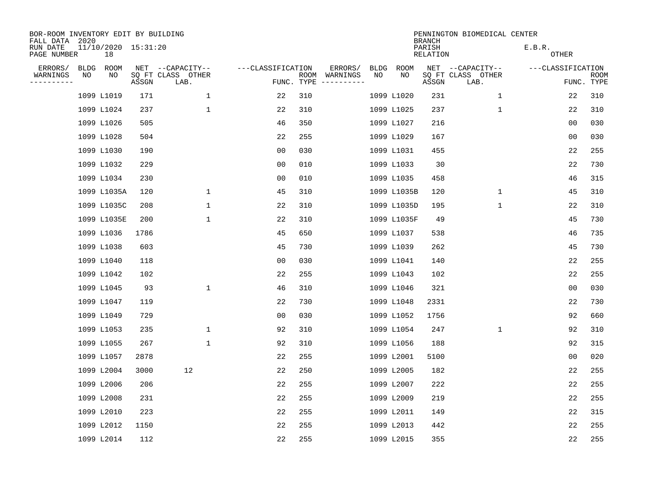| BOR-ROOM INVENTORY EDIT BY BUILDING<br>FALL DATA 2020 |      |                           |       |                           |                   |                    |                         |             |             | <b>BRANCH</b>             | PENNINGTON BIOMEDICAL CENTER |                        |                |                           |
|-------------------------------------------------------|------|---------------------------|-------|---------------------------|-------------------|--------------------|-------------------------|-------------|-------------|---------------------------|------------------------------|------------------------|----------------|---------------------------|
| RUN DATE<br>PAGE NUMBER                               |      | 11/10/2020 15:31:20<br>18 |       |                           |                   |                    |                         |             |             | PARISH<br><b>RELATION</b> |                              | E.B.R.<br><b>OTHER</b> |                |                           |
| ERRORS/                                               | BLDG | ROOM                      |       | NET --CAPACITY--          | ---CLASSIFICATION |                    | ERRORS/                 | <b>BLDG</b> | <b>ROOM</b> |                           | NET --CAPACITY--             | ---CLASSIFICATION      |                |                           |
| WARNINGS<br>----------                                | NO   | NO                        | ASSGN | SQ FT CLASS OTHER<br>LAB. |                   | ROOM<br>FUNC. TYPE | WARNINGS<br>----------- | NO          | NO          | ASSGN                     | SQ FT CLASS OTHER<br>LAB.    |                        |                | <b>ROOM</b><br>FUNC. TYPE |
|                                                       |      | 1099 L1019                | 171   | $\mathbf{1}$              | 22                | 310                |                         |             | 1099 L1020  | 231                       | 1                            |                        | 22             | 310                       |
|                                                       |      | 1099 L1024                | 237   | $\mathbf 1$               | 22                | 310                |                         |             | 1099 L1025  | 237                       | 1                            |                        | 22             | 310                       |
|                                                       |      | 1099 L1026                | 505   |                           | 46                | 350                |                         |             | 1099 L1027  | 216                       |                              |                        | 0 <sub>0</sub> | 030                       |
|                                                       |      | 1099 L1028                | 504   |                           | 22                | 255                |                         |             | 1099 L1029  | 167                       |                              |                        | 0 <sub>0</sub> | 030                       |
|                                                       |      | 1099 L1030                | 190   |                           | 0 <sub>0</sub>    | 030                |                         |             | 1099 L1031  | 455                       |                              |                        | 22             | 255                       |
|                                                       |      | 1099 L1032                | 229   |                           | 0 <sub>0</sub>    | 010                |                         |             | 1099 L1033  | 30                        |                              |                        | 22             | 730                       |
|                                                       |      | 1099 L1034                | 230   |                           | 0 <sub>0</sub>    | 010                |                         |             | 1099 L1035  | 458                       |                              |                        | 46             | 315                       |
|                                                       |      | 1099 L1035A               | 120   | $\mathbf 1$               | 45                | 310                |                         |             | 1099 L1035B | 120                       | $\mathbf 1$                  |                        | 45             | 310                       |
|                                                       |      | 1099 L1035C               | 208   | $\mathbf 1$               | 22                | 310                |                         |             | 1099 L1035D | 195                       | $\mathbf 1$                  |                        | 22             | 310                       |
|                                                       |      | 1099 L1035E               | 200   | 1                         | 22                | 310                |                         |             | 1099 L1035F | 49                        |                              |                        | 45             | 730                       |
|                                                       |      | 1099 L1036                | 1786  |                           | 45                | 650                |                         |             | 1099 L1037  | 538                       |                              |                        | 46             | 735                       |
|                                                       |      | 1099 L1038                | 603   |                           | 45                | 730                |                         |             | 1099 L1039  | 262                       |                              |                        | 45             | 730                       |
|                                                       |      | 1099 L1040                | 118   |                           | 00                | 030                |                         |             | 1099 L1041  | 140                       |                              |                        | 22             | 255                       |
|                                                       |      | 1099 L1042                | 102   |                           | 22                | 255                |                         |             | 1099 L1043  | 102                       |                              |                        | 22             | 255                       |
|                                                       |      | 1099 L1045                | 93    | $\mathbf{1}$              | 46                | 310                |                         |             | 1099 L1046  | 321                       |                              |                        | 0 <sub>0</sub> | 030                       |
|                                                       |      | 1099 L1047                | 119   |                           | 22                | 730                |                         |             | 1099 L1048  | 2331                      |                              |                        | 22             | 730                       |
|                                                       |      | 1099 L1049                | 729   |                           | 0 <sub>0</sub>    | 030                |                         |             | 1099 L1052  | 1756                      |                              |                        | 92             | 660                       |
|                                                       |      | 1099 L1053                | 235   | $\mathbf{1}$              | 92                | 310                |                         |             | 1099 L1054  | 247                       | 1                            |                        | 92             | 310                       |
|                                                       |      | 1099 L1055                | 267   | $\mathbf{1}$              | 92                | 310                |                         |             | 1099 L1056  | 188                       |                              |                        | 92             | 315                       |
|                                                       |      | 1099 L1057                | 2878  |                           | 22                | 255                |                         |             | 1099 L2001  | 5100                      |                              |                        | 00             | 020                       |
|                                                       |      | 1099 L2004                | 3000  | 12                        | 22                | 250                |                         |             | 1099 L2005  | 182                       |                              |                        | 22             | 255                       |
|                                                       |      | 1099 L2006                | 206   |                           | 22                | 255                |                         |             | 1099 L2007  | 222                       |                              |                        | 22             | 255                       |
|                                                       |      | 1099 L2008                | 231   |                           | 22                | 255                |                         |             | 1099 L2009  | 219                       |                              |                        | 22             | 255                       |
|                                                       |      | 1099 L2010                | 223   |                           | 22                | 255                |                         |             | 1099 L2011  | 149                       |                              |                        | 22             | 315                       |
|                                                       |      | 1099 L2012                | 1150  |                           | 22                | 255                |                         |             | 1099 L2013  | 442                       |                              |                        | 22             | 255                       |
|                                                       |      | 1099 L2014                | 112   |                           | 22                | 255                |                         |             | 1099 L2015  | 355                       |                              |                        | 22             | 255                       |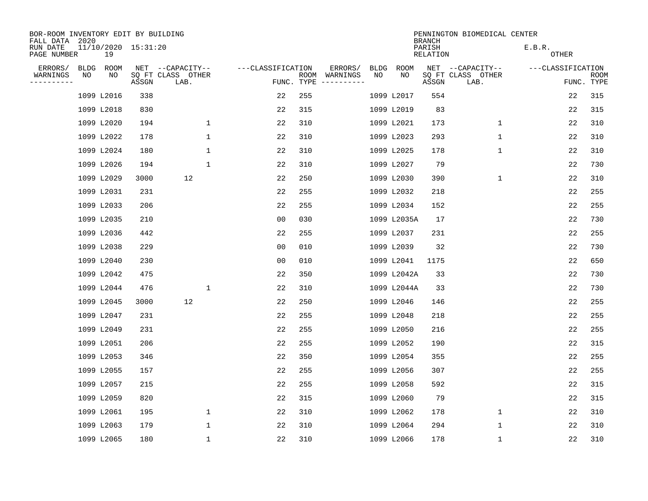| BOR-ROOM INVENTORY EDIT BY BUILDING<br>FALL DATA 2020 |      |                           |       |                           |                   |                    |                         |      |             | <b>BRANCH</b>             | PENNINGTON BIOMEDICAL CENTER |                        |    |                           |
|-------------------------------------------------------|------|---------------------------|-------|---------------------------|-------------------|--------------------|-------------------------|------|-------------|---------------------------|------------------------------|------------------------|----|---------------------------|
| RUN DATE<br>PAGE NUMBER                               |      | 11/10/2020 15:31:20<br>19 |       |                           |                   |                    |                         |      |             | PARISH<br><b>RELATION</b> |                              | E.B.R.<br><b>OTHER</b> |    |                           |
| ERRORS/                                               | BLDG | ROOM                      |       | NET --CAPACITY--          | ---CLASSIFICATION |                    | ERRORS/                 | BLDG | ROOM        |                           | NET --CAPACITY--             | ---CLASSIFICATION      |    |                           |
| WARNINGS<br>----------                                | NO   | ΝO                        | ASSGN | SQ FT CLASS OTHER<br>LAB. |                   | ROOM<br>FUNC. TYPE | WARNINGS<br>----------- | NO   | NO          | ASSGN                     | SQ FT CLASS OTHER<br>LAB.    |                        |    | <b>ROOM</b><br>FUNC. TYPE |
|                                                       |      | 1099 L2016                | 338   |                           | 22                | 255                |                         |      | 1099 L2017  | 554                       |                              |                        | 22 | 315                       |
|                                                       |      | 1099 L2018                | 830   |                           | 22                | 315                |                         |      | 1099 L2019  | 83                        |                              |                        | 22 | 315                       |
|                                                       |      | 1099 L2020                | 194   | $\mathbf 1$               | 22                | 310                |                         |      | 1099 L2021  | 173                       | 1                            |                        | 22 | 310                       |
|                                                       |      | 1099 L2022                | 178   | $\mathbf 1$               | 22                | 310                |                         |      | 1099 L2023  | 293                       | 1                            |                        | 22 | 310                       |
|                                                       |      | 1099 L2024                | 180   | $\mathbf{1}$              | 22                | 310                |                         |      | 1099 L2025  | 178                       | $\mathbf 1$                  |                        | 22 | 310                       |
|                                                       |      | 1099 L2026                | 194   | $\mathbf{1}$              | 22                | 310                |                         |      | 1099 L2027  | 79                        |                              |                        | 22 | 730                       |
|                                                       |      | 1099 L2029                | 3000  | 12                        | 22                | 250                |                         |      | 1099 L2030  | 390                       | $\mathbf 1$                  |                        | 22 | 310                       |
|                                                       |      | 1099 L2031                | 231   |                           | 22                | 255                |                         |      | 1099 L2032  | 218                       |                              |                        | 22 | 255                       |
|                                                       |      | 1099 L2033                | 206   |                           | 22                | 255                |                         |      | 1099 L2034  | 152                       |                              |                        | 22 | 255                       |
|                                                       |      | 1099 L2035                | 210   |                           | 0 <sub>0</sub>    | 030                |                         |      | 1099 L2035A | 17                        |                              |                        | 22 | 730                       |
|                                                       |      | 1099 L2036                | 442   |                           | 22                | 255                |                         |      | 1099 L2037  | 231                       |                              |                        | 22 | 255                       |
|                                                       |      | 1099 L2038                | 229   |                           | 0 <sub>0</sub>    | 010                |                         |      | 1099 L2039  | 32                        |                              |                        | 22 | 730                       |
|                                                       |      | 1099 L2040                | 230   |                           | 0 <sub>0</sub>    | 010                |                         |      | 1099 L2041  | 1175                      |                              |                        | 22 | 650                       |
|                                                       |      | 1099 L2042                | 475   |                           | 22                | 350                |                         |      | 1099 L2042A | 33                        |                              |                        | 22 | 730                       |
|                                                       |      | 1099 L2044                | 476   | 1                         | 22                | 310                |                         |      | 1099 L2044A | 33                        |                              |                        | 22 | 730                       |
|                                                       |      | 1099 L2045                | 3000  | 12                        | 22                | 250                |                         |      | 1099 L2046  | 146                       |                              |                        | 22 | 255                       |
|                                                       |      | 1099 L2047                | 231   |                           | 22                | 255                |                         |      | 1099 L2048  | 218                       |                              |                        | 22 | 255                       |
|                                                       |      | 1099 L2049                | 231   |                           | 22                | 255                |                         |      | 1099 L2050  | 216                       |                              |                        | 22 | 255                       |
|                                                       |      | 1099 L2051                | 206   |                           | 22                | 255                |                         |      | 1099 L2052  | 190                       |                              |                        | 22 | 315                       |
|                                                       |      | 1099 L2053                | 346   |                           | 22                | 350                |                         |      | 1099 L2054  | 355                       |                              |                        | 22 | 255                       |
|                                                       |      | 1099 L2055                | 157   |                           | 22                | 255                |                         |      | 1099 L2056  | 307                       |                              |                        | 22 | 255                       |
|                                                       |      | 1099 L2057                | 215   |                           | 22                | 255                |                         |      | 1099 L2058  | 592                       |                              |                        | 22 | 315                       |
|                                                       |      | 1099 L2059                | 820   |                           | 22                | 315                |                         |      | 1099 L2060  | 79                        |                              |                        | 22 | 315                       |
|                                                       |      | 1099 L2061                | 195   | $\mathbf 1$               | 22                | 310                |                         |      | 1099 L2062  | 178                       | $\mathbf 1$                  |                        | 22 | 310                       |
|                                                       |      | 1099 L2063                | 179   | $\mathbf{1}$              | 22                | 310                |                         |      | 1099 L2064  | 294                       | 1                            |                        | 22 | 310                       |
|                                                       |      | 1099 L2065                | 180   | 1                         | 22                | 310                |                         |      | 1099 L2066  | 178                       | 1                            |                        | 22 | 310                       |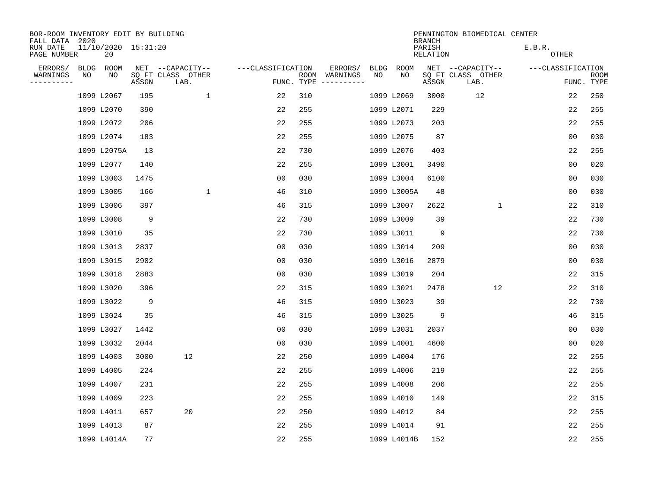| BOR-ROOM INVENTORY EDIT BY BUILDING<br>FALL DATA 2020 |      |                           |       |                           |                   |            |                              |      |             | <b>BRANCH</b>             | PENNINGTON BIOMEDICAL CENTER |                        |                |                           |
|-------------------------------------------------------|------|---------------------------|-------|---------------------------|-------------------|------------|------------------------------|------|-------------|---------------------------|------------------------------|------------------------|----------------|---------------------------|
| RUN DATE<br>PAGE NUMBER                               |      | 11/10/2020 15:31:20<br>20 |       |                           |                   |            |                              |      |             | PARISH<br><b>RELATION</b> |                              | E.B.R.<br><b>OTHER</b> |                |                           |
| ERRORS/                                               | BLDG | ROOM                      |       | NET --CAPACITY--          | ---CLASSIFICATION |            | ERRORS/                      | BLDG | ROOM        |                           | NET --CAPACITY--             | ---CLASSIFICATION      |                |                           |
| WARNINGS<br>----------                                | ΝO   | NO                        | ASSGN | SQ FT CLASS OTHER<br>LAB. |                   | FUNC. TYPE | ROOM WARNINGS<br>----------- | NO   | NO          | ASSGN                     | SQ FT CLASS OTHER<br>LAB.    |                        |                | <b>ROOM</b><br>FUNC. TYPE |
|                                                       |      | 1099 L2067                | 195   | 1                         | 22                | 310        |                              |      | 1099 L2069  | 3000                      | 12                           |                        | 22             | 250                       |
|                                                       |      | 1099 L2070                | 390   |                           | 22                | 255        |                              |      | 1099 L2071  | 229                       |                              |                        | 22             | 255                       |
|                                                       |      | 1099 L2072                | 206   |                           | 22                | 255        |                              |      | 1099 L2073  | 203                       |                              |                        | 22             | 255                       |
|                                                       |      | 1099 L2074                | 183   |                           | 22                | 255        |                              |      | 1099 L2075  | 87                        |                              |                        | 0 <sub>0</sub> | 030                       |
|                                                       |      | 1099 L2075A               | 13    |                           | 22                | 730        |                              |      | 1099 L2076  | 403                       |                              |                        | 22             | 255                       |
|                                                       |      | 1099 L2077                | 140   |                           | 22                | 255        |                              |      | 1099 L3001  | 3490                      |                              |                        | 0 <sub>0</sub> | 020                       |
|                                                       |      | 1099 L3003                | 1475  |                           | 00                | 030        |                              |      | 1099 L3004  | 6100                      |                              |                        | 0 <sub>0</sub> | 030                       |
|                                                       |      | 1099 L3005                | 166   | $\mathbf{1}$              | 46                | 310        |                              |      | 1099 L3005A | 48                        |                              |                        | 0 <sub>0</sub> | 030                       |
|                                                       |      | 1099 L3006                | 397   |                           | 46                | 315        |                              |      | 1099 L3007  | 2622                      | $\mathbf{1}$                 |                        | 22             | 310                       |
|                                                       |      | 1099 L3008                | 9     |                           | 22                | 730        |                              |      | 1099 L3009  | 39                        |                              |                        | 22             | 730                       |
|                                                       |      | 1099 L3010                | 35    |                           | 22                | 730        |                              |      | 1099 L3011  | 9                         |                              |                        | 22             | 730                       |
|                                                       |      | 1099 L3013                | 2837  |                           | 0 <sub>0</sub>    | 030        |                              |      | 1099 L3014  | 209                       |                              |                        | 0 <sub>0</sub> | 030                       |
|                                                       |      | 1099 L3015                | 2902  |                           | 0 <sub>0</sub>    | 030        |                              |      | 1099 L3016  | 2879                      |                              |                        | 0 <sub>0</sub> | 030                       |
|                                                       |      | 1099 L3018                | 2883  |                           | 0 <sub>0</sub>    | 030        |                              |      | 1099 L3019  | 204                       |                              |                        | 22             | 315                       |
|                                                       |      | 1099 L3020                | 396   |                           | 22                | 315        |                              |      | 1099 L3021  | 2478                      | 12                           |                        | 22             | 310                       |
|                                                       |      | 1099 L3022                | 9     |                           | 46                | 315        |                              |      | 1099 L3023  | 39                        |                              |                        | 22             | 730                       |
|                                                       |      | 1099 L3024                | 35    |                           | 46                | 315        |                              |      | 1099 L3025  | 9                         |                              |                        | 46             | 315                       |
|                                                       |      | 1099 L3027                | 1442  |                           | 0 <sub>0</sub>    | 030        |                              |      | 1099 L3031  | 2037                      |                              |                        | 0 <sub>0</sub> | 030                       |
|                                                       |      | 1099 L3032                | 2044  |                           | 0 <sub>0</sub>    | 030        |                              |      | 1099 L4001  | 4600                      |                              |                        | 0 <sub>0</sub> | 020                       |
|                                                       |      | 1099 L4003                | 3000  | 12                        | 22                | 250        |                              |      | 1099 L4004  | 176                       |                              |                        | 22             | 255                       |
|                                                       |      | 1099 L4005                | 224   |                           | 22                | 255        |                              |      | 1099 L4006  | 219                       |                              |                        | 22             | 255                       |
|                                                       |      | 1099 L4007                | 231   |                           | 22                | 255        |                              |      | 1099 L4008  | 206                       |                              |                        | 22             | 255                       |
|                                                       |      | 1099 L4009                | 223   |                           | 22                | 255        |                              |      | 1099 L4010  | 149                       |                              |                        | 22             | 315                       |
|                                                       |      | 1099 L4011                | 657   | 20                        | 22                | 250        |                              |      | 1099 L4012  | 84                        |                              |                        | 22             | 255                       |
|                                                       |      | 1099 L4013                | 87    |                           | 22                | 255        |                              |      | 1099 L4014  | 91                        |                              |                        | 22             | 255                       |
|                                                       |      | 1099 L4014A               | 77    |                           | 22                | 255        |                              |      | 1099 L4014B | 152                       |                              |                        | 22             | 255                       |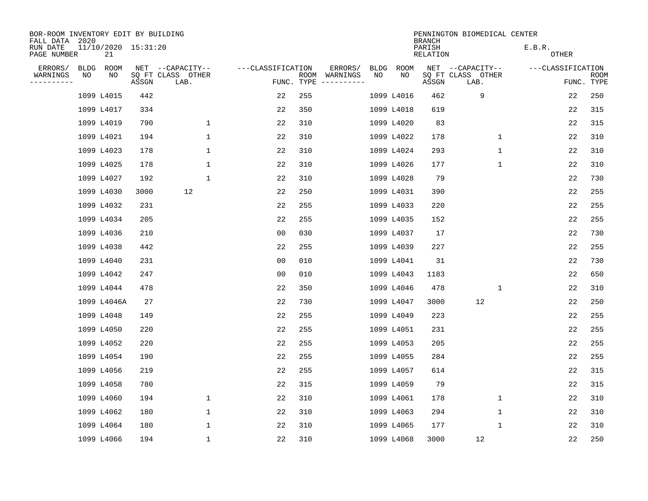| BOR-ROOM INVENTORY EDIT BY BUILDING<br>FALL DATA 2020 |             |                           |       |                           |                   |                                               |      |             | <b>BRANCH</b>             | PENNINGTON BIOMEDICAL CENTER |                        |                           |
|-------------------------------------------------------|-------------|---------------------------|-------|---------------------------|-------------------|-----------------------------------------------|------|-------------|---------------------------|------------------------------|------------------------|---------------------------|
| RUN DATE<br>PAGE NUMBER                               |             | 11/10/2020 15:31:20<br>21 |       |                           |                   |                                               |      |             | PARISH<br><b>RELATION</b> |                              | E.B.R.<br><b>OTHER</b> |                           |
| ERRORS/                                               | <b>BLDG</b> | ROOM                      |       | NET --CAPACITY--          | ---CLASSIFICATION | ERRORS/                                       | BLDG | <b>ROOM</b> |                           | NET --CAPACITY--             | ---CLASSIFICATION      |                           |
| WARNINGS<br>----------                                | NO          | NO                        | ASSGN | SQ FT CLASS OTHER<br>LAB. |                   | WARNINGS<br>ROOM<br>FUNC. TYPE<br>----------- | NO   | NO          | ASSGN                     | SQ FT CLASS OTHER<br>LAB.    |                        | <b>ROOM</b><br>FUNC. TYPE |
|                                                       |             | 1099 L4015                | 442   |                           | 22                | 255                                           |      | 1099 L4016  | 462                       | 9                            | 22                     | 250                       |
|                                                       |             | 1099 L4017                | 334   |                           | 22                | 350                                           |      | 1099 L4018  | 619                       |                              | 22                     | 315                       |
|                                                       |             | 1099 L4019                | 790   | $\mathbf 1$               | 22                | 310                                           |      | 1099 L4020  | 83                        |                              | 22                     | 315                       |
|                                                       |             | 1099 L4021                | 194   | $\mathbf 1$               | 22                | 310                                           |      | 1099 L4022  | 178                       | $\mathbf 1$                  | 22                     | 310                       |
|                                                       |             | 1099 L4023                | 178   | $\mathbf{1}$              | 22                | 310                                           |      | 1099 L4024  | 293                       | $\mathbf 1$                  | 22                     | 310                       |
|                                                       |             | 1099 L4025                | 178   | $\mathbf{1}$              | 22                | 310                                           |      | 1099 L4026  | 177                       | 1                            | 22                     | 310                       |
|                                                       |             | 1099 L4027                | 192   | $\mathbf{1}$              | 22                | 310                                           |      | 1099 L4028  | 79                        |                              | 22                     | 730                       |
|                                                       |             | 1099 L4030                | 3000  | 12                        | 22                | 250                                           |      | 1099 L4031  | 390                       |                              | 22                     | 255                       |
|                                                       |             | 1099 L4032                | 231   |                           | 22                | 255                                           |      | 1099 L4033  | 220                       |                              | 22                     | 255                       |
|                                                       |             | 1099 L4034                | 205   |                           | 22                | 255                                           |      | 1099 L4035  | 152                       |                              | 22                     | 255                       |
|                                                       |             | 1099 L4036                | 210   |                           | 00                | 030                                           |      | 1099 L4037  | 17                        |                              | 22                     | 730                       |
|                                                       |             | 1099 L4038                | 442   |                           | 22                | 255                                           |      | 1099 L4039  | 227                       |                              | 22                     | 255                       |
|                                                       |             | 1099 L4040                | 231   |                           | 0 <sub>0</sub>    | 010                                           |      | 1099 L4041  | 31                        |                              | 22                     | 730                       |
|                                                       |             | 1099 L4042                | 247   |                           | 0 <sub>0</sub>    | 010                                           |      | 1099 L4043  | 1183                      |                              | 22                     | 650                       |
|                                                       |             | 1099 L4044                | 478   |                           | 22                | 350                                           |      | 1099 L4046  | 478                       | 1                            | 22                     | 310                       |
|                                                       |             | 1099 L4046A               | 27    |                           | 22                | 730                                           |      | 1099 L4047  | 3000                      | 12                           | 22                     | 250                       |
|                                                       |             | 1099 L4048                | 149   |                           | 22                | 255                                           |      | 1099 L4049  | 223                       |                              | 22                     | 255                       |
|                                                       |             | 1099 L4050                | 220   |                           | 22                | 255                                           |      | 1099 L4051  | 231                       |                              | 22                     | 255                       |
|                                                       |             | 1099 L4052                | 220   |                           | 22                | 255                                           |      | 1099 L4053  | 205                       |                              | 22                     | 255                       |
|                                                       |             | 1099 L4054                | 190   |                           | 22                | 255                                           |      | 1099 L4055  | 284                       |                              | 22                     | 255                       |
|                                                       |             | 1099 L4056                | 219   |                           | 22                | 255                                           |      | 1099 L4057  | 614                       |                              | 22                     | 315                       |
|                                                       |             | 1099 L4058                | 780   |                           | 22                | 315                                           |      | 1099 L4059  | 79                        |                              | 22                     | 315                       |
|                                                       |             | 1099 L4060                | 194   | 1                         | 22                | 310                                           |      | 1099 L4061  | 178                       | $\mathbf 1$                  | 22                     | 310                       |
|                                                       |             | 1099 L4062                | 180   | $\mathbf 1$               | 22                | 310                                           |      | 1099 L4063  | 294                       | $\mathbf 1$                  | 22                     | 310                       |
|                                                       |             | 1099 L4064                | 180   | $\mathbf{1}$              | 22                | 310                                           |      | 1099 L4065  | 177                       | 1                            | 22                     | 310                       |
|                                                       |             | 1099 L4066                | 194   | 1                         | 22                | 310                                           |      | 1099 L4068  | 3000                      | 12                           | 22                     | 250                       |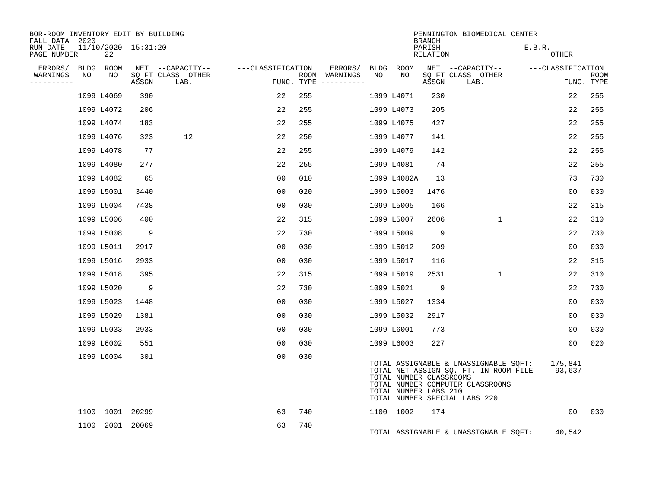| BOR-ROOM INVENTORY EDIT BY BUILDING<br>FALL DATA 2020 |            |    |                     |                           |                   |     |                                      |    |                                                  | <b>BRANCH</b>      | PENNINGTON BIOMEDICAL CENTER                                                                                                                        |                   |            |             |
|-------------------------------------------------------|------------|----|---------------------|---------------------------|-------------------|-----|--------------------------------------|----|--------------------------------------------------|--------------------|-----------------------------------------------------------------------------------------------------------------------------------------------------|-------------------|------------|-------------|
| RUN DATE<br>PAGE NUMBER                               |            | 22 | 11/10/2020 15:31:20 |                           |                   |     |                                      |    |                                                  | PARISH<br>RELATION |                                                                                                                                                     | E.B.R.<br>OTHER   |            |             |
| ERRORS/                                               | BLDG ROOM  |    |                     | NET --CAPACITY--          | ---CLASSIFICATION |     | ERRORS/                              |    | BLDG ROOM                                        |                    | NET --CAPACITY--                                                                                                                                    | ---CLASSIFICATION |            |             |
| WARNINGS<br>NO<br>----------                          |            | NO | ASSGN               | SQ FT CLASS OTHER<br>LAB. |                   |     | ROOM WARNINGS<br>FUNC. TYPE $------$ | NO | NO                                               | ASSGN              | SQ FT CLASS OTHER<br>LAB.                                                                                                                           |                   | FUNC. TYPE | <b>ROOM</b> |
|                                                       | 1099 L4069 |    | 390                 |                           | 22                | 255 |                                      |    | 1099 L4071                                       | 230                |                                                                                                                                                     | 22                |            | 255         |
|                                                       | 1099 L4072 |    | 206                 |                           | 22                | 255 |                                      |    | 1099 L4073                                       | 205                |                                                                                                                                                     | 22                |            | 255         |
|                                                       | 1099 L4074 |    | 183                 |                           | 22                | 255 |                                      |    | 1099 L4075                                       | 427                |                                                                                                                                                     | 22                |            | 255         |
|                                                       | 1099 L4076 |    | 323                 | 12                        | 22                | 250 |                                      |    | 1099 L4077                                       | 141                |                                                                                                                                                     | 22                |            | 255         |
|                                                       | 1099 L4078 |    | 77                  |                           | 22                | 255 |                                      |    | 1099 L4079                                       | 142                |                                                                                                                                                     | 22                |            | 255         |
|                                                       | 1099 L4080 |    | 277                 |                           | 22                | 255 |                                      |    | 1099 L4081                                       | 74                 |                                                                                                                                                     | 22                |            | 255         |
|                                                       | 1099 L4082 |    | 65                  |                           | 00                | 010 |                                      |    | 1099 L4082A                                      | 13                 |                                                                                                                                                     | 73                |            | 730         |
|                                                       | 1099 L5001 |    | 3440                |                           | 0 <sub>0</sub>    | 020 |                                      |    | 1099 L5003                                       | 1476               |                                                                                                                                                     | 0 <sub>0</sub>    |            | 030         |
|                                                       | 1099 L5004 |    | 7438                |                           | 0 <sub>0</sub>    | 030 |                                      |    | 1099 L5005                                       | 166                |                                                                                                                                                     | 22                |            | 315         |
|                                                       | 1099 L5006 |    | 400                 |                           | 22                | 315 |                                      |    | 1099 L5007                                       | 2606               | $\mathbf{1}$                                                                                                                                        | 22                |            | 310         |
|                                                       | 1099 L5008 |    | 9                   |                           | 22                | 730 |                                      |    | 1099 L5009                                       | 9                  |                                                                                                                                                     | 22                |            | 730         |
|                                                       | 1099 L5011 |    | 2917                |                           | 0 <sub>0</sub>    | 030 |                                      |    | 1099 L5012                                       | 209                |                                                                                                                                                     | 0 <sub>0</sub>    |            | 030         |
|                                                       | 1099 L5016 |    | 2933                |                           | 0 <sub>0</sub>    | 030 |                                      |    | 1099 L5017                                       | 116                |                                                                                                                                                     | 22                |            | 315         |
|                                                       | 1099 L5018 |    | 395                 |                           | 22                | 315 |                                      |    | 1099 L5019                                       | 2531               | $\mathbf{1}$                                                                                                                                        | 22                |            | 310         |
|                                                       | 1099 L5020 |    | 9                   |                           | 22                | 730 |                                      |    | 1099 L5021                                       | 9                  |                                                                                                                                                     | 22                |            | 730         |
|                                                       | 1099 L5023 |    | 1448                |                           | 00                | 030 |                                      |    | 1099 L5027                                       | 1334               |                                                                                                                                                     | 00                |            | 030         |
|                                                       | 1099 L5029 |    | 1381                |                           | 00                | 030 |                                      |    | 1099 L5032                                       | 2917               |                                                                                                                                                     | 00                |            | 030         |
|                                                       | 1099 L5033 |    | 2933                |                           | 0 <sub>0</sub>    | 030 |                                      |    | 1099 L6001                                       | 773                |                                                                                                                                                     | 0 <sub>0</sub>    |            | 030         |
|                                                       | 1099 L6002 |    | 551                 |                           | 00                | 030 |                                      |    | 1099 L6003                                       | 227                |                                                                                                                                                     | 00                |            | 020         |
|                                                       | 1099 L6004 |    | 301                 |                           | 0 <sub>0</sub>    | 030 |                                      |    | TOTAL NUMBER CLASSROOMS<br>TOTAL NUMBER LABS 210 |                    | TOTAL ASSIGNABLE & UNASSIGNABLE SQFT:<br>TOTAL NET ASSIGN SQ. FT. IN ROOM FILE<br>TOTAL NUMBER COMPUTER CLASSROOMS<br>TOTAL NUMBER SPECIAL LABS 220 | 175,841<br>93,637 |            |             |
|                                                       |            |    | 1100 1001 20299     |                           | 63                | 740 |                                      |    | 1100 1002                                        | 174                |                                                                                                                                                     | 0 <sub>0</sub>    |            | 030         |
|                                                       |            |    | 1100 2001 20069     |                           | 63                | 740 |                                      |    |                                                  |                    | TOTAL ASSIGNABLE & UNASSIGNABLE SOFT:                                                                                                               | 40,542            |            |             |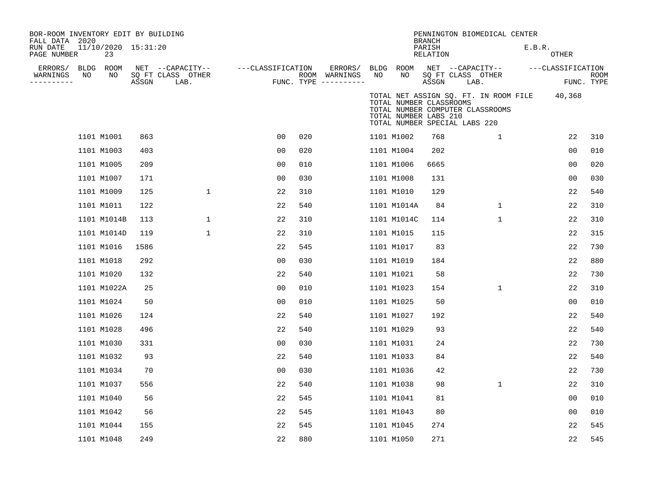| BOR-ROOM INVENTORY EDIT BY BUILDING<br>FALL DATA 2020<br>RUN DATE<br>PAGE NUMBER |    | 11/10/2020 15:31:20<br>23 |       |                                               |                   |     |                                                 |    |                                                                                   | <b>BRANCH</b><br>PARISH<br><b>RELATION</b> |                                               | PENNINGTON BIOMEDICAL CENTER                                              | E.B.R. | <b>OTHER</b>      |                           |
|----------------------------------------------------------------------------------|----|---------------------------|-------|-----------------------------------------------|-------------------|-----|-------------------------------------------------|----|-----------------------------------------------------------------------------------|--------------------------------------------|-----------------------------------------------|---------------------------------------------------------------------------|--------|-------------------|---------------------------|
| ERRORS/ BLDG ROOM<br>WARNINGS<br>---------                                       | NO | NO                        | ASSGN | NET --CAPACITY--<br>SQ FT CLASS OTHER<br>LAB. | ---CLASSIFICATION |     | ERRORS/<br>ROOM WARNINGS<br>FUNC. TYPE $------$ | NO | BLDG ROOM<br>NO                                                                   | ASSGN                                      | NET --CAPACITY--<br>SQ FT CLASS OTHER<br>LAB. |                                                                           |        | ---CLASSIFICATION | <b>ROOM</b><br>FUNC. TYPE |
|                                                                                  |    |                           |       |                                               |                   |     |                                                 |    | TOTAL NUMBER CLASSROOMS<br>TOTAL NUMBER LABS 210<br>TOTAL NUMBER SPECIAL LABS 220 |                                            |                                               | TOTAL NET ASSIGN SQ. FT. IN ROOM FILE<br>TOTAL NUMBER COMPUTER CLASSROOMS |        | 40,368            |                           |
|                                                                                  |    | 1101 M1001                | 863   |                                               | 0 <sub>0</sub>    | 020 |                                                 |    | 1101 M1002                                                                        | 768                                        |                                               | $\mathbf{1}$                                                              |        | 22                | 310                       |
|                                                                                  |    | 1101 M1003                | 403   |                                               | 0 <sub>0</sub>    | 020 |                                                 |    | 1101 M1004                                                                        | 202                                        |                                               |                                                                           |        | 00                | 010                       |
|                                                                                  |    | 1101 M1005                | 209   |                                               | 0 <sub>0</sub>    | 010 |                                                 |    | 1101 M1006                                                                        | 6665                                       |                                               |                                                                           |        | 0 <sub>0</sub>    | 020                       |
|                                                                                  |    | 1101 M1007                | 171   |                                               | 0 <sub>0</sub>    | 030 |                                                 |    | 1101 M1008                                                                        | 131                                        |                                               |                                                                           |        | 00                | 030                       |
|                                                                                  |    | 1101 M1009                | 125   | $\mathbf{1}$                                  | 22                | 310 |                                                 |    | 1101 M1010                                                                        | 129                                        |                                               |                                                                           |        | 22                | 540                       |
|                                                                                  |    | 1101 M1011                | 122   |                                               | 22                | 540 |                                                 |    | 1101 M1014A                                                                       | 84                                         |                                               | $\mathbf{1}$                                                              |        | 22                | 310                       |
|                                                                                  |    | 1101 M1014B               | 113   | 1                                             | 22                | 310 |                                                 |    | 1101 M1014C                                                                       | 114                                        |                                               | 1                                                                         |        | 22                | 310                       |
|                                                                                  |    | 1101 M1014D               | 119   | $\mathbf 1$                                   | 22                | 310 |                                                 |    | 1101 M1015                                                                        | 115                                        |                                               |                                                                           |        | 22                | 315                       |
|                                                                                  |    | 1101 M1016                | 1586  |                                               | 22                | 545 |                                                 |    | 1101 M1017                                                                        | 83                                         |                                               |                                                                           |        | 22                | 730                       |
|                                                                                  |    | 1101 M1018                | 292   |                                               | 0 <sub>0</sub>    | 030 |                                                 |    | 1101 M1019                                                                        | 184                                        |                                               |                                                                           |        | 22                | 880                       |
|                                                                                  |    | 1101 M1020                | 132   |                                               | 22                | 540 |                                                 |    | 1101 M1021                                                                        | 58                                         |                                               |                                                                           |        | 22                | 730                       |
|                                                                                  |    | 1101 M1022A               | 25    |                                               | 0 <sub>0</sub>    | 010 |                                                 |    | 1101 M1023                                                                        | 154                                        |                                               | $\mathbf 1$                                                               |        | 22                | 310                       |
|                                                                                  |    | 1101 M1024                | 50    |                                               | 0 <sub>0</sub>    | 010 |                                                 |    | 1101 M1025                                                                        | 50                                         |                                               |                                                                           |        | 0 <sub>0</sub>    | 010                       |
|                                                                                  |    | 1101 M1026                | 124   |                                               | 22                | 540 |                                                 |    | 1101 M1027                                                                        | 192                                        |                                               |                                                                           |        | 22                | 540                       |
|                                                                                  |    | 1101 M1028                | 496   |                                               | 22                | 540 |                                                 |    | 1101 M1029                                                                        | 93                                         |                                               |                                                                           |        | 22                | 540                       |
|                                                                                  |    | 1101 M1030                | 331   |                                               | 0 <sub>0</sub>    | 030 |                                                 |    | 1101 M1031                                                                        | 24                                         |                                               |                                                                           |        | 22                | 730                       |
|                                                                                  |    | 1101 M1032                | 93    |                                               | 22                | 540 |                                                 |    | 1101 M1033                                                                        | 84                                         |                                               |                                                                           |        | 22                | 540                       |
|                                                                                  |    | 1101 M1034                | 70    |                                               | 0 <sub>0</sub>    | 030 |                                                 |    | 1101 M1036                                                                        | 42                                         |                                               |                                                                           |        | 22                | 730                       |
|                                                                                  |    | 1101 M1037                | 556   |                                               | 22                | 540 |                                                 |    | 1101 M1038                                                                        | 98                                         |                                               | $\mathbf{1}$                                                              |        | 22                | 310                       |
|                                                                                  |    | 1101 M1040                | 56    |                                               | 22                | 545 |                                                 |    | 1101 M1041                                                                        | 81                                         |                                               |                                                                           |        | 0 <sub>0</sub>    | 010                       |
|                                                                                  |    | 1101 M1042                | 56    |                                               | 22                | 545 |                                                 |    | 1101 M1043                                                                        | 80                                         |                                               |                                                                           |        | 0 <sub>0</sub>    | 010                       |
|                                                                                  |    | 1101 M1044                | 155   |                                               | 22                | 545 |                                                 |    | 1101 M1045                                                                        | 274                                        |                                               |                                                                           |        | 22                | 545                       |
|                                                                                  |    | 1101 M1048                | 249   |                                               | 22                | 880 |                                                 |    | 1101 M1050                                                                        | 271                                        |                                               |                                                                           |        | 22                | 545                       |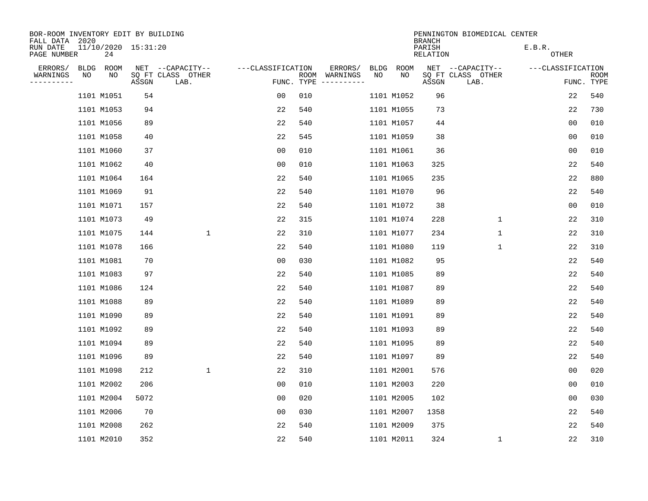| BOR-ROOM INVENTORY EDIT BY BUILDING<br>FALL DATA 2020 |      |                           |       |                           |                   |            |                              |      |            | <b>BRANCH</b>      | PENNINGTON BIOMEDICAL CENTER |                        |                           |
|-------------------------------------------------------|------|---------------------------|-------|---------------------------|-------------------|------------|------------------------------|------|------------|--------------------|------------------------------|------------------------|---------------------------|
| RUN DATE<br>PAGE NUMBER                               |      | 11/10/2020 15:31:20<br>24 |       |                           |                   |            |                              |      |            | PARISH<br>RELATION |                              | E.B.R.<br><b>OTHER</b> |                           |
| ERRORS/                                               | BLDG | ROOM                      |       | NET --CAPACITY--          | ---CLASSIFICATION |            | ERRORS/                      | BLDG | ROOM       |                    | NET --CAPACITY--             | ---CLASSIFICATION      |                           |
| WARNINGS<br>----------                                | ΝO   | NO                        | ASSGN | SQ FT CLASS OTHER<br>LAB. |                   | FUNC. TYPE | ROOM WARNINGS<br>----------- | NO   | NO         | ASSGN              | SQ FT CLASS OTHER<br>LAB.    |                        | <b>ROOM</b><br>FUNC. TYPE |
|                                                       |      | 1101 M1051                | 54    |                           | 00                | 010        |                              |      | 1101 M1052 | 96                 |                              | 22                     | 540                       |
|                                                       |      | 1101 M1053                | 94    |                           | 22                | 540        |                              |      | 1101 M1055 | 73                 |                              | 22                     | 730                       |
|                                                       |      | 1101 M1056                | 89    |                           | 22                | 540        |                              |      | 1101 M1057 | 44                 |                              | 0 <sub>0</sub>         | 010                       |
|                                                       |      | 1101 M1058                | 40    |                           | 22                | 545        |                              |      | 1101 M1059 | 38                 |                              | 0 <sub>0</sub>         | 010                       |
|                                                       |      | 1101 M1060                | 37    |                           | 0 <sub>0</sub>    | 010        |                              |      | 1101 M1061 | 36                 |                              | 0 <sub>0</sub>         | 010                       |
|                                                       |      | 1101 M1062                | 40    |                           | 0 <sub>0</sub>    | 010        |                              |      | 1101 M1063 | 325                |                              | 22                     | 540                       |
|                                                       |      | 1101 M1064                | 164   |                           | 22                | 540        |                              |      | 1101 M1065 | 235                |                              | 22                     | 880                       |
|                                                       |      | 1101 M1069                | 91    |                           | 22                | 540        |                              |      | 1101 M1070 | 96                 |                              | 22                     | 540                       |
|                                                       |      | 1101 M1071                | 157   |                           | 22                | 540        |                              |      | 1101 M1072 | 38                 |                              | 0 <sub>0</sub>         | 010                       |
|                                                       |      | 1101 M1073                | 49    |                           | 22                | 315        |                              |      | 1101 M1074 | 228                | $\mathbf{1}$                 | 22                     | 310                       |
|                                                       |      | 1101 M1075                | 144   | $\mathbf{1}$              | 22                | 310        |                              |      | 1101 M1077 | 234                | $\mathbf 1$                  | 22                     | 310                       |
|                                                       |      | 1101 M1078                | 166   |                           | 22                | 540        |                              |      | 1101 M1080 | 119                | $\mathbf 1$                  | 22                     | 310                       |
|                                                       |      | 1101 M1081                | 70    |                           | 00                | 030        |                              |      | 1101 M1082 | 95                 |                              | 22                     | 540                       |
|                                                       |      | 1101 M1083                | 97    |                           | 22                | 540        |                              |      | 1101 M1085 | 89                 |                              | 22                     | 540                       |
|                                                       |      | 1101 M1086                | 124   |                           | 22                | 540        |                              |      | 1101 M1087 | 89                 |                              | 22                     | 540                       |
|                                                       |      | 1101 M1088                | 89    |                           | 22                | 540        |                              |      | 1101 M1089 | 89                 |                              | 22                     | 540                       |
|                                                       |      | 1101 M1090                | 89    |                           | 22                | 540        |                              |      | 1101 M1091 | 89                 |                              | 22                     | 540                       |
|                                                       |      | 1101 M1092                | 89    |                           | 22                | 540        |                              |      | 1101 M1093 | 89                 |                              | 22                     | 540                       |
|                                                       |      | 1101 M1094                | 89    |                           | 22                | 540        |                              |      | 1101 M1095 | 89                 |                              | 22                     | 540                       |
|                                                       |      | 1101 M1096                | 89    |                           | 22                | 540        |                              |      | 1101 M1097 | 89                 |                              | 22                     | 540                       |
|                                                       |      | 1101 M1098                | 212   | $\mathbf{1}$              | 22                | 310        |                              |      | 1101 M2001 | 576                |                              | 0 <sub>0</sub>         | 020                       |
|                                                       |      | 1101 M2002                | 206   |                           | 0 <sub>0</sub>    | 010        |                              |      | 1101 M2003 | 220                |                              | 0 <sub>0</sub>         | 010                       |
|                                                       |      | 1101 M2004                | 5072  |                           | 0 <sub>0</sub>    | 020        |                              |      | 1101 M2005 | 102                |                              | 0 <sub>0</sub>         | 030                       |
|                                                       |      | 1101 M2006                | 70    |                           | 0 <sub>0</sub>    | 030        |                              |      | 1101 M2007 | 1358               |                              | 22                     | 540                       |
|                                                       |      | 1101 M2008                | 262   |                           | 22                | 540        |                              |      | 1101 M2009 | 375                |                              | 22                     | 540                       |
|                                                       |      | 1101 M2010                | 352   |                           | 22                | 540        |                              |      | 1101 M2011 | 324                | 1                            | 22                     | 310                       |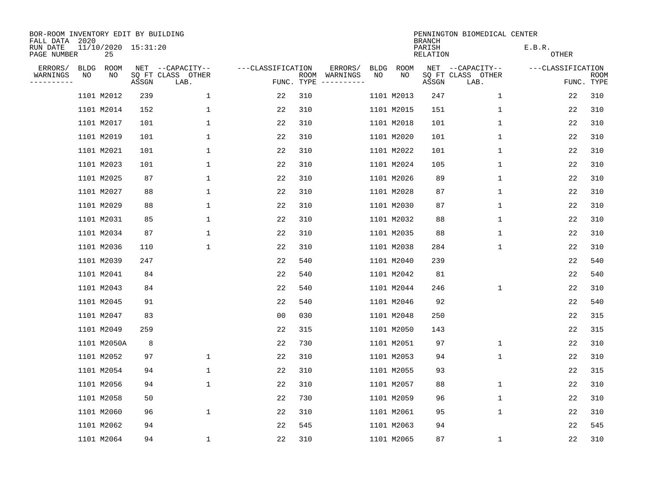| BOR-ROOM INVENTORY EDIT BY BUILDING<br>FALL DATA 2020 |             |                           |       |                           |                   |                    |                         |      |             | <b>BRANCH</b>      | PENNINGTON BIOMEDICAL CENTER |                   |                           |
|-------------------------------------------------------|-------------|---------------------------|-------|---------------------------|-------------------|--------------------|-------------------------|------|-------------|--------------------|------------------------------|-------------------|---------------------------|
| RUN DATE<br>PAGE NUMBER                               |             | 11/10/2020 15:31:20<br>25 |       |                           |                   |                    |                         |      |             | PARISH<br>RELATION |                              | E.B.R.<br>OTHER   |                           |
| ERRORS/                                               | <b>BLDG</b> | ROOM                      |       | NET --CAPACITY--          | ---CLASSIFICATION |                    | ERRORS/                 | BLDG | <b>ROOM</b> |                    | NET --CAPACITY--             | ---CLASSIFICATION |                           |
| WARNINGS<br>----------                                | ΝO          | ΝO                        | ASSGN | SQ FT CLASS OTHER<br>LAB. |                   | ROOM<br>FUNC. TYPE | WARNINGS<br>----------- | NO   | NO          | ASSGN              | SQ FT CLASS OTHER<br>LAB.    |                   | <b>ROOM</b><br>FUNC. TYPE |
|                                                       |             | 1101 M2012                | 239   | 1                         | 22                | 310                |                         |      | 1101 M2013  | 247                | 1                            | 22                | 310                       |
|                                                       |             | 1101 M2014                | 152   | $\mathbf{1}$              | 22                | 310                |                         |      | 1101 M2015  | 151                | 1                            | 22                | 310                       |
|                                                       |             | 1101 M2017                | 101   | $\mathbf 1$               | 22                | 310                |                         |      | 1101 M2018  | 101                | 1                            | 22                | 310                       |
|                                                       |             | 1101 M2019                | 101   | $\mathbf{1}$              | 22                | 310                |                         |      | 1101 M2020  | 101                | 1                            | 22                | 310                       |
|                                                       |             | 1101 M2021                | 101   | $\mathbf 1$               | 22                | 310                |                         |      | 1101 M2022  | 101                | $\mathbf 1$                  | 22                | 310                       |
|                                                       |             | 1101 M2023                | 101   | $\mathbf 1$               | 22                | 310                |                         |      | 1101 M2024  | 105                | 1                            | 22                | 310                       |
|                                                       |             | 1101 M2025                | 87    | $\mathbf 1$               | 22                | 310                |                         |      | 1101 M2026  | 89                 | $\mathbf 1$                  | 22                | 310                       |
|                                                       |             | 1101 M2027                | 88    | $\mathbf{1}$              | 22                | 310                |                         |      | 1101 M2028  | 87                 | $\mathbf 1$                  | 22                | 310                       |
|                                                       |             | 1101 M2029                | 88    | $\mathbf 1$               | 22                | 310                |                         |      | 1101 M2030  | 87                 | $\mathbf 1$                  | 22                | 310                       |
|                                                       |             | 1101 M2031                | 85    | 1                         | 22                | 310                |                         |      | 1101 M2032  | 88                 | 1                            | 22                | 310                       |
|                                                       |             | 1101 M2034                | 87    | $\mathbf 1$               | 22                | 310                |                         |      | 1101 M2035  | 88                 | 1                            | 22                | 310                       |
|                                                       |             | 1101 M2036                | 110   | $\mathbf 1$               | 22                | 310                |                         |      | 1101 M2038  | 284                | 1                            | 22                | 310                       |
|                                                       |             | 1101 M2039                | 247   |                           | 22                | 540                |                         |      | 1101 M2040  | 239                |                              | 22                | 540                       |
|                                                       |             | 1101 M2041                | 84    |                           | 22                | 540                |                         |      | 1101 M2042  | 81                 |                              | 22                | 540                       |
|                                                       |             | 1101 M2043                | 84    |                           | 22                | 540                |                         |      | 1101 M2044  | 246                | 1                            | 22                | 310                       |
|                                                       |             | 1101 M2045                | 91    |                           | 22                | 540                |                         |      | 1101 M2046  | 92                 |                              | 22                | 540                       |
|                                                       |             | 1101 M2047                | 83    |                           | 00                | 030                |                         |      | 1101 M2048  | 250                |                              | 22                | 315                       |
|                                                       |             | 1101 M2049                | 259   |                           | 22                | 315                |                         |      | 1101 M2050  | 143                |                              | 22                | 315                       |
|                                                       |             | 1101 M2050A               | 8     |                           | 22                | 730                |                         |      | 1101 M2051  | 97                 | 1                            | 22                | 310                       |
|                                                       |             | 1101 M2052                | 97    | $\mathbf 1$               | 22                | 310                |                         |      | 1101 M2053  | 94                 | 1                            | 22                | 310                       |
|                                                       |             | 1101 M2054                | 94    | $\mathbf 1$               | 22                | 310                |                         |      | 1101 M2055  | 93                 |                              | 22                | 315                       |
|                                                       |             | 1101 M2056                | 94    | $\mathbf 1$               | 22                | 310                |                         |      | 1101 M2057  | 88                 | 1                            | 22                | 310                       |
|                                                       |             | 1101 M2058                | 50    |                           | 22                | 730                |                         |      | 1101 M2059  | 96                 | 1                            | 22                | 310                       |
|                                                       |             | 1101 M2060                | 96    | $\mathbf 1$               | 22                | 310                |                         |      | 1101 M2061  | 95                 | 1                            | 22                | 310                       |
|                                                       |             | 1101 M2062                | 94    |                           | 22                | 545                |                         |      | 1101 M2063  | 94                 |                              | 22                | 545                       |
|                                                       |             | 1101 M2064                | 94    | $\mathbf{1}$              | 22                | 310                |                         |      | 1101 M2065  | 87                 | 1                            | 22                | 310                       |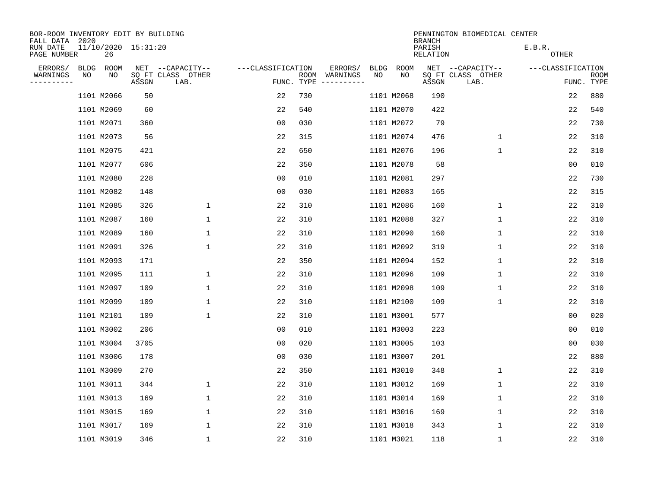| BOR-ROOM INVENTORY EDIT BY BUILDING<br>FALL DATA 2020 |             |                           |       |                           |                   |                    |          | PENNINGTON BIOMEDICAL CENTER<br><b>BRANCH</b> |             |                    |                           |                   |                |                           |  |  |
|-------------------------------------------------------|-------------|---------------------------|-------|---------------------------|-------------------|--------------------|----------|-----------------------------------------------|-------------|--------------------|---------------------------|-------------------|----------------|---------------------------|--|--|
| RUN DATE<br>PAGE NUMBER                               |             | 11/10/2020 15:31:20<br>26 |       |                           |                   |                    |          |                                               |             | PARISH<br>RELATION |                           | E.B.R.<br>OTHER   |                |                           |  |  |
| ERRORS/                                               | <b>BLDG</b> | ROOM                      |       | NET --CAPACITY--          | ---CLASSIFICATION |                    | ERRORS/  | <b>BLDG</b>                                   | <b>ROOM</b> |                    | NET --CAPACITY--          | ---CLASSIFICATION |                |                           |  |  |
| WARNINGS<br>----------                                | NO          | NO                        | ASSGN | SQ FT CLASS OTHER<br>LAB. |                   | ROOM<br>FUNC. TYPE | WARNINGS | NO                                            | NO          | ASSGN              | SQ FT CLASS OTHER<br>LAB. |                   |                | <b>ROOM</b><br>FUNC. TYPE |  |  |
|                                                       |             | 1101 M2066                | 50    |                           | 22                | 730                |          |                                               | 1101 M2068  | 190                |                           |                   | 22             | 880                       |  |  |
|                                                       |             | 1101 M2069                | 60    |                           | 22                | 540                |          |                                               | 1101 M2070  | 422                |                           |                   | 22             | 540                       |  |  |
|                                                       |             | 1101 M2071                | 360   |                           | 0 <sub>0</sub>    | 030                |          |                                               | 1101 M2072  | 79                 |                           |                   | 22             | 730                       |  |  |
|                                                       |             | 1101 M2073                | 56    |                           | 22                | 315                |          |                                               | 1101 M2074  | 476                | $\mathbf 1$               |                   | 22             | 310                       |  |  |
|                                                       |             | 1101 M2075                | 421   |                           | 22                | 650                |          |                                               | 1101 M2076  | 196                | $\mathbf 1$               |                   | 22             | 310                       |  |  |
|                                                       |             | 1101 M2077                | 606   |                           | 22                | 350                |          |                                               | 1101 M2078  | 58                 |                           |                   | 0 <sub>0</sub> | 010                       |  |  |
|                                                       |             | 1101 M2080                | 228   |                           | 00                | 010                |          |                                               | 1101 M2081  | 297                |                           |                   | 22             | 730                       |  |  |
|                                                       |             | 1101 M2082                | 148   |                           | 0 <sub>0</sub>    | 030                |          |                                               | 1101 M2083  | 165                |                           |                   | 22             | 315                       |  |  |
|                                                       |             | 1101 M2085                | 326   | 1                         | 22                | 310                |          |                                               | 1101 M2086  | 160                | $\mathbf 1$               |                   | 22             | 310                       |  |  |
|                                                       |             | 1101 M2087                | 160   | 1                         | 22                | 310                |          |                                               | 1101 M2088  | 327                | 1                         |                   | 22             | 310                       |  |  |
|                                                       |             | 1101 M2089                | 160   | 1                         | 22                | 310                |          |                                               | 1101 M2090  | 160                | 1                         |                   | 22             | 310                       |  |  |
|                                                       |             | 1101 M2091                | 326   | 1                         | 22                | 310                |          |                                               | 1101 M2092  | 319                | 1                         |                   | 22             | 310                       |  |  |
|                                                       |             | 1101 M2093                | 171   |                           | 22                | 350                |          |                                               | 1101 M2094  | 152                | 1                         |                   | 22             | 310                       |  |  |
|                                                       |             | 1101 M2095                | 111   | 1                         | 22                | 310                |          |                                               | 1101 M2096  | 109                | 1                         |                   | 22             | 310                       |  |  |
|                                                       |             | 1101 M2097                | 109   | 1                         | 22                | 310                |          |                                               | 1101 M2098  | 109                | 1                         |                   | 22             | 310                       |  |  |
|                                                       |             | 1101 M2099                | 109   | 1                         | 22                | 310                |          |                                               | 1101 M2100  | 109                | 1                         |                   | 22             | 310                       |  |  |
|                                                       |             | 1101 M2101                | 109   | $\mathbf{1}$              | 22                | 310                |          |                                               | 1101 M3001  | 577                |                           |                   | 0 <sub>0</sub> | 020                       |  |  |
|                                                       |             | 1101 M3002                | 206   |                           | 0 <sub>0</sub>    | 010                |          |                                               | 1101 M3003  | 223                |                           |                   | 0 <sub>0</sub> | 010                       |  |  |
|                                                       |             | 1101 M3004                | 3705  |                           | 0 <sub>0</sub>    | 020                |          |                                               | 1101 M3005  | 103                |                           |                   | 0 <sub>0</sub> | 030                       |  |  |
|                                                       |             | 1101 M3006                | 178   |                           | 0 <sub>0</sub>    | 030                |          |                                               | 1101 M3007  | 201                |                           |                   | 22             | 880                       |  |  |
|                                                       |             | 1101 M3009                | 270   |                           | 22                | 350                |          |                                               | 1101 M3010  | 348                | 1                         |                   | 22             | 310                       |  |  |
|                                                       |             | 1101 M3011                | 344   | $\mathbf 1$               | 22                | 310                |          |                                               | 1101 M3012  | 169                | 1                         |                   | 22             | 310                       |  |  |
|                                                       |             | 1101 M3013                | 169   | 1                         | 22                | 310                |          |                                               | 1101 M3014  | 169                | 1                         |                   | 22             | 310                       |  |  |
|                                                       |             | 1101 M3015                | 169   | $\mathbf 1$               | 22                | 310                |          |                                               | 1101 M3016  | 169                | 1                         |                   | 22             | 310                       |  |  |
|                                                       |             | 1101 M3017                | 169   | 1                         | 22                | 310                |          |                                               | 1101 M3018  | 343                | 1                         |                   | 22             | 310                       |  |  |
|                                                       |             | 1101 M3019                | 346   | 1                         | 22                | 310                |          |                                               | 1101 M3021  | 118                | 1                         |                   | 22             | 310                       |  |  |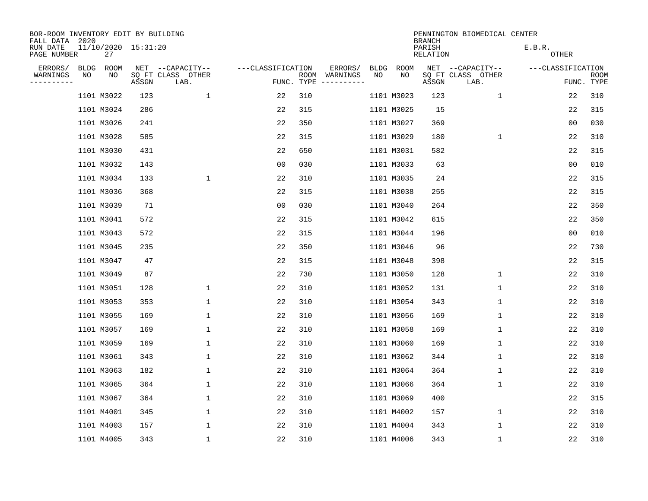| BOR-ROOM INVENTORY EDIT BY BUILDING<br>FALL DATA 2020 |             |                           |       |                           |                   |                    | PENNINGTON BIOMEDICAL CENTER<br><b>BRANCH</b> |             |             |                    |                           |                   |                           |  |  |
|-------------------------------------------------------|-------------|---------------------------|-------|---------------------------|-------------------|--------------------|-----------------------------------------------|-------------|-------------|--------------------|---------------------------|-------------------|---------------------------|--|--|
| RUN DATE<br>PAGE NUMBER                               |             | 11/10/2020 15:31:20<br>27 |       |                           |                   |                    |                                               |             |             | PARISH<br>RELATION |                           | E.B.R.<br>OTHER   |                           |  |  |
| ERRORS/                                               | <b>BLDG</b> | ROOM                      |       | NET --CAPACITY--          | ---CLASSIFICATION |                    | ERRORS/                                       | <b>BLDG</b> | <b>ROOM</b> |                    | NET --CAPACITY--          | ---CLASSIFICATION |                           |  |  |
| WARNINGS<br>----------                                | ΝO          | NO                        | ASSGN | SQ FT CLASS OTHER<br>LAB. |                   | ROOM<br>FUNC. TYPE | WARNINGS<br>-----------                       | NO          | NO          | ASSGN              | SQ FT CLASS OTHER<br>LAB. |                   | <b>ROOM</b><br>FUNC. TYPE |  |  |
|                                                       |             | 1101 M3022                | 123   | 1                         | 22                | 310                |                                               |             | 1101 M3023  | 123                | 1                         | 22                | 310                       |  |  |
|                                                       |             | 1101 M3024                | 286   |                           | 22                | 315                |                                               |             | 1101 M3025  | 15                 |                           | 22                | 315                       |  |  |
|                                                       |             | 1101 M3026                | 241   |                           | 22                | 350                |                                               |             | 1101 M3027  | 369                |                           | 0 <sub>0</sub>    | 030                       |  |  |
|                                                       |             | 1101 M3028                | 585   |                           | 22                | 315                |                                               |             | 1101 M3029  | 180                | $\mathbf 1$               | 22                | 310                       |  |  |
|                                                       |             | 1101 M3030                | 431   |                           | 22                | 650                |                                               |             | 1101 M3031  | 582                |                           | 22                | 315                       |  |  |
|                                                       |             | 1101 M3032                | 143   |                           | 0 <sub>0</sub>    | 030                |                                               |             | 1101 M3033  | 63                 |                           | 0 <sub>0</sub>    | 010                       |  |  |
|                                                       |             | 1101 M3034                | 133   | $\mathbf 1$               | 22                | 310                |                                               |             | 1101 M3035  | 24                 |                           | 22                | 315                       |  |  |
|                                                       |             | 1101 M3036                | 368   |                           | 22                | 315                |                                               |             | 1101 M3038  | 255                |                           | 22                | 315                       |  |  |
|                                                       |             | 1101 M3039                | 71    |                           | 0 <sub>0</sub>    | 030                |                                               |             | 1101 M3040  | 264                |                           | 22                | 350                       |  |  |
|                                                       |             | 1101 M3041                | 572   |                           | 22                | 315                |                                               |             | 1101 M3042  | 615                |                           | 22                | 350                       |  |  |
|                                                       |             | 1101 M3043                | 572   |                           | 22                | 315                |                                               |             | 1101 M3044  | 196                |                           | 0 <sub>0</sub>    | 010                       |  |  |
|                                                       |             | 1101 M3045                | 235   |                           | 22                | 350                |                                               |             | 1101 M3046  | 96                 |                           | 22                | 730                       |  |  |
|                                                       |             | 1101 M3047                | 47    |                           | 22                | 315                |                                               |             | 1101 M3048  | 398                |                           | 22                | 315                       |  |  |
|                                                       |             | 1101 M3049                | 87    |                           | 22                | 730                |                                               |             | 1101 M3050  | 128                | 1                         | 22                | 310                       |  |  |
|                                                       |             | 1101 M3051                | 128   | $\mathbf{1}$              | 22                | 310                |                                               |             | 1101 M3052  | 131                | 1                         | 22                | 310                       |  |  |
|                                                       |             | 1101 M3053                | 353   | $\mathbf{1}$              | 22                | 310                |                                               |             | 1101 M3054  | 343                | $\mathbf 1$               | 22                | 310                       |  |  |
|                                                       |             | 1101 M3055                | 169   | 1                         | 22                | 310                |                                               |             | 1101 M3056  | 169                | 1                         | 22                | 310                       |  |  |
|                                                       |             | 1101 M3057                | 169   | 1                         | 22                | 310                |                                               |             | 1101 M3058  | 169                | 1                         | 22                | 310                       |  |  |
|                                                       |             | 1101 M3059                | 169   | 1                         | 22                | 310                |                                               |             | 1101 M3060  | 169                | 1                         | 22                | 310                       |  |  |
|                                                       |             | 1101 M3061                | 343   | 1                         | 22                | 310                |                                               |             | 1101 M3062  | 344                | 1                         | 22                | 310                       |  |  |
|                                                       |             | 1101 M3063                | 182   | 1                         | 22                | 310                |                                               |             | 1101 M3064  | 364                | 1                         | 22                | 310                       |  |  |
|                                                       |             | 1101 M3065                | 364   | $\mathbf 1$               | 22                | 310                |                                               |             | 1101 M3066  | 364                | $\mathbf 1$               | 22                | 310                       |  |  |
|                                                       |             | 1101 M3067                | 364   | $\mathbf{1}$              | 22                | 310                |                                               |             | 1101 M3069  | 400                |                           | 22                | 315                       |  |  |
|                                                       |             | 1101 M4001                | 345   | $\mathbf 1$               | 22                | 310                |                                               |             | 1101 M4002  | 157                | $\mathbf 1$               | 22                | 310                       |  |  |
|                                                       |             | 1101 M4003                | 157   | $\mathbf{1}$              | 22                | 310                |                                               |             | 1101 M4004  | 343                | 1                         | 22                | 310                       |  |  |
|                                                       |             | 1101 M4005                | 343   | $\mathbf{1}$              | 22                | 310                |                                               |             | 1101 M4006  | 343                | 1                         | 22                | 310                       |  |  |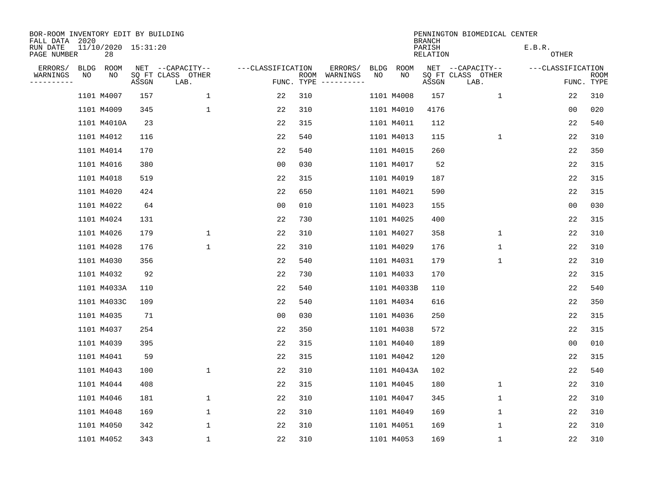| BOR-ROOM INVENTORY EDIT BY BUILDING<br>FALL DATA 2020 |             |                           |       |                           |                   |                    |                         |      |             | <b>BRANCH</b>      | PENNINGTON BIOMEDICAL CENTER |                        |                           |
|-------------------------------------------------------|-------------|---------------------------|-------|---------------------------|-------------------|--------------------|-------------------------|------|-------------|--------------------|------------------------------|------------------------|---------------------------|
| RUN DATE<br>PAGE NUMBER                               |             | 11/10/2020 15:31:20<br>28 |       |                           |                   |                    |                         |      |             | PARISH<br>RELATION |                              | E.B.R.<br><b>OTHER</b> |                           |
| ERRORS/                                               | <b>BLDG</b> | ROOM                      |       | NET --CAPACITY--          | ---CLASSIFICATION |                    | ERRORS/                 | BLDG | ROOM        |                    | NET --CAPACITY--             | ---CLASSIFICATION      |                           |
| WARNINGS<br>----------                                | NO          | ΝO                        | ASSGN | SQ FT CLASS OTHER<br>LAB. |                   | ROOM<br>FUNC. TYPE | WARNINGS<br>----------- | NO   | NO          | ASSGN              | SQ FT CLASS OTHER<br>LAB.    |                        | <b>ROOM</b><br>FUNC. TYPE |
|                                                       |             | 1101 M4007                | 157   | $\mathbf{1}$              | 22                | 310                |                         |      | 1101 M4008  | 157                | 1                            | 22                     | 310                       |
|                                                       |             | 1101 M4009                | 345   | $\mathbf 1$               | 22                | 310                |                         |      | 1101 M4010  | 4176               |                              | 00                     | 020                       |
|                                                       |             | 1101 M4010A               | 23    |                           | 22                | 315                |                         |      | 1101 M4011  | 112                |                              | 22                     | 540                       |
|                                                       |             | 1101 M4012                | 116   |                           | 22                | 540                |                         |      | 1101 M4013  | 115                | $\mathbf{1}$                 | 22                     | 310                       |
|                                                       |             | 1101 M4014                | 170   |                           | 22                | 540                |                         |      | 1101 M4015  | 260                |                              | 22                     | 350                       |
|                                                       |             | 1101 M4016                | 380   |                           | 0 <sub>0</sub>    | 030                |                         |      | 1101 M4017  | 52                 |                              | 22                     | 315                       |
|                                                       |             | 1101 M4018                | 519   |                           | 22                | 315                |                         |      | 1101 M4019  | 187                |                              | 22                     | 315                       |
|                                                       |             | 1101 M4020                | 424   |                           | 22                | 650                |                         |      | 1101 M4021  | 590                |                              | 22                     | 315                       |
|                                                       |             | 1101 M4022                | 64    |                           | 0 <sub>0</sub>    | 010                |                         |      | 1101 M4023  | 155                |                              | 0 <sub>0</sub>         | 030                       |
|                                                       |             | 1101 M4024                | 131   |                           | 22                | 730                |                         |      | 1101 M4025  | 400                |                              | 22                     | 315                       |
|                                                       |             | 1101 M4026                | 179   | $\mathbf 1$               | 22                | 310                |                         |      | 1101 M4027  | 358                | $\mathbf 1$                  | 22                     | 310                       |
|                                                       |             | 1101 M4028                | 176   | $\mathbf 1$               | 22                | 310                |                         |      | 1101 M4029  | 176                | $\mathbf 1$                  | 22                     | 310                       |
|                                                       |             | 1101 M4030                | 356   |                           | 22                | 540                |                         |      | 1101 M4031  | 179                | $\mathbf 1$                  | 22                     | 310                       |
|                                                       |             | 1101 M4032                | 92    |                           | 22                | 730                |                         |      | 1101 M4033  | 170                |                              | 22                     | 315                       |
|                                                       |             | 1101 M4033A               | 110   |                           | 22                | 540                |                         |      | 1101 M4033B | 110                |                              | 22                     | 540                       |
|                                                       |             | 1101 M4033C               | 109   |                           | 22                | 540                |                         |      | 1101 M4034  | 616                |                              | 22                     | 350                       |
|                                                       |             | 1101 M4035                | 71    |                           | 0 <sub>0</sub>    | 030                |                         |      | 1101 M4036  | 250                |                              | 22                     | 315                       |
|                                                       |             | 1101 M4037                | 254   |                           | 22                | 350                |                         |      | 1101 M4038  | 572                |                              | 22                     | 315                       |
|                                                       |             | 1101 M4039                | 395   |                           | 22                | 315                |                         |      | 1101 M4040  | 189                |                              | 0 <sub>0</sub>         | 010                       |
|                                                       |             | 1101 M4041                | 59    |                           | 22                | 315                |                         |      | 1101 M4042  | 120                |                              | 22                     | 315                       |
|                                                       |             | 1101 M4043                | 100   | $\mathbf{1}$              | 22                | 310                |                         |      | 1101 M4043A | 102                |                              | 22                     | 540                       |
|                                                       |             | 1101 M4044                | 408   |                           | 22                | 315                |                         |      | 1101 M4045  | 180                | $\mathbf 1$                  | 22                     | 310                       |
|                                                       |             | 1101 M4046                | 181   | 1                         | 22                | 310                |                         |      | 1101 M4047  | 345                | 1                            | 22                     | 310                       |
|                                                       |             | 1101 M4048                | 169   | $\mathbf 1$               | 22                | 310                |                         |      | 1101 M4049  | 169                | 1                            | 22                     | 310                       |
|                                                       |             | 1101 M4050                | 342   | $\mathbf{1}$              | 22                | 310                |                         |      | 1101 M4051  | 169                | 1                            | 22                     | 310                       |
|                                                       |             | 1101 M4052                | 343   | $\mathbf{1}$              | 22                | 310                |                         |      | 1101 M4053  | 169                | 1                            | 22                     | 310                       |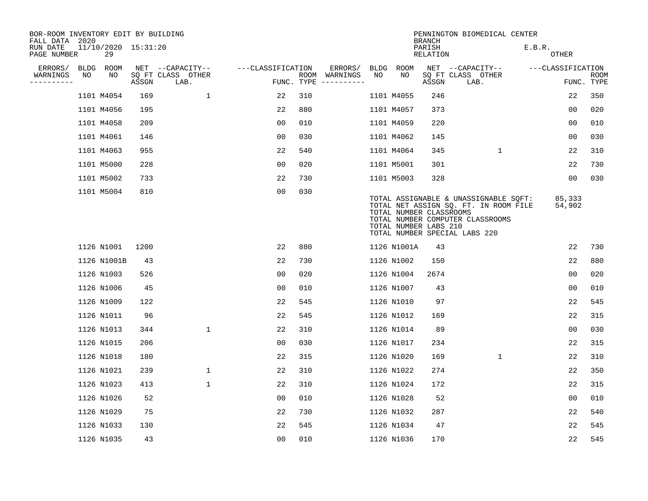| BOR-ROOM INVENTORY EDIT BY BUILDING<br>FALL DATA 2020 |             |                           |       |                           |                   |     |                                      |             |                                                  | <b>BRANCH</b>             | PENNINGTON BIOMEDICAL CENTER                                                                                                                        |                        |                           |
|-------------------------------------------------------|-------------|---------------------------|-------|---------------------------|-------------------|-----|--------------------------------------|-------------|--------------------------------------------------|---------------------------|-----------------------------------------------------------------------------------------------------------------------------------------------------|------------------------|---------------------------|
| RUN DATE<br>PAGE NUMBER                               |             | 11/10/2020 15:31:20<br>29 |       |                           |                   |     |                                      |             |                                                  | PARISH<br><b>RELATION</b> |                                                                                                                                                     | E.B.R.<br><b>OTHER</b> |                           |
| ERRORS/                                               | <b>BLDG</b> | ROOM                      |       | NET --CAPACITY--          | ---CLASSIFICATION |     | ERRORS/                              | <b>BLDG</b> | <b>ROOM</b>                                      |                           | NET --CAPACITY--                                                                                                                                    | ---CLASSIFICATION      |                           |
| WARNINGS<br>---------                                 | NO          | NO                        | ASSGN | SQ FT CLASS OTHER<br>LAB. |                   |     | ROOM WARNINGS<br>FUNC. TYPE $------$ | NO          | NO                                               | ASSGN                     | SQ FT CLASS OTHER<br>LAB.                                                                                                                           |                        | <b>ROOM</b><br>FUNC. TYPE |
|                                                       |             | 1101 M4054                | 169   | $\mathbf{1}$              | 22                | 310 |                                      |             | 1101 M4055                                       | 246                       |                                                                                                                                                     | 22                     | 350                       |
|                                                       |             | 1101 M4056                | 195   |                           | 22                | 880 |                                      |             | 1101 M4057                                       | 373                       |                                                                                                                                                     | 0 <sub>0</sub>         | 020                       |
|                                                       |             | 1101 M4058                | 209   |                           | 00                | 010 |                                      |             | 1101 M4059                                       | 220                       |                                                                                                                                                     | 0 <sub>0</sub>         | 010                       |
|                                                       |             | 1101 M4061                | 146   |                           | 0 <sub>0</sub>    | 030 |                                      |             | 1101 M4062                                       | 145                       |                                                                                                                                                     | 0 <sub>0</sub>         | 030                       |
|                                                       |             | 1101 M4063                | 955   |                           | 22                | 540 |                                      |             | 1101 M4064                                       | 345                       | $\mathbf{1}$                                                                                                                                        | 22                     | 310                       |
|                                                       |             | 1101 M5000                | 228   |                           | 0 <sub>0</sub>    | 020 |                                      |             | 1101 M5001                                       | 301                       |                                                                                                                                                     | 22                     | 730                       |
|                                                       |             | 1101 M5002                | 733   |                           | 22                | 730 |                                      |             | 1101 M5003                                       | 328                       |                                                                                                                                                     | 0 <sub>0</sub>         | 030                       |
|                                                       |             | 1101 M5004                | 810   |                           | 00                | 030 |                                      |             | TOTAL NUMBER CLASSROOMS<br>TOTAL NUMBER LABS 210 |                           | TOTAL ASSIGNABLE & UNASSIGNABLE SQFT:<br>TOTAL NET ASSIGN SQ. FT. IN ROOM FILE<br>TOTAL NUMBER COMPUTER CLASSROOMS<br>TOTAL NUMBER SPECIAL LABS 220 | 85,333<br>54,902       |                           |
|                                                       |             | 1126 N1001                | 1200  |                           | 22                | 880 |                                      |             | 1126 N1001A                                      | 43                        |                                                                                                                                                     | 22                     | 730                       |
|                                                       |             | 1126 N1001B               | 43    |                           | 22                | 730 |                                      |             | 1126 N1002                                       | 150                       |                                                                                                                                                     | 22                     | 880                       |
|                                                       |             | 1126 N1003                | 526   |                           | 0 <sub>0</sub>    | 020 |                                      |             | 1126 N1004                                       | 2674                      |                                                                                                                                                     | 0 <sub>0</sub>         | 020                       |
|                                                       |             | 1126 N1006                | 45    |                           | 0 <sub>0</sub>    | 010 |                                      |             | 1126 N1007                                       | 43                        |                                                                                                                                                     | 0 <sub>0</sub>         | 010                       |
|                                                       |             | 1126 N1009                | 122   |                           | 22                | 545 |                                      |             | 1126 N1010                                       | 97                        |                                                                                                                                                     | 22                     | 545                       |
|                                                       |             | 1126 N1011                | 96    |                           | 22                | 545 |                                      |             | 1126 N1012                                       | 169                       |                                                                                                                                                     | 22                     | 315                       |
|                                                       |             | 1126 N1013                | 344   | $\mathbf{1}$              | 22                | 310 |                                      |             | 1126 N1014                                       | 89                        |                                                                                                                                                     | 0 <sub>0</sub>         | 030                       |
|                                                       |             | 1126 N1015                | 206   |                           | 00                | 030 |                                      |             | 1126 N1017                                       | 234                       |                                                                                                                                                     | 22                     | 315                       |
|                                                       |             | 1126 N1018                | 180   |                           | 22                | 315 |                                      |             | 1126 N1020                                       | 169                       | $\mathbf{1}$                                                                                                                                        | 22                     | 310                       |
|                                                       |             | 1126 N1021                | 239   | 1                         | 22                | 310 |                                      |             | 1126 N1022                                       | 274                       |                                                                                                                                                     | 22                     | 350                       |
|                                                       |             | 1126 N1023                | 413   | $\mathbf{1}$              | 22                | 310 |                                      |             | 1126 N1024                                       | 172                       |                                                                                                                                                     | 22                     | 315                       |
|                                                       |             | 1126 N1026                | 52    |                           | 00                | 010 |                                      |             | 1126 N1028                                       | 52                        |                                                                                                                                                     | 0 <sub>0</sub>         | 010                       |
|                                                       |             | 1126 N1029                | 75    |                           | 22                | 730 |                                      |             | 1126 N1032                                       | 287                       |                                                                                                                                                     | 22                     | 540                       |
|                                                       |             | 1126 N1033                | 130   |                           | 22                | 545 |                                      |             | 1126 N1034                                       | 47                        |                                                                                                                                                     | 22                     | 545                       |
|                                                       |             | 1126 N1035                | 43    |                           | 00                | 010 |                                      |             | 1126 N1036                                       | 170                       |                                                                                                                                                     | 22                     | 545                       |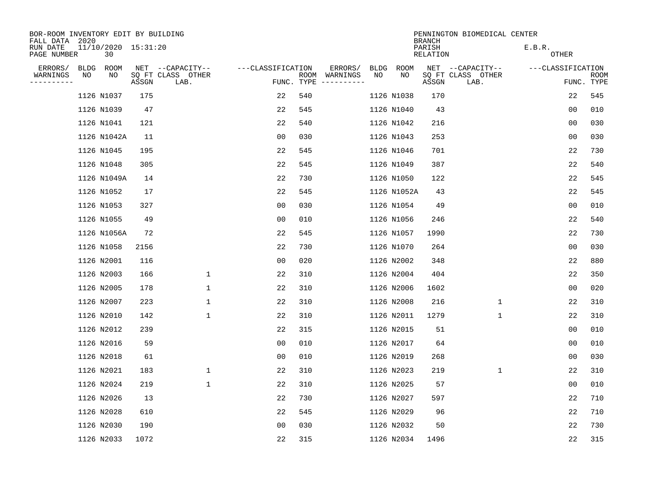| BOR-ROOM INVENTORY EDIT BY BUILDING<br>FALL DATA 2020 |             |       | PENNINGTON BIOMEDICAL CENTER<br><b>BRANCH</b> |                    |            |                                        |             |             |       |                           |                   |                           |
|-------------------------------------------------------|-------------|-------|-----------------------------------------------|--------------------|------------|----------------------------------------|-------------|-------------|-------|---------------------------|-------------------|---------------------------|
| 11/10/2020 15:31:20<br>RUN DATE<br>PAGE NUMBER<br>30  |             |       |                                               | PARISH<br>RELATION |            |                                        |             |             |       | E.B.R.<br><b>OTHER</b>    |                   |                           |
| ERRORS/<br><b>BLDG</b>                                | ROOM        |       | NET --CAPACITY--                              | ---CLASSIFICATION  |            | ERRORS/                                | <b>BLDG</b> | <b>ROOM</b> |       | NET --CAPACITY--          | ---CLASSIFICATION |                           |
| WARNINGS<br>NO<br>. _ _ _ _ _ _ _ _ _                 | NO          | ASSGN | SQ FT CLASS OTHER<br>LAB.                     |                    | FUNC. TYPE | ROOM WARNINGS<br>$- - - - - - - - - -$ | NO          | NO          | ASSGN | SQ FT CLASS OTHER<br>LAB. |                   | <b>ROOM</b><br>FUNC. TYPE |
|                                                       | 1126 N1037  | 175   |                                               | 22                 | 540        |                                        |             | 1126 N1038  | 170   |                           | 22                | 545                       |
|                                                       | 1126 N1039  | 47    |                                               | 22                 | 545        |                                        |             | 1126 N1040  | 43    |                           | 0 <sub>0</sub>    | 010                       |
|                                                       | 1126 N1041  | 121   |                                               | 22                 | 540        |                                        |             | 1126 N1042  | 216   |                           | 0 <sub>0</sub>    | 030                       |
|                                                       | 1126 N1042A | 11    |                                               | 0 <sub>0</sub>     | 030        |                                        |             | 1126 N1043  | 253   |                           | 0 <sub>0</sub>    | 030                       |
|                                                       | 1126 N1045  | 195   |                                               | 22                 | 545        |                                        |             | 1126 N1046  | 701   |                           | 22                | 730                       |
|                                                       | 1126 N1048  | 305   |                                               | 22                 | 545        |                                        |             | 1126 N1049  | 387   |                           | 22                | 540                       |
|                                                       | 1126 N1049A | 14    |                                               | 22                 | 730        |                                        |             | 1126 N1050  | 122   |                           | 22                | 545                       |
|                                                       | 1126 N1052  | 17    |                                               | 22                 | 545        |                                        |             | 1126 N1052A | 43    |                           | 22                | 545                       |
|                                                       | 1126 N1053  | 327   |                                               | 00                 | 030        |                                        |             | 1126 N1054  | 49    |                           | 0 <sub>0</sub>    | 010                       |
|                                                       | 1126 N1055  | 49    |                                               | 0 <sub>0</sub>     | 010        |                                        |             | 1126 N1056  | 246   |                           | 22                | 540                       |
|                                                       | 1126 N1056A | 72    |                                               | 22                 | 545        |                                        |             | 1126 N1057  | 1990  |                           | 22                | 730                       |
|                                                       | 1126 N1058  | 2156  |                                               | 22                 | 730        |                                        |             | 1126 N1070  | 264   |                           | 0 <sub>0</sub>    | 030                       |
|                                                       | 1126 N2001  | 116   |                                               | 00                 | 020        |                                        |             | 1126 N2002  | 348   |                           | 22                | 880                       |
|                                                       | 1126 N2003  | 166   | 1                                             | 22                 | 310        |                                        |             | 1126 N2004  | 404   |                           | 22                | 350                       |
|                                                       | 1126 N2005  | 178   | $\mathbf{1}$                                  | 22                 | 310        |                                        |             | 1126 N2006  | 1602  |                           | 0 <sub>0</sub>    | 020                       |
|                                                       | 1126 N2007  | 223   | $\mathbf 1$                                   | 22                 | 310        |                                        |             | 1126 N2008  | 216   | $\mathbf 1$               | 22                | 310                       |
|                                                       | 1126 N2010  | 142   | $\mathbf{1}$                                  | 22                 | 310        |                                        |             | 1126 N2011  | 1279  | $\mathbf 1$               | 22                | 310                       |
|                                                       | 1126 N2012  | 239   |                                               | 22                 | 315        |                                        |             | 1126 N2015  | 51    |                           | 0 <sub>0</sub>    | 010                       |
|                                                       | 1126 N2016  | 59    |                                               | 0 <sub>0</sub>     | 010        |                                        |             | 1126 N2017  | 64    |                           | 0 <sub>0</sub>    | 010                       |
|                                                       | 1126 N2018  | 61    |                                               | 0 <sub>0</sub>     | 010        |                                        |             | 1126 N2019  | 268   |                           | 0 <sub>0</sub>    | 030                       |
|                                                       | 1126 N2021  | 183   | $\mathbf{1}$                                  | 22                 | 310        |                                        |             | 1126 N2023  | 219   | $\mathbf 1$               | 22                | 310                       |
|                                                       | 1126 N2024  | 219   | $\mathbf{1}$                                  | 22                 | 310        |                                        |             | 1126 N2025  | 57    |                           | 0 <sub>0</sub>    | 010                       |
|                                                       | 1126 N2026  | 13    |                                               | 22                 | 730        |                                        |             | 1126 N2027  | 597   |                           | 22                | 710                       |
|                                                       | 1126 N2028  | 610   |                                               | 22                 | 545        |                                        |             | 1126 N2029  | 96    |                           | 22                | 710                       |
|                                                       | 1126 N2030  | 190   |                                               | 0 <sub>0</sub>     | 030        |                                        |             | 1126 N2032  | 50    |                           | 22                | 730                       |
|                                                       | 1126 N2033  | 1072  |                                               | 22                 | 315        |                                        |             | 1126 N2034  | 1496  |                           | 22                | 315                       |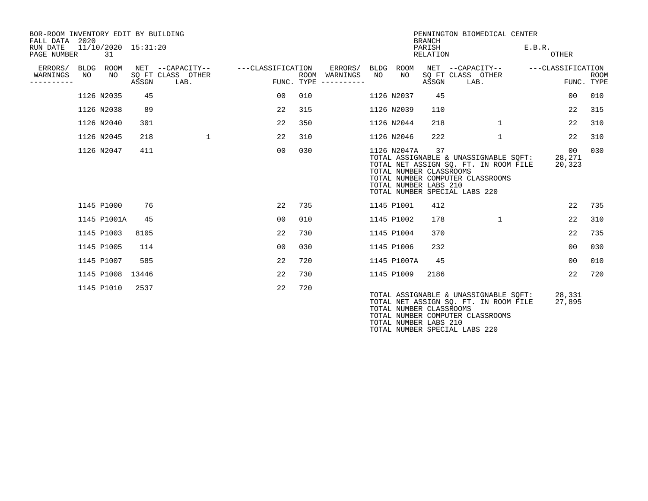| BOR-ROOM INVENTORY EDIT BY BUILDING<br>FALL DATA 2020 |                   |                           |       |                                               |                   |      |                                            |            |                                                                 | <b>BRANCH</b>      | PENNINGTON BIOMEDICAL CENTER                                                                                                                        |                        |                           |
|-------------------------------------------------------|-------------------|---------------------------|-------|-----------------------------------------------|-------------------|------|--------------------------------------------|------------|-----------------------------------------------------------------|--------------------|-----------------------------------------------------------------------------------------------------------------------------------------------------|------------------------|---------------------------|
| RUN DATE<br>PAGE NUMBER                               |                   | 11/10/2020 15:31:20<br>31 |       |                                               |                   |      |                                            |            |                                                                 | PARISH<br>RELATION |                                                                                                                                                     | E.B.R.<br>OTHER        |                           |
| ERRORS/<br>WARNINGS<br>----------                     | <b>BLDG</b><br>NO | ROOM<br>NO                | ASSGN | NET --CAPACITY--<br>SO FT CLASS OTHER<br>LAB. | ---CLASSIFICATION | ROOM | ERRORS/<br>WARNINGS<br>FUNC. TYPE $------$ | BLDG<br>NO | ROOM<br>NO                                                      | ASSGN              | NET --CAPACITY--<br>SO FT CLASS OTHER<br>LAB.                                                                                                       | ---CLASSIFICATION      | <b>ROOM</b><br>FUNC. TYPE |
|                                                       |                   | 1126 N2035                | 45    |                                               | 00 <sub>o</sub>   | 010  |                                            |            | 1126 N2037                                                      | 45                 |                                                                                                                                                     | 00                     | 010                       |
|                                                       |                   | 1126 N2038                | 89    |                                               | 22                | 315  |                                            |            | 1126 N2039                                                      | 110                |                                                                                                                                                     | 22                     | 315                       |
|                                                       |                   | 1126 N2040                | 301   |                                               | 22                | 350  |                                            |            | 1126 N2044                                                      | 218                | $\mathbf{1}$                                                                                                                                        | 22                     | 310                       |
|                                                       |                   | 1126 N2045                | 218   | 1                                             | 22                | 310  |                                            |            | 1126 N2046                                                      | 222                | 1                                                                                                                                                   | 22                     | 310                       |
|                                                       |                   | 1126 N2047                | 411   |                                               | 00                | 030  |                                            |            | 1126 N2047A<br>TOTAL NUMBER CLASSROOMS<br>TOTAL NUMBER LABS 210 | 37                 | TOTAL ASSIGNABLE & UNASSIGNABLE SOFT:<br>TOTAL NET ASSIGN SO. FT. IN ROOM FILE<br>TOTAL NUMBER COMPUTER CLASSROOMS<br>TOTAL NUMBER SPECIAL LABS 220 | 00<br>28,271<br>20,323 | 030                       |
|                                                       |                   | 1145 P1000                | 76    |                                               | 22                | 735  |                                            |            | 1145 P1001                                                      | 412                |                                                                                                                                                     | 22                     | 735                       |
|                                                       |                   | 1145 P1001A               | 45    |                                               | 0 <sub>0</sub>    | 010  |                                            |            | 1145 P1002                                                      | 178                | $\mathbf{1}$                                                                                                                                        | 22                     | 310                       |
|                                                       |                   | 1145 P1003                | 8105  |                                               | 22                | 730  |                                            |            | 1145 P1004                                                      | 370                |                                                                                                                                                     | 22                     | 735                       |
|                                                       |                   | 1145 P1005                | 114   |                                               | 00                | 030  |                                            |            | 1145 P1006                                                      | 232                |                                                                                                                                                     | 00                     | 030                       |
|                                                       |                   | 1145 P1007                | 585   |                                               | 22                | 720  |                                            |            | 1145 P1007A                                                     | 45                 |                                                                                                                                                     | 0 <sub>0</sub>         | 010                       |
|                                                       |                   | 1145 P1008 13446          |       |                                               | 22                | 730  |                                            |            | 1145 P1009                                                      | 2186               |                                                                                                                                                     | 22                     | 720                       |
|                                                       |                   | 1145 P1010                | 2537  |                                               | 22                | 720  |                                            |            | TOTAL NUMBER CLASSROOMS                                         |                    | TOTAL ASSIGNABLE & UNASSIGNABLE SOFT: 28,331<br>TOTAL NET ASSIGN SQ. FT. IN ROOM FILE                                                               | 27,895                 |                           |

TOTAL NUMBER COMPUTER CLASSROOMS

TOTAL NUMBER SPECIAL LABS 220

TOTAL NUMBER LABS 210